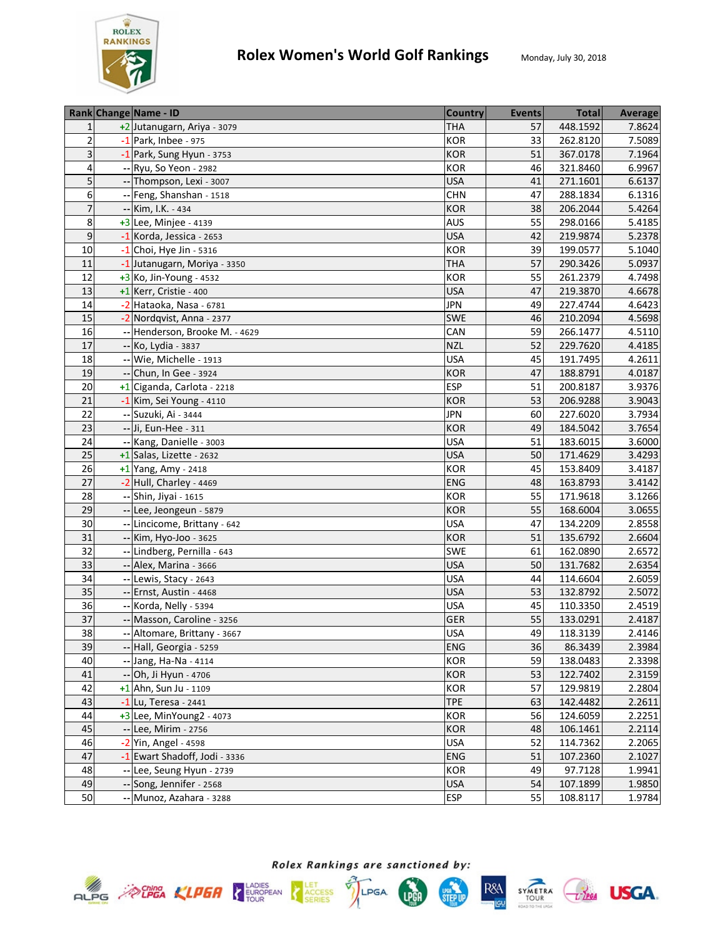

|                | Rank Change Name - ID          | <b>Country</b> | <b>Events</b> | <b>Total</b> | <b>Average</b> |
|----------------|--------------------------------|----------------|---------------|--------------|----------------|
| $\mathbf{1}$   | +2 Jutanugarn, Ariya - 3079    | <b>THA</b>     | 57            | 448.1592     | 7.8624         |
| $\overline{2}$ | $-1$ Park, Inbee - 975         | <b>KOR</b>     | 33            | 262.8120     | 7.5089         |
| 3              | -1 Park, Sung Hyun - 3753      | <b>KOR</b>     | 51            | 367.0178     | 7.1964         |
| 4              | -- Ryu, So Yeon - 2982         | <b>KOR</b>     | 46            | 321.8460     | 6.9967         |
| 5              | -- Thompson, Lexi - 3007       | <b>USA</b>     | 41            | 271.1601     | 6.6137         |
| 6              | -- Feng, Shanshan - 1518       | <b>CHN</b>     | 47            | 288.1834     | 6.1316         |
| $\overline{7}$ | -- Kim, I.K. - 434             | <b>KOR</b>     | 38            | 206.2044     | 5.4264         |
| 8              | $+3$ Lee, Minjee - 4139        | AUS            | 55            | 298.0166     | 5.4185         |
| 9              | $-1$ Korda, Jessica - 2653     | <b>USA</b>     | 42            | 219.9874     | 5.2378         |
| 10             | $-1$ Choi, Hye Jin - 5316      | KOR            | 39            | 199.0577     | 5.1040         |
| 11             | -1 Jutanugarn, Moriya - 3350   | <b>THA</b>     | 57            | 290.3426     | 5.0937         |
| 12             | +3 Ko, Jin-Young - 4532        | KOR            | 55            | 261.2379     | 4.7498         |
| 13             | $+1$ Kerr, Cristie - 400       | <b>USA</b>     | 47            | 219.3870     | 4.6678         |
| 14             | -2 Hataoka, Nasa - 6781        | <b>JPN</b>     | 49            | 227.4744     | 4.6423         |
| 15             | -2 Nordqvist, Anna - 2377      | <b>SWE</b>     | 46            | 210.2094     | 4.5698         |
| 16             | -- Henderson, Brooke M. - 4629 | CAN            | 59            | 266.1477     | 4.5110         |
| 17             | -- Ko, Lydia - 3837            | <b>NZL</b>     | 52            | 229.7620     | 4.4185         |
| 18             | -- Wie, Michelle - 1913        | <b>USA</b>     | 45            | 191.7495     | 4.2611         |
| 19             | -- Chun, In Gee - 3924         | <b>KOR</b>     | 47            | 188.8791     | 4.0187         |
| 20             | +1 Ciganda, Carlota - 2218     | <b>ESP</b>     | 51            | 200.8187     | 3.9376         |
| 21             | -1 Kim, Sei Young - 4110       | <b>KOR</b>     | 53            | 206.9288     | 3.9043         |
| 22             | -- Suzuki, Ai - 3444           | <b>JPN</b>     | 60            | 227.6020     | 3.7934         |
| 23             | -- Ji, Eun-Hee - 311           | <b>KOR</b>     | 49            | 184.5042     | 3.7654         |
| 24             | -- Kang, Danielle - 3003       | <b>USA</b>     | 51            | 183.6015     | 3.6000         |
| 25             | $+1$ Salas, Lizette - 2632     | <b>USA</b>     | 50            | 171.4629     | 3.4293         |
| 26             | $+1$ Yang, Amy - 2418          | <b>KOR</b>     | 45            | 153.8409     | 3.4187         |
| 27             | -2 Hull, Charley - 4469        | <b>ENG</b>     | 48            | 163.8793     | 3.4142         |
| 28             | -- Shin, Jiyai - 1615          | <b>KOR</b>     | 55            | 171.9618     | 3.1266         |
| 29             | -- Lee, Jeongeun - 5879        | <b>KOR</b>     | 55            | 168.6004     | 3.0655         |
| 30             | -- Lincicome, Brittany - 642   | <b>USA</b>     | 47            | 134.2209     | 2.8558         |
| 31             | -- Kim, Hyo-Joo - 3625         | <b>KOR</b>     | 51            | 135.6792     | 2.6604         |
| 32             | -- Lindberg, Pernilla - 643    | <b>SWE</b>     | 61            | 162.0890     | 2.6572         |
| 33             | -- Alex, Marina - 3666         | <b>USA</b>     | 50            | 131.7682     | 2.6354         |
| 34             | -- Lewis, Stacy - 2643         | <b>USA</b>     | 44            | 114.6604     | 2.6059         |
| 35             | -- Ernst, Austin - 4468        | <b>USA</b>     | 53            | 132.8792     | 2.5072         |
| 36             | -- Korda, Nelly - 5394         | <b>USA</b>     | 45            | 110.3350     | 2.4519         |
| 37             | -- Masson, Caroline - 3256     | <b>GER</b>     | 55            | 133.0291     | 2.4187         |
| 38             | -- Altomare, Brittany - 3667   | <b>USA</b>     | 49            | 118.3139     | 2.4146         |
| 39             | -- Hall, Georgia - 5259        | <b>ENG</b>     | 36            | 86.3439      | 2.3984         |
| 40             | -- Jang, Ha-Na - 4114          | <b>KOR</b>     | 59            | 138.0483     | 2.3398         |
| 41             | -- Oh, Ji Hyun - 4706          | <b>KOR</b>     | 53            | 122.7402     | 2.3159         |
| 42             | $+1$ Ahn, Sun Ju - 1109        | <b>KOR</b>     | 57            | 129.9819     | 2.2804         |
| 43             | $-1$ Lu, Teresa - 2441         | <b>TPE</b>     | 63            | 142.4482     | 2.2611         |
| 44             | $+3$ Lee, MinYoung2 - 4073     | <b>KOR</b>     | 56            | 124.6059     | 2.2251         |
| 45             | -- Lee, Mirim - 2756           | <b>KOR</b>     | 48            | 106.1461     | 2.2114         |
| 46             | -2 Yin, Angel - 4598           | <b>USA</b>     | 52            | 114.7362     | 2.2065         |
| 47             | -1 Ewart Shadoff, Jodi - 3336  | <b>ENG</b>     | 51            | 107.2360     | 2.1027         |
| 48             | -- Lee, Seung Hyun - 2739      | <b>KOR</b>     | 49            | 97.7128      | 1.9941         |
| 49             | -- Song, Jennifer - 2568       | <b>USA</b>     | 54            | 107.1899     | 1.9850         |
| 50             | -- Munoz, Azahara - 3288       | <b>ESP</b>     | 55            | 108.8117     | 1.9784         |









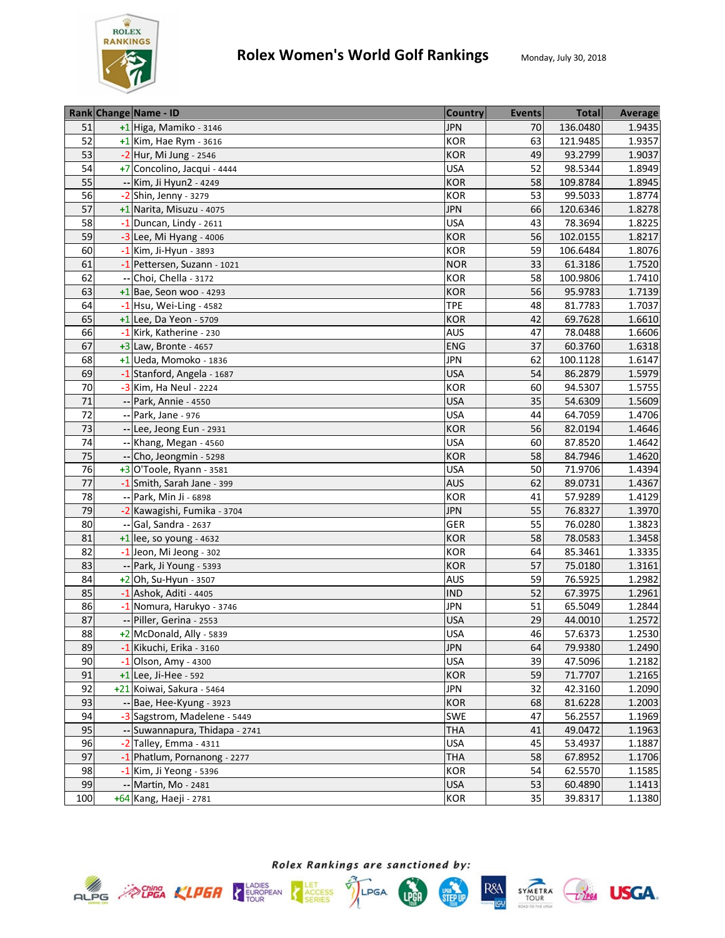

|                 | Rank Change Name - ID          | <b>Country</b> | <b>Events</b> | <b>Total</b> | Average |
|-----------------|--------------------------------|----------------|---------------|--------------|---------|
| 51              | +1 Higa, Mamiko - 3146         | <b>JPN</b>     | 70            | 136.0480     | 1.9435  |
| 52              | $+1$ Kim, Hae Rym - 3616       | <b>KOR</b>     | 63            | 121.9485     | 1.9357  |
| 53              | -2 Hur, Mi Jung - 2546         | <b>KOR</b>     | 49            | 93.2799      | 1.9037  |
| 54              | +7 Concolino, Jacqui - 4444    | <b>USA</b>     | 52            | 98.5344      | 1.8949  |
| 55              | -- Kim, Ji Hyun2 - 4249        | <b>KOR</b>     | 58            | 109.8784     | 1.8945  |
| 56              | $-2$ Shin, Jenny - 3279        | <b>KOR</b>     | 53            | 99.5033      | 1.8774  |
| 57              | +1 Narita, Misuzu - 4075       | <b>JPN</b>     | 66            | 120.6346     | 1.8278  |
| 58              | $-1$ Duncan, Lindy - 2611      | <b>USA</b>     | 43            | 78.3694      | 1.8225  |
| 59              | $-3$ Lee, Mi Hyang - 4006      | <b>KOR</b>     | 56            | 102.0155     | 1.8217  |
| 60              | -1 Kim, Ji-Hyun - 3893         | KOR            | 59            | 106.6484     | 1.8076  |
| 61              | -1 Pettersen, Suzann - 1021    | <b>NOR</b>     | 33            | 61.3186      | 1.7520  |
| 62              | Choi, Chella - 3172            | <b>KOR</b>     | 58            | 100.9806     | 1.7410  |
| 63              | $+1$ Bae, Seon woo - 4293      | <b>KOR</b>     | 56            | 95.9783      | 1.7139  |
| 64              | $-1$ Hsu, Wei-Ling - 4582      | <b>TPE</b>     | 48            | 81.7783      | 1.7037  |
| 65              | $+1$ Lee, Da Yeon - 5709       | <b>KOR</b>     | 42            | 69.7628      | 1.6610  |
| 66              | -1 Kirk, Katherine - 230       | <b>AUS</b>     | 47            | 78.0488      | 1.6606  |
| 67              | $+3$ Law, Bronte - 4657        | <b>ENG</b>     | 37            | 60.3760      | 1.6318  |
| 68              | $+1$ Ueda, Momoko - 1836       | <b>JPN</b>     | 62            | 100.1128     | 1.6147  |
| 69              | -1 Stanford, Angela - 1687     | <b>USA</b>     | 54            | 86.2879      | 1.5979  |
| 70              | -3 Kim, Ha Neul - 2224         | <b>KOR</b>     | 60            | 94.5307      | 1.5755  |
| 71              | -- Park, Annie - 4550          | <b>USA</b>     | 35            | 54.6309      | 1.5609  |
| 72              | -- Park, Jane - 976            | <b>USA</b>     | 44            | 64.7059      | 1.4706  |
| 73              | -- Lee, Jeong Eun - 2931       | <b>KOR</b>     | 56            | 82.0194      | 1.4646  |
| 74              | -- Khang, Megan - 4560         | <b>USA</b>     | 60            | 87.8520      | 1.4642  |
| 75              | -- Cho, Jeongmin - 5298        | <b>KOR</b>     | 58            | 84.7946      | 1.4620  |
| 76              | $+3$ O'Toole, Ryann - 3581     | <b>USA</b>     | 50            | 71.9706      | 1.4394  |
| 77              | -1 Smith, Sarah Jane - 399     | <b>AUS</b>     | 62            | 89.0731      | 1.4367  |
| $\overline{78}$ | -- Park, Min Ji - 6898         | <b>KOR</b>     | 41            | 57.9289      | 1.4129  |
| 79              | -2 Kawagishi, Fumika - 3704    | <b>JPN</b>     | 55            | 76.8327      | 1.3970  |
| 80              | -- Gal, Sandra - 2637          | GER            | 55            | 76.0280      | 1.3823  |
| 81              | $+1$ lee, so young - 4632      | <b>KOR</b>     | 58            | 78.0583      | 1.3458  |
| 82              | -1 Jeon, Mi Jeong - 302        | <b>KOR</b>     | 64            | 85.3461      | 1.3335  |
| 83              | -- Park, Ji Young - 5393       | <b>KOR</b>     | 57            | 75.0180      | 1.3161  |
| 84              | $+2$ Oh, Su-Hyun - 3507        | <b>AUS</b>     | 59            | 76.5925      | 1.2982  |
| 85              | -1 Ashok, Aditi - 4405         | <b>IND</b>     | 52            | 67.3975      | 1.2961  |
| 86              | -1 Nomura, Harukyo - 3746      | <b>JPN</b>     | 51            | 65.5049      | 1.2844  |
| 87              | -- Piller, Gerina - 2553       | <b>USA</b>     | 29            | 44.0010      | 1.2572  |
| 88              | +2 McDonald, Ally - 5839       | <b>USA</b>     | 46            | 57.6373      | 1.2530  |
| 89              | $-1$ Kikuchi, Erika - 3160     | <b>JPN</b>     | 64            | 79.9380      | 1.2490  |
| 90              | $-1$ Olson, Amy - 4300         | <b>USA</b>     | 39            | 47.5096      | 1.2182  |
| 91              | +1 Lee, Ji-Hee - 592           | <b>KOR</b>     | 59            | 71.7707      | 1.2165  |
| 92              | +21 Koiwai, Sakura - 5464      | <b>JPN</b>     | 32            | 42.3160      | 1.2090  |
| 93              | -- Bae, Hee-Kyung - 3923       | <b>KOR</b>     | 68            | 81.6228      | 1.2003  |
| 94              | -3 Sagstrom, Madelene - 5449   | <b>SWE</b>     | 47            | 56.2557      | 1.1969  |
| 95              | -- Suwannapura, Thidapa - 2741 | <b>THA</b>     | 41            | 49.0472      | 1.1963  |
| 96              | $-2$ Talley, Emma - 4311       | <b>USA</b>     | 45            | 53.4937      | 1.1887  |
| 97              | -1 Phatlum, Pornanong - 2277   | <b>THA</b>     | 58            | 67.8952      | 1.1706  |
| 98              | -1 Kim, Ji Yeong - 5396        | <b>KOR</b>     | 54            | 62.5570      | 1.1585  |
| 99              | -- Martin, Mo - 2481           | <b>USA</b>     | 53            | 60.4890      | 1.1413  |
| 100             | +64 Kang, Haeji - 2781         | <b>KOR</b>     | 35            | 39.8317      | 1.1380  |









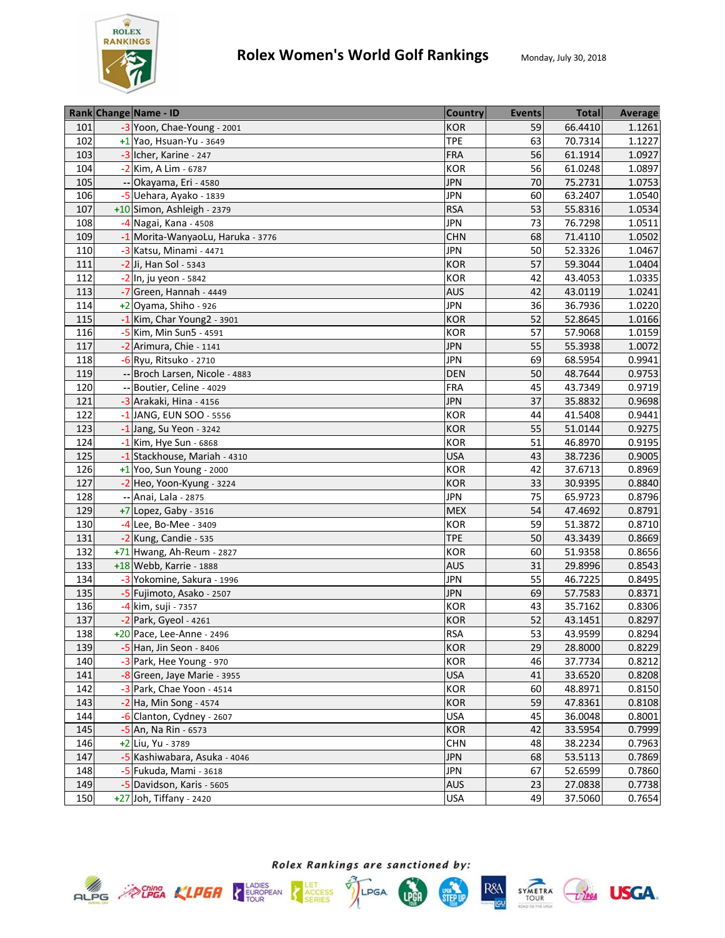

|     | Rank Change Name - ID             | <b>Country</b> | <b>Events</b> | <b>Total</b> | Average |
|-----|-----------------------------------|----------------|---------------|--------------|---------|
| 101 | -3 Yoon, Chae-Young - 2001        | <b>KOR</b>     | 59            | 66.4410      | 1.1261  |
| 102 | $+1$ Yao, Hsuan-Yu - 3649         | <b>TPE</b>     | 63            | 70.7314      | 1.1227  |
| 103 | -3 Icher, Karine - 247            | <b>FRA</b>     | 56            | 61.1914      | 1.0927  |
| 104 | -2 Kim, A Lim - 6787              | <b>KOR</b>     | 56            | 61.0248      | 1.0897  |
| 105 | -- Okayama, Eri - 4580            | <b>JPN</b>     | 70            | 75.2731      | 1.0753  |
| 106 | -5 Uehara, Ayako - 1839           | <b>JPN</b>     | 60            | 63.2407      | 1.0540  |
| 107 | +10 Simon, Ashleigh - 2379        | <b>RSA</b>     | 53            | 55.8316      | 1.0534  |
| 108 | -4 Nagai, Kana - 4508             | <b>JPN</b>     | 73            | 76.7298      | 1.0511  |
| 109 | -1 Morita-WanyaoLu, Haruka - 3776 | <b>CHN</b>     | 68            | 71.4110      | 1.0502  |
| 110 | -3 Katsu, Minami - 4471           | <b>JPN</b>     | 50            | 52.3326      | 1.0467  |
| 111 | -2 Ji, Han Sol - 5343             | <b>KOR</b>     | 57            | 59.3044      | 1.0404  |
| 112 | -2 In, ju yeon - 5842             | KOR            | 42            | 43.4053      | 1.0335  |
| 113 | -7 Green, Hannah - 4449           | <b>AUS</b>     | 42            | 43.0119      | 1.0241  |
| 114 | +2 Oyama, Shiho - 926             | <b>JPN</b>     | 36            | 36.7936      | 1.0220  |
| 115 | -1 Kim, Char Young2 - 3901        | <b>KOR</b>     | 52            | 52.8645      | 1.0166  |
| 116 | -5 Kim, Min Sun5 - 4591           | <b>KOR</b>     | 57            | 57.9068      | 1.0159  |
| 117 | -2 Arimura, Chie - 1141           | <b>JPN</b>     | 55            | 55.3938      | 1.0072  |
| 118 | -6 Ryu, Ritsuko - 2710            | <b>JPN</b>     | 69            | 68.5954      | 0.9941  |
| 119 | -- Broch Larsen, Nicole - 4883    | DEN            | 50            | 48.7644      | 0.9753  |
| 120 | -- Boutier, Celine - 4029         | <b>FRA</b>     | 45            | 43.7349      | 0.9719  |
| 121 | -3 Arakaki, Hina - 4156           | <b>JPN</b>     | 37            | 35.8832      | 0.9698  |
| 122 | -1 JANG, EUN SOO - 5556           | KOR            | 44            | 41.5408      | 0.9441  |
| 123 | $-1$ Jang, Su Yeon - 3242         | <b>KOR</b>     | 55            | 51.0144      | 0.9275  |
| 124 | $-1$ Kim, Hye Sun - 6868          | KOR            | 51            | 46.8970      | 0.9195  |
| 125 | -1 Stackhouse, Mariah - 4310      | <b>USA</b>     | 43            | 38.7236      | 0.9005  |
| 126 | $+1$ Yoo, Sun Young - 2000        | KOR            | 42            | 37.6713      | 0.8969  |
| 127 | -2 Heo, Yoon-Kyung - 3224         | <b>KOR</b>     | 33            | 30.9395      | 0.8840  |
| 128 | -- Anai, Lala - 2875              | <b>JPN</b>     | 75            | 65.9723      | 0.8796  |
| 129 | $+7$ Lopez, Gaby - 3516           | <b>MEX</b>     | 54            | 47.4692      | 0.8791  |
| 130 | -4 Lee, Bo-Mee - 3409             | <b>KOR</b>     | 59            | 51.3872      | 0.8710  |
| 131 | -2 Kung, Candie - 535             | <b>TPE</b>     | 50            | 43.3439      | 0.8669  |
| 132 | +71 Hwang, Ah-Reum - 2827         | <b>KOR</b>     | 60            | 51.9358      | 0.8656  |
| 133 | +18 Webb, Karrie - 1888           | AUS            | 31            | 29.8996      | 0.8543  |
| 134 | -3 Yokomine, Sakura - 1996        | <b>JPN</b>     | 55            | 46.7225      | 0.8495  |
| 135 | -5 Fujimoto, Asako - 2507         | <b>JPN</b>     | 69            | 57.7583      | 0.8371  |
| 136 | -4 kim, suji - 7357               | KOR            | 43            | 35.7162      | 0.8306  |
| 137 | -2 Park, Gyeol - 4261             | <b>KOR</b>     | 52            | 43.1451      | 0.8297  |
| 138 | +20 Pace, Lee-Anne - 2496         | <b>RSA</b>     | 53            | 43.9599      | 0.8294  |
| 139 | -5 Han, Jin Seon - 8406           | <b>KOR</b>     | 29            | 28.8000      | 0.8229  |
| 140 | -3 Park, Hee Young - 970          | KOR            | 46            | 37.7734      | 0.8212  |
| 141 | -8 Green, Jaye Marie - 3955       | <b>USA</b>     | 41            | 33.6520      | 0.8208  |
| 142 | -3 Park, Chae Yoon - 4514         | KOR            | 60            | 48.8971      | 0.8150  |
| 143 | $-2$ Ha, Min Song - 4574          | <b>KOR</b>     | 59            | 47.8361      | 0.8108  |
| 144 | -6 Clanton, Cydney - 2607         | <b>USA</b>     | 45            | 36.0048      | 0.8001  |
| 145 | $-5$ An, Na Rin - 6573            | <b>KOR</b>     | 42            | 33.5954      | 0.7999  |
| 146 | +2 Liu, Yu - 3789                 | <b>CHN</b>     | 48            | 38.2234      | 0.7963  |
| 147 | -5 Kashiwabara, Asuka - 4046      | <b>JPN</b>     | 68            | 53.5113      | 0.7869  |
| 148 | -5 Fukuda, Mami - 3618            | <b>JPN</b>     | 67            | 52.6599      | 0.7860  |
| 149 | -5 Davidson, Karis - 5605         | <b>AUS</b>     | 23            | 27.0838      | 0.7738  |
|     |                                   |                | 49            |              |         |
| 150 | $+27$ Joh, Tiffany - 2420         | <b>USA</b>     |               | 37.5060      | 0.7654  |







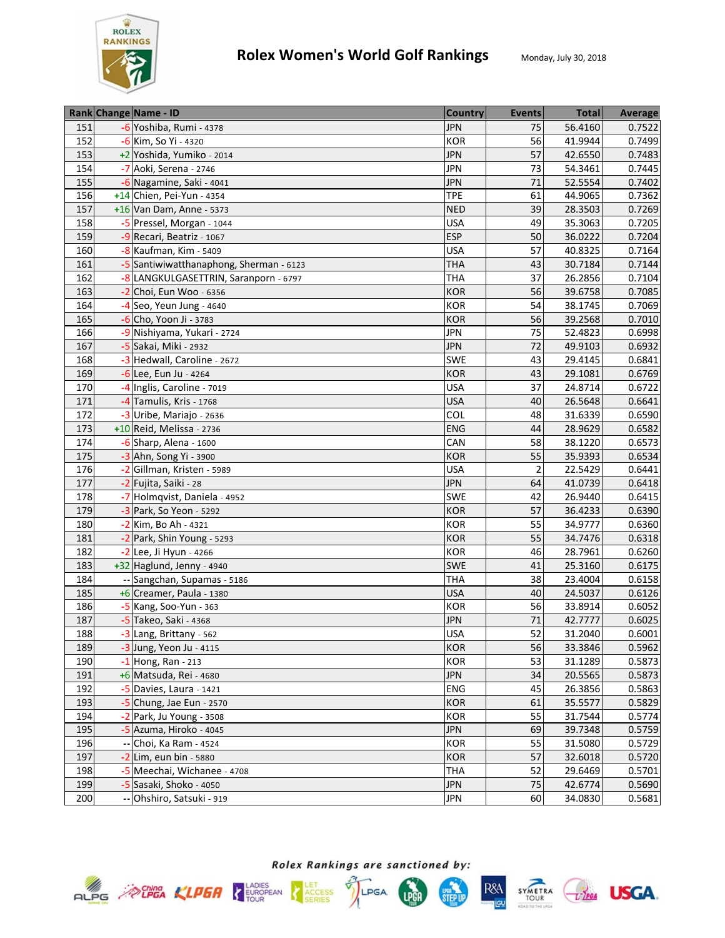

|     | Rank Change Name - ID                   | <b>Country</b> | <b>Events</b>  | <b>Total</b> | <b>Average</b> |
|-----|-----------------------------------------|----------------|----------------|--------------|----------------|
| 151 | -6 Yoshiba, Rumi - 4378                 | <b>JPN</b>     | 75             | 56.4160      | 0.7522         |
| 152 | -6 Kim, So Yi - 4320                    | <b>KOR</b>     | 56             | 41.9944      | 0.7499         |
| 153 | +2 Yoshida, Yumiko - 2014               | <b>JPN</b>     | 57             | 42.6550      | 0.7483         |
| 154 | -7 Aoki, Serena - 2746                  | <b>JPN</b>     | 73             | 54.3461      | 0.7445         |
| 155 | -6 Nagamine, Saki - 4041                | <b>JPN</b>     | 71             | 52.5554      | 0.7402         |
| 156 | +14 Chien, Pei-Yun - 4354               | <b>TPE</b>     | 61             | 44.9065      | 0.7362         |
| 157 | +16 Van Dam, Anne - 5373                | <b>NED</b>     | 39             | 28.3503      | 0.7269         |
| 158 | -5 Pressel, Morgan - 1044               | <b>USA</b>     | 49             | 35.3063      | 0.7205         |
| 159 | -9 Recari, Beatriz - 1067               | <b>ESP</b>     | 50             | 36.0222      | 0.7204         |
| 160 | -8 Kaufman, Kim - 5409                  | <b>USA</b>     | 57             | 40.8325      | 0.7164         |
| 161 | -5 Santiwiwatthanaphong, Sherman - 6123 | <b>THA</b>     | 43             | 30.7184      | 0.7144         |
| 162 | -8 LANGKULGASETTRIN, Saranporn - 6797   | <b>THA</b>     | 37             | 26.2856      | 0.7104         |
| 163 | $-2$ Choi, Eun Woo - 6356               | <b>KOR</b>     | 56             | 39.6758      | 0.7085         |
| 164 | $-4$ Seo, Yeun Jung - 4640              | KOR            | 54             | 38.1745      | 0.7069         |
| 165 | $-6$ Cho, Yoon Ji - 3783                | <b>KOR</b>     | 56             | 39.2568      | 0.7010         |
| 166 | -9 Nishiyama, Yukari - 2724             | <b>JPN</b>     | 75             | 52.4823      | 0.6998         |
| 167 | -5 Sakai, Miki - 2932                   | <b>JPN</b>     | 72             | 49.9103      | 0.6932         |
| 168 | -3 Hedwall, Caroline - 2672             | SWE            | 43             | 29.4145      | 0.6841         |
| 169 | -6 Lee, Eun Ju - 4264                   | <b>KOR</b>     | 43             | 29.1081      | 0.6769         |
| 170 | -4 Inglis, Caroline - 7019              | <b>USA</b>     | 37             | 24.8714      | 0.6722         |
| 171 | -4 Tamulis, Kris - 1768                 | <b>USA</b>     | 40             | 26.5648      | 0.6641         |
| 172 | -3 Uribe, Mariajo - 2636                | COL            | 48             | 31.6339      | 0.6590         |
| 173 | +10 Reid, Melissa - 2736                | ENG            | 44             | 28.9629      | 0.6582         |
| 174 | $-6$ Sharp, Alena - 1600                | CAN            | 58             | 38.1220      | 0.6573         |
| 175 | -3 Ahn, Song Yi - 3900                  | <b>KOR</b>     | 55             | 35.9393      | 0.6534         |
| 176 | -2 Gillman, Kristen - 5989              | <b>USA</b>     | $\overline{2}$ | 22.5429      | 0.6441         |
| 177 | -2 Fujita, Saiki - 28                   | <b>JPN</b>     | 64             | 41.0739      | 0.6418         |
| 178 | -7 Holmqvist, Daniela - 4952            | <b>SWE</b>     | 42             | 26.9440      | 0.6415         |
| 179 | -3 Park, So Yeon - 5292                 | <b>KOR</b>     | 57             | 36.4233      | 0.6390         |
| 180 | -2 Kim, Bo Ah - 4321                    | KOR            | 55             | 34.9777      | 0.6360         |
| 181 | -2 Park, Shin Young - 5293              | <b>KOR</b>     | 55             | 34.7476      | 0.6318         |
| 182 | -2 Lee, Ji Hyun - 4266                  | KOR            | 46             | 28.7961      | 0.6260         |
| 183 | +32 Haglund, Jenny - 4940               | <b>SWE</b>     | 41             | 25.3160      | 0.6175         |
| 184 | -- Sangchan, Supamas - 5186             | <b>THA</b>     | 38             | 23.4004      | 0.6158         |
| 185 | +6 Creamer, Paula - 1380                | <b>USA</b>     | 40             | 24.5037      | 0.6126         |
| 186 | -5 Kang, Soo-Yun - 363                  | KOR            | 56             | 33.8914      | 0.6052         |
| 187 | -5 Takeo, Saki - 4368                   | <b>JPN</b>     | 71             | 42.7777      | 0.6025         |
| 188 | -3 Lang, Brittany - 562                 | <b>USA</b>     | 52             | 31.2040      | 0.6001         |
| 189 | -3 Jung, Yeon Ju - 4115                 | <b>KOR</b>     | 56             | 33.3846      | 0.5962         |
| 190 | $-1$ Hong, Ran - 213                    | KOR            | 53             | 31.1289      | 0.5873         |
| 191 | +6 Matsuda, Rei - 4680                  | <b>JPN</b>     | 34             | 20.5565      | 0.5873         |
| 192 | -5 Davies, Laura - 1421                 | ENG            | 45             | 26.3856      | 0.5863         |
| 193 | -5 Chung, Jae Eun - 2570                | <b>KOR</b>     | 61             | 35.5577      | 0.5829         |
| 194 | $-2$ Park, Ju Young - 3508              | KOR            | 55             | 31.7544      | 0.5774         |
| 195 | -5 Azuma, Hiroko - 4045                 | <b>JPN</b>     | 69             | 39.7348      | 0.5759         |
| 196 | -- Choi, Ka Ram - 4524                  | <b>KOR</b>     | 55             | 31.5080      | 0.5729         |
| 197 | $-2$ Lim, eun bin - 5880                | <b>KOR</b>     | 57             | 32.6018      | 0.5720         |
| 198 | -5 Meechai, Wichanee - 4708             | THA            | 52             | 29.6469      | 0.5701         |
| 199 | -5 Sasaki, Shoko - 4050                 | <b>JPN</b>     | 75             | 42.6774      | 0.5690         |
| 200 | -- Ohshiro, Satsuki - 919               | JPN            | 60             | 34.0830      | 0.5681         |









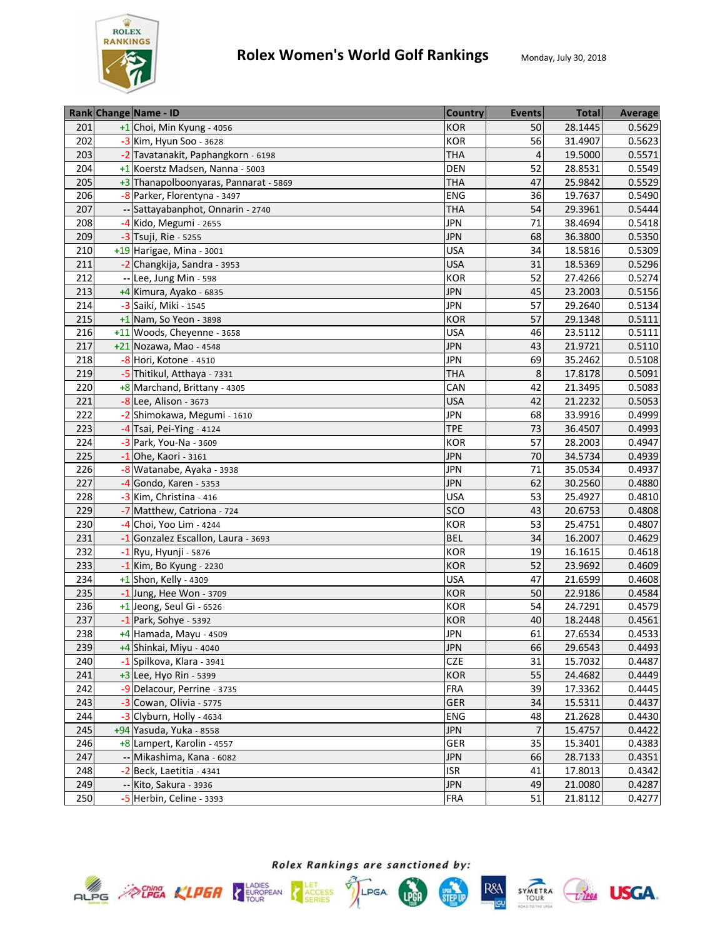

|     | Rank Change Name - ID                 | <b>Country</b> | <b>Events</b>  | <b>Total</b> | Average |
|-----|---------------------------------------|----------------|----------------|--------------|---------|
| 201 | +1 Choi, Min Kyung - 4056             | <b>KOR</b>     | 50             | 28.1445      | 0.5629  |
| 202 | -3 Kim, Hyun Soo - 3628               | KOR            | 56             | 31.4907      | 0.5623  |
| 203 | -2 Tavatanakit, Paphangkorn - 6198    | <b>THA</b>     | $\overline{4}$ | 19.5000      | 0.5571  |
| 204 | +1 Koerstz Madsen, Nanna - 5003       | <b>DEN</b>     | 52             | 28.8531      | 0.5549  |
| 205 | +3 Thanapolboonyaras, Pannarat - 5869 | <b>THA</b>     | 47             | 25.9842      | 0.5529  |
| 206 | -8 Parker, Florentyna - 3497          | ENG            | 36             | 19.7637      | 0.5490  |
| 207 | -- Sattayabanphot, Onnarin - 2740     | <b>THA</b>     | 54             | 29.3961      | 0.5444  |
| 208 | -4 Kido, Megumi - 2655                | <b>JPN</b>     | 71             | 38.4694      | 0.5418  |
| 209 | -3 Tsuji, Rie - 5255                  | <b>JPN</b>     | 68             | 36.3800      | 0.5350  |
| 210 | +19 Harigae, Mina - 3001              | <b>USA</b>     | 34             | 18.5816      | 0.5309  |
| 211 | -2 Changkija, Sandra - 3953           | <b>USA</b>     | 31             | 18.5369      | 0.5296  |
| 212 | Lee, Jung Min - 598                   | KOR            | 52             | 27.4266      | 0.5274  |
| 213 | +4 Kimura, Ayako - 6835               | <b>JPN</b>     | 45             | 23.2003      | 0.5156  |
| 214 | -3 Saiki, Miki - 1545                 | <b>JPN</b>     | 57             | 29.2640      | 0.5134  |
| 215 | $+1$ Nam, So Yeon - 3898              | <b>KOR</b>     | 57             | 29.1348      | 0.5111  |
| 216 | +11 Woods, Cheyenne - 3658            | <b>USA</b>     | 46             | 23.5112      | 0.5111  |
| 217 | +21 Nozawa, Mao - 4548                | <b>JPN</b>     | 43             | 21.9721      | 0.5110  |
| 218 | -8 Hori, Kotone - 4510                | <b>JPN</b>     | 69             | 35.2462      | 0.5108  |
| 219 | -5 Thitikul, Atthaya - 7331           | <b>THA</b>     | 8              | 17.8178      | 0.5091  |
| 220 | +8 Marchand, Brittany - 4305          | CAN            | 42             | 21.3495      | 0.5083  |
| 221 | -8 Lee, Alison - 3673                 | <b>USA</b>     | 42             | 21.2232      | 0.5053  |
| 222 | -2 Shimokawa, Megumi - 1610           | <b>JPN</b>     | 68             | 33.9916      | 0.4999  |
| 223 | -4 Tsai, Pei-Ying - 4124              | <b>TPE</b>     | 73             | 36.4507      | 0.4993  |
| 224 | -3 Park, You-Na - 3609                | KOR            | 57             | 28.2003      | 0.4947  |
| 225 | $-1$ Ohe, Kaori - 3161                | <b>JPN</b>     | 70             | 34.5734      | 0.4939  |
| 226 | -8 Watanabe, Ayaka - 3938             | <b>JPN</b>     | 71             | 35.0534      | 0.4937  |
| 227 | -4 Gondo, Karen - 5353                | <b>JPN</b>     | 62             | 30.2560      | 0.4880  |
| 228 | -3 Kim, Christina - 416               | <b>USA</b>     | 53             | 25.4927      | 0.4810  |
| 229 | -7 Matthew, Catriona - 724            | SCO            | 43             | 20.6753      | 0.4808  |
| 230 | -4 Choi, Yoo Lim - 4244               | <b>KOR</b>     | 53             | 25.4751      | 0.4807  |
| 231 | -1 Gonzalez Escallon, Laura - 3693    | <b>BEL</b>     | 34             | 16.2007      | 0.4629  |
| 232 | -1 Ryu, Hyunji - 5876                 | <b>KOR</b>     | 19             | 16.1615      | 0.4618  |
| 233 | $-1$ Kim, Bo Kyung - 2230             | KOR            | 52             | 23.9692      | 0.4609  |
| 234 | $+1$ Shon, Kelly - 4309               | <b>USA</b>     | 47             | 21.6599      | 0.4608  |
| 235 | $-1$ Jung, Hee Won - 3709             | KOR            | 50             | 22.9186      | 0.4584  |
| 236 | +1 Jeong, Seul Gi - 6526              | KOR            | 54             | 24.7291      | 0.4579  |
| 237 | $-1$ Park, Sohye - 5392               | KOR            | 40             | 18.2448      | 0.4561  |
| 238 | +4 Hamada, Mayu - 4509                | <b>JPN</b>     | 61             | 27.6534      | 0.4533  |
| 239 | +4 Shinkai, Miyu - 4040               | <b>JPN</b>     | 66             | 29.6543      | 0.4493  |
| 240 | -1 Spilkova, Klara - 3941             | CZE            | 31             | 15.7032      | 0.4487  |
| 241 | $+3$ Lee, Hyo Rin - 5399              | KOR            | 55             | 24.4682      | 0.4449  |
| 242 | -9 Delacour, Perrine - 3735           | <b>FRA</b>     | 39             | 17.3362      | 0.4445  |
| 243 | $-3$ Cowan, Olivia - 5775             | GER            | 34             | 15.5311      | 0.4437  |
| 244 | $-3$ Clyburn, Holly - 4634            | ENG            | 48             | 21.2628      | 0.4430  |
| 245 | +94 Yasuda, Yuka - 8558               | <b>JPN</b>     | $\overline{7}$ | 15.4757      | 0.4422  |
| 246 | +8 Lampert, Karolin - 4557            | GER            | 35             | 15.3401      | 0.4383  |
| 247 | Mikashima, Kana - 6082                | <b>JPN</b>     | 66             | 28.7133      | 0.4351  |
| 248 | -2 Beck, Laetitia - 4341              | <b>ISR</b>     | 41             | 17.8013      | 0.4342  |
| 249 | -- Kito, Sakura - 3936                | <b>JPN</b>     | 49             | 21.0080      | 0.4287  |
| 250 | -5 Herbin, Celine - 3393              | <b>FRA</b>     | 51             | 21.8112      | 0.4277  |
|     |                                       |                |                |              |         |







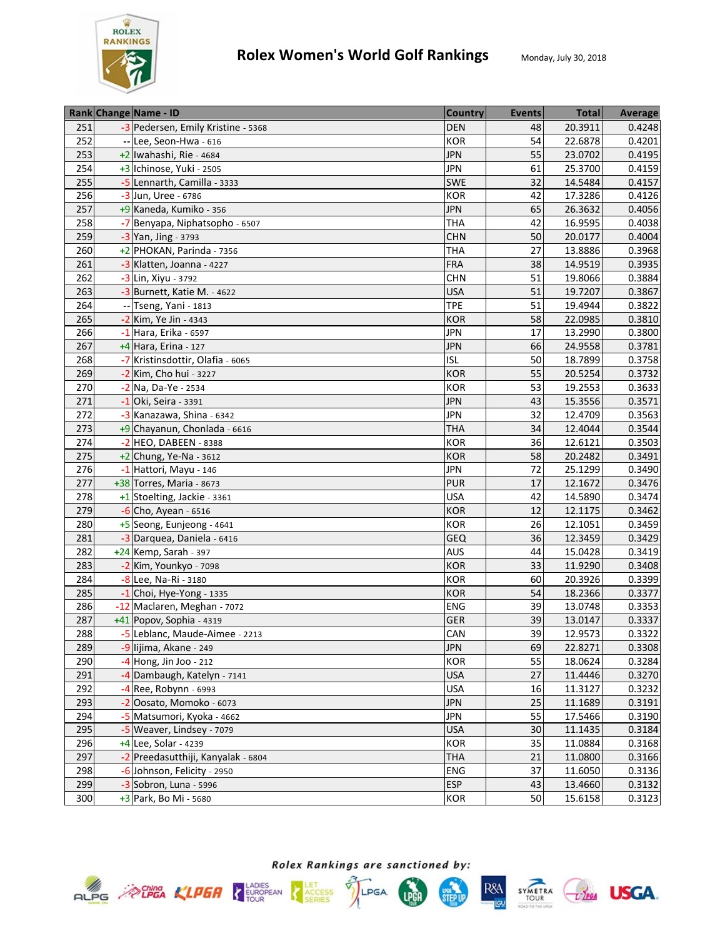

|     | Rank Change Name - ID              | <b>Country</b> | <b>Events</b> | <b>Total</b> | Average |
|-----|------------------------------------|----------------|---------------|--------------|---------|
| 251 | -3 Pedersen, Emily Kristine - 5368 | <b>DEN</b>     | 48            | 20.3911      | 0.4248  |
| 252 | -- Lee, Seon-Hwa - 616             | KOR            | 54            | 22.6878      | 0.4201  |
| 253 | +2 Iwahashi, Rie - 4684            | <b>JPN</b>     | 55            | 23.0702      | 0.4195  |
| 254 | +3 Ichinose, Yuki - 2505           | <b>JPN</b>     | 61            | 25.3700      | 0.4159  |
| 255 | -5 Lennarth, Camilla - 3333        | <b>SWE</b>     | 32            | 14.5484      | 0.4157  |
| 256 | -3 Jun, Uree - 6786                | KOR            | 42            | 17.3286      | 0.4126  |
| 257 | +9 Kaneda, Kumiko - 356            | <b>JPN</b>     | 65            | 26.3632      | 0.4056  |
| 258 | -7 Benyapa, Niphatsopho - 6507     | <b>THA</b>     | 42            | 16.9595      | 0.4038  |
| 259 | -3 Yan, Jing - 3793                | <b>CHN</b>     | 50            | 20.0177      | 0.4004  |
| 260 | +2 PHOKAN, Parinda - 7356          | <b>THA</b>     | 27            | 13.8886      | 0.3968  |
| 261 | -3 Klatten, Joanna - 4227          | <b>FRA</b>     | 38            | 14.9519      | 0.3935  |
| 262 | -3 Lin, Xiyu - 3792                | <b>CHN</b>     | 51            | 19.8066      | 0.3884  |
| 263 | -3 Burnett, Katie M. - 4622        | <b>USA</b>     | 51            | 19.7207      | 0.3867  |
| 264 | -- Tseng, Yani - 1813              | <b>TPE</b>     | 51            | 19.4944      | 0.3822  |
| 265 | -2 Kim, Ye Jin - 4343              | <b>KOR</b>     | 58            | 22.0985      | 0.3810  |
| 266 | -1 Hara, Erika - 6597              | <b>JPN</b>     | 17            | 13.2990      | 0.3800  |
| 267 | $+4$ Hara, Erina - 127             | <b>JPN</b>     | 66            | 24.9558      | 0.3781  |
| 268 | -7 Kristinsdottir, Olafia - 6065   | <b>ISL</b>     | 50            | 18.7899      | 0.3758  |
| 269 | -2 Kim, Cho hui - 3227             | <b>KOR</b>     | 55            | 20.5254      | 0.3732  |
| 270 | -2 Na, Da-Ye - 2534                | KOR            | 53            | 19.2553      | 0.3633  |
| 271 | $-1$ Oki, Seira - 3391             | <b>JPN</b>     | 43            | 15.3556      | 0.3571  |
| 272 | -3 Kanazawa, Shina - 6342          | <b>JPN</b>     | 32            | 12.4709      | 0.3563  |
| 273 | +9 Chayanun, Chonlada - 6616       | <b>THA</b>     | 34            | 12.4044      | 0.3544  |
| 274 | $-2$ HEO, DABEEN - 8388            | <b>KOR</b>     | 36            | 12.6121      | 0.3503  |
| 275 | $+2$ Chung, Ye-Na - 3612           | <b>KOR</b>     | 58            | 20.2482      | 0.3491  |
| 276 | -1 Hattori, Mayu - 146             | <b>JPN</b>     | 72            | 25.1299      | 0.3490  |
| 277 | +38 Torres, Maria - 8673           | <b>PUR</b>     | 17            | 12.1672      | 0.3476  |
| 278 | +1 Stoelting, Jackie - 3361        | <b>USA</b>     | 42            | 14.5890      | 0.3474  |
| 279 | $-6$ Cho, Ayean - 6516             | <b>KOR</b>     | 12            | 12.1175      | 0.3462  |
| 280 | +5 Seong, Eunjeong - 4641          | KOR            | 26            | 12.1051      | 0.3459  |
| 281 | -3 Darquea, Daniela - 6416         | <b>GEQ</b>     | 36            | 12.3459      | 0.3429  |
| 282 | $+24$ Kemp, Sarah - 397            | <b>AUS</b>     | 44            | 15.0428      | 0.3419  |
| 283 | -2 Kim, Younkyo - 7098             | <b>KOR</b>     | 33            | 11.9290      | 0.3408  |
| 284 | $-8$ Lee, Na-Ri - 3180             | KOR            | 60            | 20.3926      | 0.3399  |
| 285 | $-1$ Choi, Hye-Yong - 1335         | <b>KOR</b>     | 54            | 18.2366      | 0.3377  |
| 286 | -12 Maclaren, Meghan - 7072        | ENG            | 39            | 13.0748      | 0.3353  |
| 287 | +41 Popov, Sophia - 4319           | GER            | 39            | 13.0147      | 0.3337  |
| 288 | -5 Leblanc, Maude-Aimee - 2213     | CAN            | 39            | 12.9573      | 0.3322  |
| 289 | -9 lijima, Akane - 249             | <b>JPN</b>     | 69            | 22.8271      | 0.3308  |
| 290 | -4 Hong, Jin Joo - 212             | KOR            | 55            | 18.0624      | 0.3284  |
| 291 | -4 Dambaugh, Katelyn - 7141        | <b>USA</b>     | 27            | 11.4446      | 0.3270  |
| 292 | $-4$ Ree, Robynn - 6993            | <b>USA</b>     | 16            | 11.3127      | 0.3232  |
| 293 | -2 Oosato, Momoko - 6073           | <b>JPN</b>     | 25            | 11.1689      | 0.3191  |
| 294 | -5 Matsumori, Kyoka - 4662         | <b>JPN</b>     | 55            | 17.5466      | 0.3190  |
| 295 | -5 Weaver, Lindsey - 7079          | <b>USA</b>     | 30            | 11.1435      | 0.3184  |
| 296 | +4 Lee, Solar - 4239               | KOR            | 35            | 11.0884      | 0.3168  |
| 297 | -2 Preedasutthiji, Kanyalak - 6804 | <b>THA</b>     | 21            | 11.0800      | 0.3166  |
| 298 | -6 Johnson, Felicity - 2950        | <b>ENG</b>     | 37            | 11.6050      | 0.3136  |
| 299 | $-3$ Sobron, Luna - 5996           | <b>ESP</b>     | 43            | 13.4660      | 0.3132  |
| 300 | +3 Park, Bo Mi - 5680              | <b>KOR</b>     | 50            | 15.6158      | 0.3123  |











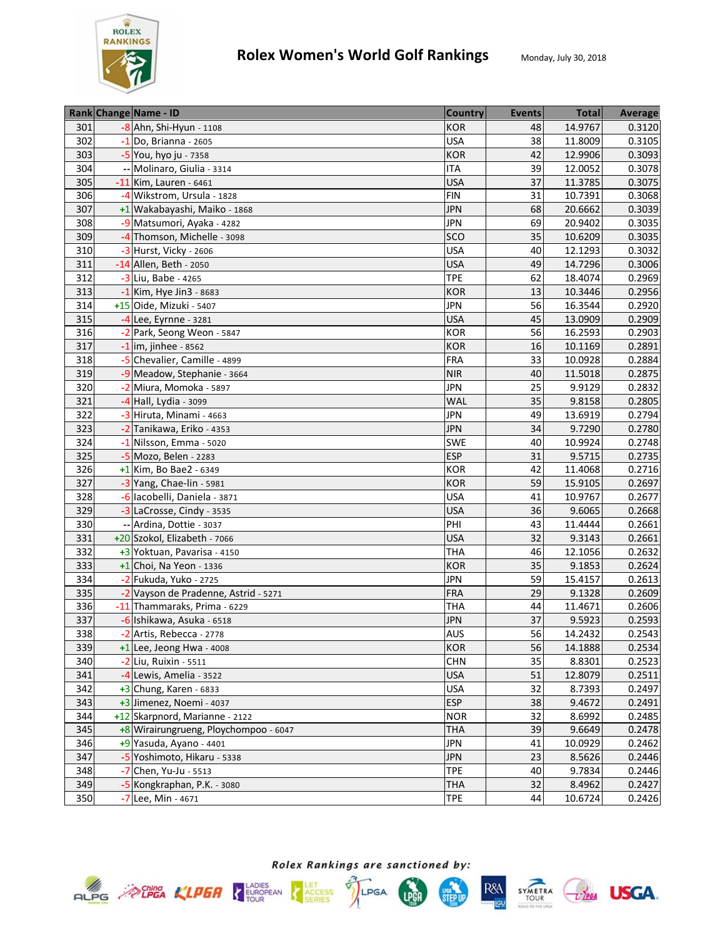

|     | Rank Change Name - ID                 | <b>Country</b> | <b>Events</b> | <b>Total</b> | Average |
|-----|---------------------------------------|----------------|---------------|--------------|---------|
| 301 | $-8$ Ahn, Shi-Hyun - 1108             | <b>KOR</b>     | 48            | 14.9767      | 0.3120  |
| 302 | $-1$ Do, Brianna - 2605               | <b>USA</b>     | 38            | 11.8009      | 0.3105  |
| 303 | -5 You, hyo ju - 7358                 | <b>KOR</b>     | 42            | 12.9906      | 0.3093  |
| 304 | -- Molinaro, Giulia - 3314            | <b>ITA</b>     | 39            | 12.0052      | 0.3078  |
| 305 | -11 Kim, Lauren - 6461                | <b>USA</b>     | 37            | 11.3785      | 0.3075  |
| 306 | -4 Wikstrom, Ursula - 1828            | <b>FIN</b>     | 31            | 10.7391      | 0.3068  |
| 307 | +1 Wakabayashi, Maiko - 1868          | <b>JPN</b>     | 68            | 20.6662      | 0.3039  |
| 308 | -9 Matsumori, Ayaka - 4282            | <b>JPN</b>     | 69            | 20.9402      | 0.3035  |
| 309 | -4 Thomson, Michelle - 3098           | SCO            | 35            | 10.6209      | 0.3035  |
| 310 | $-3$ Hurst, Vicky - 2606              | <b>USA</b>     | 40            | 12.1293      | 0.3032  |
| 311 | -14 Allen, Beth - 2050                | <b>USA</b>     | 49            | 14.7296      | 0.3006  |
| 312 | -3 Liu, Babe - 4265                   | <b>TPE</b>     | 62            | 18.4074      | 0.2969  |
| 313 | $-1$ Kim, Hye Jin3 - 8683             | <b>KOR</b>     | 13            | 10.3446      | 0.2956  |
| 314 | +15 Oide, Mizuki - 5407               | <b>JPN</b>     | 56            | 16.3544      | 0.2920  |
| 315 | $-4$ Lee, Eyrnne - 3281               | <b>USA</b>     | 45            | 13.0909      | 0.2909  |
| 316 | -2 Park, Seong Weon - 5847            | KOR            | 56            | 16.2593      | 0.2903  |
| 317 | $-1$ im, jinhee - 8562                | <b>KOR</b>     | 16            | 10.1169      | 0.2891  |
| 318 | -5 Chevalier, Camille - 4899          | <b>FRA</b>     | 33            | 10.0928      | 0.2884  |
| 319 | -9 Meadow, Stephanie - 3664           | <b>NIR</b>     | 40            | 11.5018      | 0.2875  |
| 320 | -2 Miura, Momoka - 5897               | <b>JPN</b>     | 25            | 9.9129       | 0.2832  |
| 321 | $-4$ Hall, Lydia - 3099               | <b>WAL</b>     | 35            | 9.8158       | 0.2805  |
| 322 | -3 Hiruta, Minami - 4663              | <b>JPN</b>     | 49            | 13.6919      | 0.2794  |
| 323 | -2 Tanikawa, Eriko - 4353             | <b>JPN</b>     | 34            | 9.7290       | 0.2780  |
| 324 | -1 Nilsson, Emma - 5020               | <b>SWE</b>     | 40            | 10.9924      | 0.2748  |
| 325 | -5 Mozo, Belen - 2283                 | <b>ESP</b>     | 31            | 9.5715       | 0.2735  |
| 326 | $+1$ Kim, Bo Bae2 - 6349              | KOR            | 42            | 11.4068      | 0.2716  |
| 327 | -3 Yang, Chae-lin - 5981              | KOR            | 59            | 15.9105      | 0.2697  |
| 328 | -6 lacobelli, Daniela - 3871          | <b>USA</b>     | 41            | 10.9767      | 0.2677  |
| 329 | -3 LaCrosse, Cindy - 3535             | <b>USA</b>     | 36            | 9.6065       | 0.2668  |
| 330 | -- Ardina, Dottie - 3037              | PHI            | 43            | 11.4444      | 0.2661  |
| 331 | +20 Szokol, Elizabeth - 7066          | <b>USA</b>     | 32            | 9.3143       | 0.2661  |
| 332 | +3 Yoktuan, Pavarisa - 4150           | <b>THA</b>     | 46            | 12.1056      | 0.2632  |
| 333 | $+1$ Choi, Na Yeon - 1336             | KOR            | 35            | 9.1853       | 0.2624  |
| 334 | -2 Fukuda, Yuko - 2725                | <b>JPN</b>     | 59            | 15.4157      | 0.2613  |
| 335 | -2 Vayson de Pradenne, Astrid - 5271  | <b>FRA</b>     | 29            | 9.1328       | 0.2609  |
| 336 | -11 Thammaraks, Prima - 6229          | <b>THA</b>     | 44            | 11.4671      | 0.2606  |
| 337 | -6 Ishikawa, Asuka - 6518             | <b>JPN</b>     | 37            | 9.5923       | 0.2593  |
| 338 | -2 Artis, Rebecca - 2778              | <b>AUS</b>     | 56            | 14.2432      | 0.2543  |
| 339 | $+1$ Lee, Jeong Hwa - 4008            | <b>KOR</b>     | 56            | 14.1888      | 0.2534  |
| 340 | -2 Liu, Ruixin - 5511                 | CHN            | 35            | 8.8301       | 0.2523  |
| 341 | -4 Lewis, Amelia - 3522               | <b>USA</b>     | 51            | 12.8079      | 0.2511  |
| 342 | $+3$ Chung, Karen - 6833              | <b>USA</b>     | 32            | 8.7393       | 0.2497  |
| 343 | +3 Jimenez, Noemi - 4037              | <b>ESP</b>     | 38            | 9.4672       | 0.2491  |
| 344 | +12 Skarpnord, Marianne - 2122        | <b>NOR</b>     | 32            | 8.6992       | 0.2485  |
| 345 | +8 Wirairungrueng, Ploychompoo - 6047 | <b>THA</b>     | 39            | 9.6649       | 0.2478  |
| 346 | +9 Yasuda, Ayano - 4401               | <b>JPN</b>     | 41            | 10.0929      | 0.2462  |
| 347 | -5 Yoshimoto, Hikaru - 5338           | <b>JPN</b>     | 23            | 8.5626       | 0.2446  |
| 348 | $-7$ Chen, Yu-Ju - 5513               | <b>TPE</b>     | 40            | 9.7834       | 0.2446  |
| 349 | -5 Kongkraphan, P.K. - 3080           | THA            | 32            | 8.4962       | 0.2427  |
| 350 | -7 Lee, Min - 4671                    | <b>TPE</b>     | 44            | 10.6724      | 0.2426  |
|     |                                       |                |               |              |         |









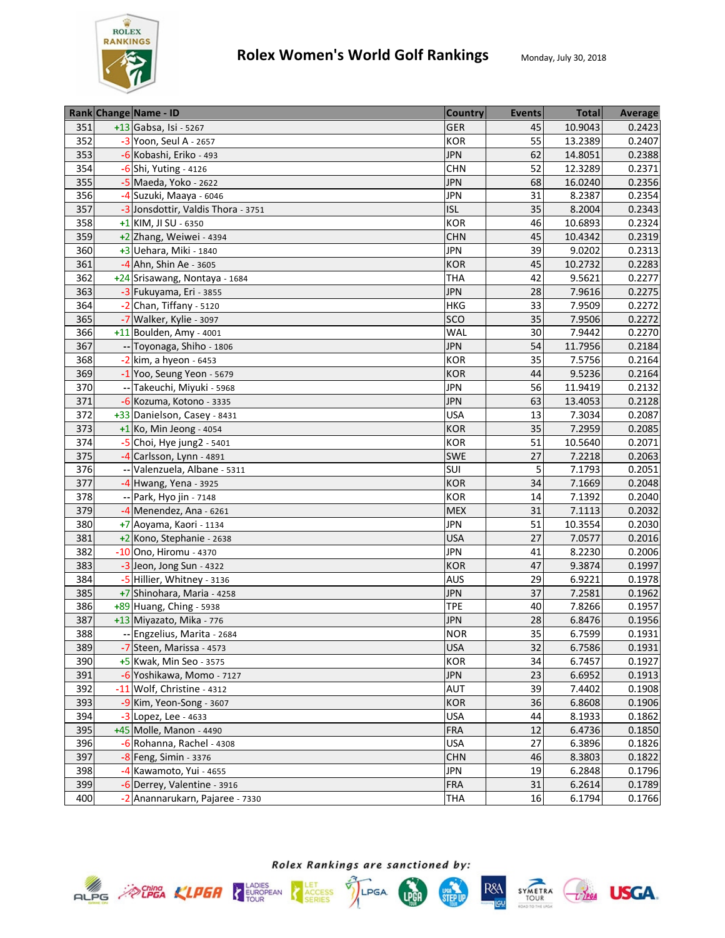

| +13 Gabsa, Isi - 5267<br>10.9043<br>351<br><b>GER</b><br>45<br>0.2423<br>55<br>352<br>-3 Yoon, Seul A - 2657<br>KOR<br>13.2389<br>0.2407<br>62<br>353<br>-6 Kobashi, Eriko - 493<br><b>JPN</b><br>14.8051<br>0.2388<br>354<br>52<br>-6 Shi, Yuting - 4126<br><b>CHN</b><br>12.3289<br>0.2371<br>355<br>-5 Maeda, Yoko - 2622<br><b>JPN</b><br>68<br>16.0240<br>0.2356<br>-4 Suzuki, Maaya - 6046<br><b>JPN</b><br>31<br>8.2387<br>0.2354<br>356<br>357<br><b>ISL</b><br>-3 Jonsdottir, Valdis Thora - 3751<br>35<br>8.2004<br>0.2343<br>0.2324<br>358<br>+1 KIM, JI SU - 6350<br><b>KOR</b><br>46<br>10.6893<br>359<br><b>CHN</b><br>10.4342<br>+2 Zhang, Weiwei - 4394<br>45<br>0.2319<br>360<br>+3 Uehara, Miki - 1840<br>39<br>9.0202<br>0.2313<br><b>JPN</b><br>361<br>-4 Ahn, Shin Ae - 3605<br>45<br><b>KOR</b><br>10.2732<br>0.2283<br>362<br>+24 Srisawang, Nontaya - 1684<br>42<br><b>THA</b><br>9.5621<br>0.2277<br>-3 Fukuyama, Eri - 3855<br>28<br>363<br><b>JPN</b><br>7.9616<br>0.2275<br>364<br>-2 Chan, Tiffany - 5120<br>33<br>7.9509<br><b>HKG</b><br>0.2272<br>35<br>SCO<br>7.9506<br>365<br>-7 Walker, Kylie - 3097<br>0.2272<br>+11 Boulden, Amy - 4001<br>30<br>7.9442<br>0.2270<br>366<br><b>WAL</b><br>54<br>367<br><b>JPN</b><br>-- Toyonaga, Shiho - 1806<br>11.7956<br>0.2184<br>7.5756<br>0.2164<br>368<br>$-2$ kim, a hyeon - 6453<br><b>KOR</b><br>35<br>9.5236<br>0.2164<br>369<br>-1 Yoo, Seung Yeon - 5679<br><b>KOR</b><br>44<br>0.2132<br>370<br>-- Takeuchi, Miyuki - 5968<br><b>JPN</b><br>11.9419<br>56<br>371<br>-6 Kozuma, Kotono - 3335<br><b>JPN</b><br>63<br>13.4053<br>0.2128<br>372<br>+33 Danielson, Casey - 8431<br><b>USA</b><br>13<br>7.3034<br>0.2087<br>373<br><b>KOR</b><br>35<br>7.2959<br>$+1$ Ko, Min Jeong - 4054<br>0.2085<br>51<br>374<br>$-5$ Choi, Hye jung2 - 5401<br><b>KOR</b><br>10.5640<br>0.2071<br>375<br>27<br><b>SWE</b><br>-4 Carlsson, Lynn - 4891<br>7.2218<br>0.2063<br>-- Valenzuela, Albane - 5311<br>376<br>SUI<br>7.1793<br>5<br>0.2051<br>377<br>34<br>-4 Hwang, Yena - 3925<br><b>KOR</b><br>7.1669<br>0.2048<br>378<br>-- Park, Hyo jin - 7148<br>KOR<br>14<br>7.1392<br>0.2040<br>379<br><b>MEX</b><br>31<br>7.1113<br>0.2032<br>$-4$ Menendez, Ana - 6261<br>51<br>380<br>+7 Aoyama, Kaori - 1134<br><b>JPN</b><br>10.3554<br>0.2030<br>27<br>381<br><b>USA</b><br>7.0577<br>0.2016<br>+2 Kono, Stephanie - 2638<br>8.2230<br>382<br>-10 Ono, Hiromu - 4370<br><b>JPN</b><br>41<br>0.2006<br>-3 Jeon, Jong Sun - 4322<br><b>KOR</b><br>47<br>9.3874<br>0.1997<br>383<br>384<br>-5 Hillier, Whitney - 3136<br><b>AUS</b><br>29<br>6.9221<br>0.1978<br>37<br>7.2581<br>385<br>+7 Shinohara, Maria - 4258<br><b>JPN</b><br>0.1962<br><b>TPE</b><br>7.8266<br>0.1957<br>386<br>+89 Huang, Ching - 5938<br>40<br>387<br>28<br>6.8476<br>0.1956<br>+13 Miyazato, Mika - 776<br><b>JPN</b><br>35<br>388<br>6.7599<br><b>NOR</b><br>-- Engzelius, Marita - 2684<br>389<br><b>USA</b><br>32<br>6.7586<br>0.1931<br>-7 Steen, Marissa - 4573<br>390<br>+5 Kwak, Min Seo - 3575<br>KOR<br>34<br>6.7457<br>0.1927<br><b>JPN</b><br>23<br>391<br>-6 Yoshikawa, Momo - 7127<br>6.6952<br>0.1913<br>392<br><b>AUT</b><br>39<br>7.4402<br>-11 Wolf, Christine - 4312<br>0.1908<br>393<br><b>KOR</b><br>36<br>6.8608<br>0.1906<br>-9 Kim, Yeon-Song - 3607<br><b>USA</b><br>8.1933<br>394<br>$-3$ Lopez, Lee - 4633<br>44<br>0.1862<br>12<br>395<br>+45 Molle, Manon - 4490<br><b>FRA</b><br>6.4736<br>0.1850<br>27<br>6.3896<br>396<br><b>USA</b><br>0.1826<br>$-6$ Rohanna, Rachel - 4308<br>397<br>$-8$ Feng, Simin - 3376<br><b>CHN</b><br>46<br>8.3803<br>0.1822<br>398<br>-4 Kawamoto, Yui - 4655<br><b>JPN</b><br>6.2848<br>0.1796<br>19<br>399<br>31<br>0.1789<br>-6 Derrey, Valentine - 3916<br><b>FRA</b><br>6.2614<br>400<br>16<br>6.1794<br>-2 Anannarukarn, Pajaree - 7330<br><b>THA</b> |  | Rank Change Name - ID | <b>Country</b> | <b>Events</b> | <b>Total</b> | Average |
|------------------------------------------------------------------------------------------------------------------------------------------------------------------------------------------------------------------------------------------------------------------------------------------------------------------------------------------------------------------------------------------------------------------------------------------------------------------------------------------------------------------------------------------------------------------------------------------------------------------------------------------------------------------------------------------------------------------------------------------------------------------------------------------------------------------------------------------------------------------------------------------------------------------------------------------------------------------------------------------------------------------------------------------------------------------------------------------------------------------------------------------------------------------------------------------------------------------------------------------------------------------------------------------------------------------------------------------------------------------------------------------------------------------------------------------------------------------------------------------------------------------------------------------------------------------------------------------------------------------------------------------------------------------------------------------------------------------------------------------------------------------------------------------------------------------------------------------------------------------------------------------------------------------------------------------------------------------------------------------------------------------------------------------------------------------------------------------------------------------------------------------------------------------------------------------------------------------------------------------------------------------------------------------------------------------------------------------------------------------------------------------------------------------------------------------------------------------------------------------------------------------------------------------------------------------------------------------------------------------------------------------------------------------------------------------------------------------------------------------------------------------------------------------------------------------------------------------------------------------------------------------------------------------------------------------------------------------------------------------------------------------------------------------------------------------------------------------------------------------------------------------------------------------------------------------------------------------------------------------------------------------------------------------------------------------------------------------------------------------------------------------------------------------------------------------------------------------------------------------------------------------------------------------------------------------------------------------------------------------------------------------------------------------------------------------------------------------------------------------------------------------------------------------------------------------------------------------------------------------------|--|-----------------------|----------------|---------------|--------------|---------|
| 0.1931<br>0.1766                                                                                                                                                                                                                                                                                                                                                                                                                                                                                                                                                                                                                                                                                                                                                                                                                                                                                                                                                                                                                                                                                                                                                                                                                                                                                                                                                                                                                                                                                                                                                                                                                                                                                                                                                                                                                                                                                                                                                                                                                                                                                                                                                                                                                                                                                                                                                                                                                                                                                                                                                                                                                                                                                                                                                                                                                                                                                                                                                                                                                                                                                                                                                                                                                                                                                                                                                                                                                                                                                                                                                                                                                                                                                                                                                                                                                                                       |  |                       |                |               |              |         |
|                                                                                                                                                                                                                                                                                                                                                                                                                                                                                                                                                                                                                                                                                                                                                                                                                                                                                                                                                                                                                                                                                                                                                                                                                                                                                                                                                                                                                                                                                                                                                                                                                                                                                                                                                                                                                                                                                                                                                                                                                                                                                                                                                                                                                                                                                                                                                                                                                                                                                                                                                                                                                                                                                                                                                                                                                                                                                                                                                                                                                                                                                                                                                                                                                                                                                                                                                                                                                                                                                                                                                                                                                                                                                                                                                                                                                                                                        |  |                       |                |               |              |         |
|                                                                                                                                                                                                                                                                                                                                                                                                                                                                                                                                                                                                                                                                                                                                                                                                                                                                                                                                                                                                                                                                                                                                                                                                                                                                                                                                                                                                                                                                                                                                                                                                                                                                                                                                                                                                                                                                                                                                                                                                                                                                                                                                                                                                                                                                                                                                                                                                                                                                                                                                                                                                                                                                                                                                                                                                                                                                                                                                                                                                                                                                                                                                                                                                                                                                                                                                                                                                                                                                                                                                                                                                                                                                                                                                                                                                                                                                        |  |                       |                |               |              |         |
|                                                                                                                                                                                                                                                                                                                                                                                                                                                                                                                                                                                                                                                                                                                                                                                                                                                                                                                                                                                                                                                                                                                                                                                                                                                                                                                                                                                                                                                                                                                                                                                                                                                                                                                                                                                                                                                                                                                                                                                                                                                                                                                                                                                                                                                                                                                                                                                                                                                                                                                                                                                                                                                                                                                                                                                                                                                                                                                                                                                                                                                                                                                                                                                                                                                                                                                                                                                                                                                                                                                                                                                                                                                                                                                                                                                                                                                                        |  |                       |                |               |              |         |
|                                                                                                                                                                                                                                                                                                                                                                                                                                                                                                                                                                                                                                                                                                                                                                                                                                                                                                                                                                                                                                                                                                                                                                                                                                                                                                                                                                                                                                                                                                                                                                                                                                                                                                                                                                                                                                                                                                                                                                                                                                                                                                                                                                                                                                                                                                                                                                                                                                                                                                                                                                                                                                                                                                                                                                                                                                                                                                                                                                                                                                                                                                                                                                                                                                                                                                                                                                                                                                                                                                                                                                                                                                                                                                                                                                                                                                                                        |  |                       |                |               |              |         |
|                                                                                                                                                                                                                                                                                                                                                                                                                                                                                                                                                                                                                                                                                                                                                                                                                                                                                                                                                                                                                                                                                                                                                                                                                                                                                                                                                                                                                                                                                                                                                                                                                                                                                                                                                                                                                                                                                                                                                                                                                                                                                                                                                                                                                                                                                                                                                                                                                                                                                                                                                                                                                                                                                                                                                                                                                                                                                                                                                                                                                                                                                                                                                                                                                                                                                                                                                                                                                                                                                                                                                                                                                                                                                                                                                                                                                                                                        |  |                       |                |               |              |         |
|                                                                                                                                                                                                                                                                                                                                                                                                                                                                                                                                                                                                                                                                                                                                                                                                                                                                                                                                                                                                                                                                                                                                                                                                                                                                                                                                                                                                                                                                                                                                                                                                                                                                                                                                                                                                                                                                                                                                                                                                                                                                                                                                                                                                                                                                                                                                                                                                                                                                                                                                                                                                                                                                                                                                                                                                                                                                                                                                                                                                                                                                                                                                                                                                                                                                                                                                                                                                                                                                                                                                                                                                                                                                                                                                                                                                                                                                        |  |                       |                |               |              |         |
|                                                                                                                                                                                                                                                                                                                                                                                                                                                                                                                                                                                                                                                                                                                                                                                                                                                                                                                                                                                                                                                                                                                                                                                                                                                                                                                                                                                                                                                                                                                                                                                                                                                                                                                                                                                                                                                                                                                                                                                                                                                                                                                                                                                                                                                                                                                                                                                                                                                                                                                                                                                                                                                                                                                                                                                                                                                                                                                                                                                                                                                                                                                                                                                                                                                                                                                                                                                                                                                                                                                                                                                                                                                                                                                                                                                                                                                                        |  |                       |                |               |              |         |
|                                                                                                                                                                                                                                                                                                                                                                                                                                                                                                                                                                                                                                                                                                                                                                                                                                                                                                                                                                                                                                                                                                                                                                                                                                                                                                                                                                                                                                                                                                                                                                                                                                                                                                                                                                                                                                                                                                                                                                                                                                                                                                                                                                                                                                                                                                                                                                                                                                                                                                                                                                                                                                                                                                                                                                                                                                                                                                                                                                                                                                                                                                                                                                                                                                                                                                                                                                                                                                                                                                                                                                                                                                                                                                                                                                                                                                                                        |  |                       |                |               |              |         |
|                                                                                                                                                                                                                                                                                                                                                                                                                                                                                                                                                                                                                                                                                                                                                                                                                                                                                                                                                                                                                                                                                                                                                                                                                                                                                                                                                                                                                                                                                                                                                                                                                                                                                                                                                                                                                                                                                                                                                                                                                                                                                                                                                                                                                                                                                                                                                                                                                                                                                                                                                                                                                                                                                                                                                                                                                                                                                                                                                                                                                                                                                                                                                                                                                                                                                                                                                                                                                                                                                                                                                                                                                                                                                                                                                                                                                                                                        |  |                       |                |               |              |         |
|                                                                                                                                                                                                                                                                                                                                                                                                                                                                                                                                                                                                                                                                                                                                                                                                                                                                                                                                                                                                                                                                                                                                                                                                                                                                                                                                                                                                                                                                                                                                                                                                                                                                                                                                                                                                                                                                                                                                                                                                                                                                                                                                                                                                                                                                                                                                                                                                                                                                                                                                                                                                                                                                                                                                                                                                                                                                                                                                                                                                                                                                                                                                                                                                                                                                                                                                                                                                                                                                                                                                                                                                                                                                                                                                                                                                                                                                        |  |                       |                |               |              |         |
|                                                                                                                                                                                                                                                                                                                                                                                                                                                                                                                                                                                                                                                                                                                                                                                                                                                                                                                                                                                                                                                                                                                                                                                                                                                                                                                                                                                                                                                                                                                                                                                                                                                                                                                                                                                                                                                                                                                                                                                                                                                                                                                                                                                                                                                                                                                                                                                                                                                                                                                                                                                                                                                                                                                                                                                                                                                                                                                                                                                                                                                                                                                                                                                                                                                                                                                                                                                                                                                                                                                                                                                                                                                                                                                                                                                                                                                                        |  |                       |                |               |              |         |
|                                                                                                                                                                                                                                                                                                                                                                                                                                                                                                                                                                                                                                                                                                                                                                                                                                                                                                                                                                                                                                                                                                                                                                                                                                                                                                                                                                                                                                                                                                                                                                                                                                                                                                                                                                                                                                                                                                                                                                                                                                                                                                                                                                                                                                                                                                                                                                                                                                                                                                                                                                                                                                                                                                                                                                                                                                                                                                                                                                                                                                                                                                                                                                                                                                                                                                                                                                                                                                                                                                                                                                                                                                                                                                                                                                                                                                                                        |  |                       |                |               |              |         |
|                                                                                                                                                                                                                                                                                                                                                                                                                                                                                                                                                                                                                                                                                                                                                                                                                                                                                                                                                                                                                                                                                                                                                                                                                                                                                                                                                                                                                                                                                                                                                                                                                                                                                                                                                                                                                                                                                                                                                                                                                                                                                                                                                                                                                                                                                                                                                                                                                                                                                                                                                                                                                                                                                                                                                                                                                                                                                                                                                                                                                                                                                                                                                                                                                                                                                                                                                                                                                                                                                                                                                                                                                                                                                                                                                                                                                                                                        |  |                       |                |               |              |         |
|                                                                                                                                                                                                                                                                                                                                                                                                                                                                                                                                                                                                                                                                                                                                                                                                                                                                                                                                                                                                                                                                                                                                                                                                                                                                                                                                                                                                                                                                                                                                                                                                                                                                                                                                                                                                                                                                                                                                                                                                                                                                                                                                                                                                                                                                                                                                                                                                                                                                                                                                                                                                                                                                                                                                                                                                                                                                                                                                                                                                                                                                                                                                                                                                                                                                                                                                                                                                                                                                                                                                                                                                                                                                                                                                                                                                                                                                        |  |                       |                |               |              |         |
|                                                                                                                                                                                                                                                                                                                                                                                                                                                                                                                                                                                                                                                                                                                                                                                                                                                                                                                                                                                                                                                                                                                                                                                                                                                                                                                                                                                                                                                                                                                                                                                                                                                                                                                                                                                                                                                                                                                                                                                                                                                                                                                                                                                                                                                                                                                                                                                                                                                                                                                                                                                                                                                                                                                                                                                                                                                                                                                                                                                                                                                                                                                                                                                                                                                                                                                                                                                                                                                                                                                                                                                                                                                                                                                                                                                                                                                                        |  |                       |                |               |              |         |
|                                                                                                                                                                                                                                                                                                                                                                                                                                                                                                                                                                                                                                                                                                                                                                                                                                                                                                                                                                                                                                                                                                                                                                                                                                                                                                                                                                                                                                                                                                                                                                                                                                                                                                                                                                                                                                                                                                                                                                                                                                                                                                                                                                                                                                                                                                                                                                                                                                                                                                                                                                                                                                                                                                                                                                                                                                                                                                                                                                                                                                                                                                                                                                                                                                                                                                                                                                                                                                                                                                                                                                                                                                                                                                                                                                                                                                                                        |  |                       |                |               |              |         |
|                                                                                                                                                                                                                                                                                                                                                                                                                                                                                                                                                                                                                                                                                                                                                                                                                                                                                                                                                                                                                                                                                                                                                                                                                                                                                                                                                                                                                                                                                                                                                                                                                                                                                                                                                                                                                                                                                                                                                                                                                                                                                                                                                                                                                                                                                                                                                                                                                                                                                                                                                                                                                                                                                                                                                                                                                                                                                                                                                                                                                                                                                                                                                                                                                                                                                                                                                                                                                                                                                                                                                                                                                                                                                                                                                                                                                                                                        |  |                       |                |               |              |         |
|                                                                                                                                                                                                                                                                                                                                                                                                                                                                                                                                                                                                                                                                                                                                                                                                                                                                                                                                                                                                                                                                                                                                                                                                                                                                                                                                                                                                                                                                                                                                                                                                                                                                                                                                                                                                                                                                                                                                                                                                                                                                                                                                                                                                                                                                                                                                                                                                                                                                                                                                                                                                                                                                                                                                                                                                                                                                                                                                                                                                                                                                                                                                                                                                                                                                                                                                                                                                                                                                                                                                                                                                                                                                                                                                                                                                                                                                        |  |                       |                |               |              |         |
|                                                                                                                                                                                                                                                                                                                                                                                                                                                                                                                                                                                                                                                                                                                                                                                                                                                                                                                                                                                                                                                                                                                                                                                                                                                                                                                                                                                                                                                                                                                                                                                                                                                                                                                                                                                                                                                                                                                                                                                                                                                                                                                                                                                                                                                                                                                                                                                                                                                                                                                                                                                                                                                                                                                                                                                                                                                                                                                                                                                                                                                                                                                                                                                                                                                                                                                                                                                                                                                                                                                                                                                                                                                                                                                                                                                                                                                                        |  |                       |                |               |              |         |
|                                                                                                                                                                                                                                                                                                                                                                                                                                                                                                                                                                                                                                                                                                                                                                                                                                                                                                                                                                                                                                                                                                                                                                                                                                                                                                                                                                                                                                                                                                                                                                                                                                                                                                                                                                                                                                                                                                                                                                                                                                                                                                                                                                                                                                                                                                                                                                                                                                                                                                                                                                                                                                                                                                                                                                                                                                                                                                                                                                                                                                                                                                                                                                                                                                                                                                                                                                                                                                                                                                                                                                                                                                                                                                                                                                                                                                                                        |  |                       |                |               |              |         |
|                                                                                                                                                                                                                                                                                                                                                                                                                                                                                                                                                                                                                                                                                                                                                                                                                                                                                                                                                                                                                                                                                                                                                                                                                                                                                                                                                                                                                                                                                                                                                                                                                                                                                                                                                                                                                                                                                                                                                                                                                                                                                                                                                                                                                                                                                                                                                                                                                                                                                                                                                                                                                                                                                                                                                                                                                                                                                                                                                                                                                                                                                                                                                                                                                                                                                                                                                                                                                                                                                                                                                                                                                                                                                                                                                                                                                                                                        |  |                       |                |               |              |         |
|                                                                                                                                                                                                                                                                                                                                                                                                                                                                                                                                                                                                                                                                                                                                                                                                                                                                                                                                                                                                                                                                                                                                                                                                                                                                                                                                                                                                                                                                                                                                                                                                                                                                                                                                                                                                                                                                                                                                                                                                                                                                                                                                                                                                                                                                                                                                                                                                                                                                                                                                                                                                                                                                                                                                                                                                                                                                                                                                                                                                                                                                                                                                                                                                                                                                                                                                                                                                                                                                                                                                                                                                                                                                                                                                                                                                                                                                        |  |                       |                |               |              |         |
|                                                                                                                                                                                                                                                                                                                                                                                                                                                                                                                                                                                                                                                                                                                                                                                                                                                                                                                                                                                                                                                                                                                                                                                                                                                                                                                                                                                                                                                                                                                                                                                                                                                                                                                                                                                                                                                                                                                                                                                                                                                                                                                                                                                                                                                                                                                                                                                                                                                                                                                                                                                                                                                                                                                                                                                                                                                                                                                                                                                                                                                                                                                                                                                                                                                                                                                                                                                                                                                                                                                                                                                                                                                                                                                                                                                                                                                                        |  |                       |                |               |              |         |
|                                                                                                                                                                                                                                                                                                                                                                                                                                                                                                                                                                                                                                                                                                                                                                                                                                                                                                                                                                                                                                                                                                                                                                                                                                                                                                                                                                                                                                                                                                                                                                                                                                                                                                                                                                                                                                                                                                                                                                                                                                                                                                                                                                                                                                                                                                                                                                                                                                                                                                                                                                                                                                                                                                                                                                                                                                                                                                                                                                                                                                                                                                                                                                                                                                                                                                                                                                                                                                                                                                                                                                                                                                                                                                                                                                                                                                                                        |  |                       |                |               |              |         |
|                                                                                                                                                                                                                                                                                                                                                                                                                                                                                                                                                                                                                                                                                                                                                                                                                                                                                                                                                                                                                                                                                                                                                                                                                                                                                                                                                                                                                                                                                                                                                                                                                                                                                                                                                                                                                                                                                                                                                                                                                                                                                                                                                                                                                                                                                                                                                                                                                                                                                                                                                                                                                                                                                                                                                                                                                                                                                                                                                                                                                                                                                                                                                                                                                                                                                                                                                                                                                                                                                                                                                                                                                                                                                                                                                                                                                                                                        |  |                       |                |               |              |         |
|                                                                                                                                                                                                                                                                                                                                                                                                                                                                                                                                                                                                                                                                                                                                                                                                                                                                                                                                                                                                                                                                                                                                                                                                                                                                                                                                                                                                                                                                                                                                                                                                                                                                                                                                                                                                                                                                                                                                                                                                                                                                                                                                                                                                                                                                                                                                                                                                                                                                                                                                                                                                                                                                                                                                                                                                                                                                                                                                                                                                                                                                                                                                                                                                                                                                                                                                                                                                                                                                                                                                                                                                                                                                                                                                                                                                                                                                        |  |                       |                |               |              |         |
|                                                                                                                                                                                                                                                                                                                                                                                                                                                                                                                                                                                                                                                                                                                                                                                                                                                                                                                                                                                                                                                                                                                                                                                                                                                                                                                                                                                                                                                                                                                                                                                                                                                                                                                                                                                                                                                                                                                                                                                                                                                                                                                                                                                                                                                                                                                                                                                                                                                                                                                                                                                                                                                                                                                                                                                                                                                                                                                                                                                                                                                                                                                                                                                                                                                                                                                                                                                                                                                                                                                                                                                                                                                                                                                                                                                                                                                                        |  |                       |                |               |              |         |
|                                                                                                                                                                                                                                                                                                                                                                                                                                                                                                                                                                                                                                                                                                                                                                                                                                                                                                                                                                                                                                                                                                                                                                                                                                                                                                                                                                                                                                                                                                                                                                                                                                                                                                                                                                                                                                                                                                                                                                                                                                                                                                                                                                                                                                                                                                                                                                                                                                                                                                                                                                                                                                                                                                                                                                                                                                                                                                                                                                                                                                                                                                                                                                                                                                                                                                                                                                                                                                                                                                                                                                                                                                                                                                                                                                                                                                                                        |  |                       |                |               |              |         |
|                                                                                                                                                                                                                                                                                                                                                                                                                                                                                                                                                                                                                                                                                                                                                                                                                                                                                                                                                                                                                                                                                                                                                                                                                                                                                                                                                                                                                                                                                                                                                                                                                                                                                                                                                                                                                                                                                                                                                                                                                                                                                                                                                                                                                                                                                                                                                                                                                                                                                                                                                                                                                                                                                                                                                                                                                                                                                                                                                                                                                                                                                                                                                                                                                                                                                                                                                                                                                                                                                                                                                                                                                                                                                                                                                                                                                                                                        |  |                       |                |               |              |         |
|                                                                                                                                                                                                                                                                                                                                                                                                                                                                                                                                                                                                                                                                                                                                                                                                                                                                                                                                                                                                                                                                                                                                                                                                                                                                                                                                                                                                                                                                                                                                                                                                                                                                                                                                                                                                                                                                                                                                                                                                                                                                                                                                                                                                                                                                                                                                                                                                                                                                                                                                                                                                                                                                                                                                                                                                                                                                                                                                                                                                                                                                                                                                                                                                                                                                                                                                                                                                                                                                                                                                                                                                                                                                                                                                                                                                                                                                        |  |                       |                |               |              |         |
|                                                                                                                                                                                                                                                                                                                                                                                                                                                                                                                                                                                                                                                                                                                                                                                                                                                                                                                                                                                                                                                                                                                                                                                                                                                                                                                                                                                                                                                                                                                                                                                                                                                                                                                                                                                                                                                                                                                                                                                                                                                                                                                                                                                                                                                                                                                                                                                                                                                                                                                                                                                                                                                                                                                                                                                                                                                                                                                                                                                                                                                                                                                                                                                                                                                                                                                                                                                                                                                                                                                                                                                                                                                                                                                                                                                                                                                                        |  |                       |                |               |              |         |
|                                                                                                                                                                                                                                                                                                                                                                                                                                                                                                                                                                                                                                                                                                                                                                                                                                                                                                                                                                                                                                                                                                                                                                                                                                                                                                                                                                                                                                                                                                                                                                                                                                                                                                                                                                                                                                                                                                                                                                                                                                                                                                                                                                                                                                                                                                                                                                                                                                                                                                                                                                                                                                                                                                                                                                                                                                                                                                                                                                                                                                                                                                                                                                                                                                                                                                                                                                                                                                                                                                                                                                                                                                                                                                                                                                                                                                                                        |  |                       |                |               |              |         |
|                                                                                                                                                                                                                                                                                                                                                                                                                                                                                                                                                                                                                                                                                                                                                                                                                                                                                                                                                                                                                                                                                                                                                                                                                                                                                                                                                                                                                                                                                                                                                                                                                                                                                                                                                                                                                                                                                                                                                                                                                                                                                                                                                                                                                                                                                                                                                                                                                                                                                                                                                                                                                                                                                                                                                                                                                                                                                                                                                                                                                                                                                                                                                                                                                                                                                                                                                                                                                                                                                                                                                                                                                                                                                                                                                                                                                                                                        |  |                       |                |               |              |         |
|                                                                                                                                                                                                                                                                                                                                                                                                                                                                                                                                                                                                                                                                                                                                                                                                                                                                                                                                                                                                                                                                                                                                                                                                                                                                                                                                                                                                                                                                                                                                                                                                                                                                                                                                                                                                                                                                                                                                                                                                                                                                                                                                                                                                                                                                                                                                                                                                                                                                                                                                                                                                                                                                                                                                                                                                                                                                                                                                                                                                                                                                                                                                                                                                                                                                                                                                                                                                                                                                                                                                                                                                                                                                                                                                                                                                                                                                        |  |                       |                |               |              |         |
|                                                                                                                                                                                                                                                                                                                                                                                                                                                                                                                                                                                                                                                                                                                                                                                                                                                                                                                                                                                                                                                                                                                                                                                                                                                                                                                                                                                                                                                                                                                                                                                                                                                                                                                                                                                                                                                                                                                                                                                                                                                                                                                                                                                                                                                                                                                                                                                                                                                                                                                                                                                                                                                                                                                                                                                                                                                                                                                                                                                                                                                                                                                                                                                                                                                                                                                                                                                                                                                                                                                                                                                                                                                                                                                                                                                                                                                                        |  |                       |                |               |              |         |
|                                                                                                                                                                                                                                                                                                                                                                                                                                                                                                                                                                                                                                                                                                                                                                                                                                                                                                                                                                                                                                                                                                                                                                                                                                                                                                                                                                                                                                                                                                                                                                                                                                                                                                                                                                                                                                                                                                                                                                                                                                                                                                                                                                                                                                                                                                                                                                                                                                                                                                                                                                                                                                                                                                                                                                                                                                                                                                                                                                                                                                                                                                                                                                                                                                                                                                                                                                                                                                                                                                                                                                                                                                                                                                                                                                                                                                                                        |  |                       |                |               |              |         |
|                                                                                                                                                                                                                                                                                                                                                                                                                                                                                                                                                                                                                                                                                                                                                                                                                                                                                                                                                                                                                                                                                                                                                                                                                                                                                                                                                                                                                                                                                                                                                                                                                                                                                                                                                                                                                                                                                                                                                                                                                                                                                                                                                                                                                                                                                                                                                                                                                                                                                                                                                                                                                                                                                                                                                                                                                                                                                                                                                                                                                                                                                                                                                                                                                                                                                                                                                                                                                                                                                                                                                                                                                                                                                                                                                                                                                                                                        |  |                       |                |               |              |         |
|                                                                                                                                                                                                                                                                                                                                                                                                                                                                                                                                                                                                                                                                                                                                                                                                                                                                                                                                                                                                                                                                                                                                                                                                                                                                                                                                                                                                                                                                                                                                                                                                                                                                                                                                                                                                                                                                                                                                                                                                                                                                                                                                                                                                                                                                                                                                                                                                                                                                                                                                                                                                                                                                                                                                                                                                                                                                                                                                                                                                                                                                                                                                                                                                                                                                                                                                                                                                                                                                                                                                                                                                                                                                                                                                                                                                                                                                        |  |                       |                |               |              |         |
|                                                                                                                                                                                                                                                                                                                                                                                                                                                                                                                                                                                                                                                                                                                                                                                                                                                                                                                                                                                                                                                                                                                                                                                                                                                                                                                                                                                                                                                                                                                                                                                                                                                                                                                                                                                                                                                                                                                                                                                                                                                                                                                                                                                                                                                                                                                                                                                                                                                                                                                                                                                                                                                                                                                                                                                                                                                                                                                                                                                                                                                                                                                                                                                                                                                                                                                                                                                                                                                                                                                                                                                                                                                                                                                                                                                                                                                                        |  |                       |                |               |              |         |
|                                                                                                                                                                                                                                                                                                                                                                                                                                                                                                                                                                                                                                                                                                                                                                                                                                                                                                                                                                                                                                                                                                                                                                                                                                                                                                                                                                                                                                                                                                                                                                                                                                                                                                                                                                                                                                                                                                                                                                                                                                                                                                                                                                                                                                                                                                                                                                                                                                                                                                                                                                                                                                                                                                                                                                                                                                                                                                                                                                                                                                                                                                                                                                                                                                                                                                                                                                                                                                                                                                                                                                                                                                                                                                                                                                                                                                                                        |  |                       |                |               |              |         |
|                                                                                                                                                                                                                                                                                                                                                                                                                                                                                                                                                                                                                                                                                                                                                                                                                                                                                                                                                                                                                                                                                                                                                                                                                                                                                                                                                                                                                                                                                                                                                                                                                                                                                                                                                                                                                                                                                                                                                                                                                                                                                                                                                                                                                                                                                                                                                                                                                                                                                                                                                                                                                                                                                                                                                                                                                                                                                                                                                                                                                                                                                                                                                                                                                                                                                                                                                                                                                                                                                                                                                                                                                                                                                                                                                                                                                                                                        |  |                       |                |               |              |         |
|                                                                                                                                                                                                                                                                                                                                                                                                                                                                                                                                                                                                                                                                                                                                                                                                                                                                                                                                                                                                                                                                                                                                                                                                                                                                                                                                                                                                                                                                                                                                                                                                                                                                                                                                                                                                                                                                                                                                                                                                                                                                                                                                                                                                                                                                                                                                                                                                                                                                                                                                                                                                                                                                                                                                                                                                                                                                                                                                                                                                                                                                                                                                                                                                                                                                                                                                                                                                                                                                                                                                                                                                                                                                                                                                                                                                                                                                        |  |                       |                |               |              |         |
|                                                                                                                                                                                                                                                                                                                                                                                                                                                                                                                                                                                                                                                                                                                                                                                                                                                                                                                                                                                                                                                                                                                                                                                                                                                                                                                                                                                                                                                                                                                                                                                                                                                                                                                                                                                                                                                                                                                                                                                                                                                                                                                                                                                                                                                                                                                                                                                                                                                                                                                                                                                                                                                                                                                                                                                                                                                                                                                                                                                                                                                                                                                                                                                                                                                                                                                                                                                                                                                                                                                                                                                                                                                                                                                                                                                                                                                                        |  |                       |                |               |              |         |
|                                                                                                                                                                                                                                                                                                                                                                                                                                                                                                                                                                                                                                                                                                                                                                                                                                                                                                                                                                                                                                                                                                                                                                                                                                                                                                                                                                                                                                                                                                                                                                                                                                                                                                                                                                                                                                                                                                                                                                                                                                                                                                                                                                                                                                                                                                                                                                                                                                                                                                                                                                                                                                                                                                                                                                                                                                                                                                                                                                                                                                                                                                                                                                                                                                                                                                                                                                                                                                                                                                                                                                                                                                                                                                                                                                                                                                                                        |  |                       |                |               |              |         |
|                                                                                                                                                                                                                                                                                                                                                                                                                                                                                                                                                                                                                                                                                                                                                                                                                                                                                                                                                                                                                                                                                                                                                                                                                                                                                                                                                                                                                                                                                                                                                                                                                                                                                                                                                                                                                                                                                                                                                                                                                                                                                                                                                                                                                                                                                                                                                                                                                                                                                                                                                                                                                                                                                                                                                                                                                                                                                                                                                                                                                                                                                                                                                                                                                                                                                                                                                                                                                                                                                                                                                                                                                                                                                                                                                                                                                                                                        |  |                       |                |               |              |         |
|                                                                                                                                                                                                                                                                                                                                                                                                                                                                                                                                                                                                                                                                                                                                                                                                                                                                                                                                                                                                                                                                                                                                                                                                                                                                                                                                                                                                                                                                                                                                                                                                                                                                                                                                                                                                                                                                                                                                                                                                                                                                                                                                                                                                                                                                                                                                                                                                                                                                                                                                                                                                                                                                                                                                                                                                                                                                                                                                                                                                                                                                                                                                                                                                                                                                                                                                                                                                                                                                                                                                                                                                                                                                                                                                                                                                                                                                        |  |                       |                |               |              |         |
|                                                                                                                                                                                                                                                                                                                                                                                                                                                                                                                                                                                                                                                                                                                                                                                                                                                                                                                                                                                                                                                                                                                                                                                                                                                                                                                                                                                                                                                                                                                                                                                                                                                                                                                                                                                                                                                                                                                                                                                                                                                                                                                                                                                                                                                                                                                                                                                                                                                                                                                                                                                                                                                                                                                                                                                                                                                                                                                                                                                                                                                                                                                                                                                                                                                                                                                                                                                                                                                                                                                                                                                                                                                                                                                                                                                                                                                                        |  |                       |                |               |              |         |
|                                                                                                                                                                                                                                                                                                                                                                                                                                                                                                                                                                                                                                                                                                                                                                                                                                                                                                                                                                                                                                                                                                                                                                                                                                                                                                                                                                                                                                                                                                                                                                                                                                                                                                                                                                                                                                                                                                                                                                                                                                                                                                                                                                                                                                                                                                                                                                                                                                                                                                                                                                                                                                                                                                                                                                                                                                                                                                                                                                                                                                                                                                                                                                                                                                                                                                                                                                                                                                                                                                                                                                                                                                                                                                                                                                                                                                                                        |  |                       |                |               |              |         |
|                                                                                                                                                                                                                                                                                                                                                                                                                                                                                                                                                                                                                                                                                                                                                                                                                                                                                                                                                                                                                                                                                                                                                                                                                                                                                                                                                                                                                                                                                                                                                                                                                                                                                                                                                                                                                                                                                                                                                                                                                                                                                                                                                                                                                                                                                                                                                                                                                                                                                                                                                                                                                                                                                                                                                                                                                                                                                                                                                                                                                                                                                                                                                                                                                                                                                                                                                                                                                                                                                                                                                                                                                                                                                                                                                                                                                                                                        |  |                       |                |               |              |         |







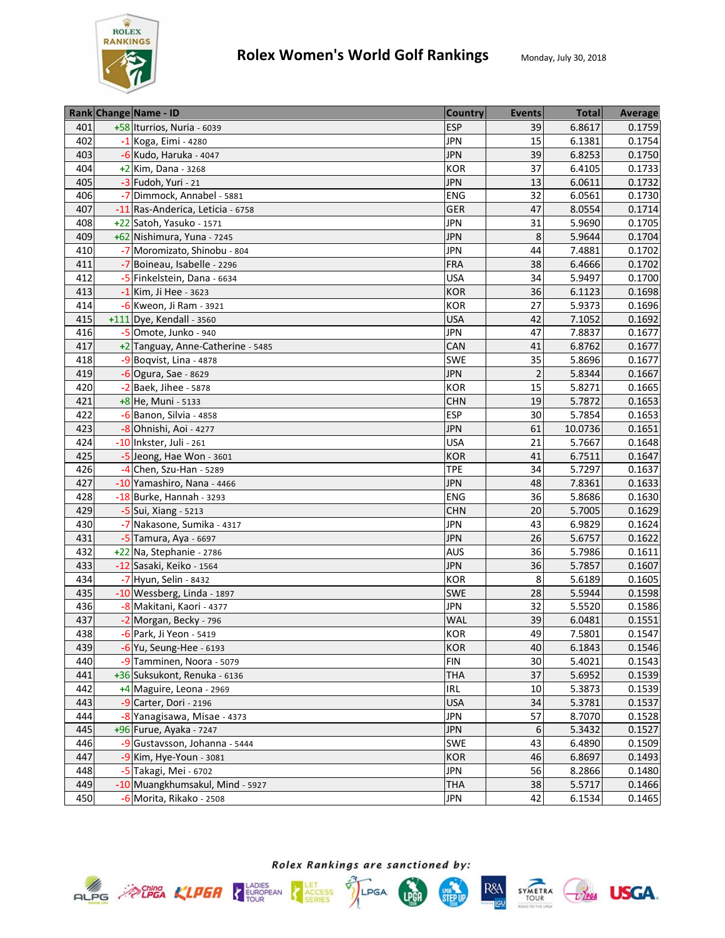

|     | Rank Change Name - ID             | <b>Country</b> | <b>Events</b>  | <b>Total</b> | <b>Average</b> |
|-----|-----------------------------------|----------------|----------------|--------------|----------------|
| 401 | +58 Iturrios, Nuria - 6039        | <b>ESP</b>     | 39             | 6.8617       | 0.1759         |
| 402 | -1 Koga, Eimi - 4280              | <b>JPN</b>     | 15             | 6.1381       | 0.1754         |
| 403 | -6 Kudo, Haruka - 4047            | <b>JPN</b>     | 39             | 6.8253       | 0.1750         |
| 404 | +2 Kim, Dana - 3268               | <b>KOR</b>     | 37             | 6.4105       | 0.1733         |
| 405 | -3 Fudoh, Yuri - 21               | <b>JPN</b>     | 13             | 6.0611       | 0.1732         |
| 406 | -7 Dimmock, Annabel - 5881        | ENG            | 32             | 6.0561       | 0.1730         |
| 407 | -11 Ras-Anderica, Leticia - 6758  | GER            | 47             | 8.0554       | 0.1714         |
| 408 | +22 Satoh, Yasuko - 1571          | <b>JPN</b>     | 31             | 5.9690       | 0.1705         |
| 409 | +62 Nishimura, Yuna - 7245        | <b>JPN</b>     | 8              | 5.9644       | 0.1704         |
| 410 | -7 Moromizato, Shinobu - 804      | <b>JPN</b>     | 44             | 7.4881       | 0.1702         |
| 411 | -7 Boineau, Isabelle - 2296       | <b>FRA</b>     | 38             | 6.4666       | 0.1702         |
| 412 | -5 Finkelstein, Dana - 6634       | <b>USA</b>     | 34             | 5.9497       | 0.1700         |
| 413 | $-1$ Kim, Ji Hee - 3623           | <b>KOR</b>     | 36             | 6.1123       | 0.1698         |
| 414 | -6 Kweon, Ji Ram - 3921           | KOR            | 27             | 5.9373       | 0.1696         |
| 415 | $+111$ Dye, Kendall - 3560        | <b>USA</b>     | 42             | 7.1052       | 0.1692         |
| 416 | $-5$ Omote, Junko - 940           | <b>JPN</b>     | 47             | 7.8837       | 0.1677         |
| 417 | +2 Tanguay, Anne-Catherine - 5485 | CAN            | 41             | 6.8762       | 0.1677         |
| 418 | $-9$ Boqvist, Lina - 4878         | <b>SWE</b>     | 35             | 5.8696       | 0.1677         |
| 419 | -6 Ogura, Sae - 8629              | <b>JPN</b>     | $\overline{2}$ | 5.8344       | 0.1667         |
| 420 | $-2$ Baek, Jihee - 5878           | <b>KOR</b>     | 15             | 5.8271       | 0.1665         |
| 421 | +8 He, Muni - 5133                | <b>CHN</b>     | 19             | 5.7872       | 0.1653         |
| 422 | $-6$ Banon, Silvia - 4858         | <b>ESP</b>     | 30             | 5.7854       | 0.1653         |
| 423 | -8 Ohnishi, Aoi - 4277            | <b>JPN</b>     | 61             | 10.0736      | 0.1651         |
| 424 | -10 Inkster, Juli - 261           | <b>USA</b>     | 21             | 5.7667       | 0.1648         |
| 425 | -5 Jeong, Hae Won - 3601          | <b>KOR</b>     | 41             | 6.7511       | 0.1647         |
| 426 | $-4$ Chen, Szu-Han - 5289         | <b>TPE</b>     | 34             | 5.7297       | 0.1637         |
| 427 | -10 Yamashiro, Nana - 4466        | <b>JPN</b>     | 48             | 7.8361       | 0.1633         |
| 428 | -18 Burke, Hannah - 3293          | ENG            | 36             | 5.8686       | 0.1630         |
| 429 | -5 Sui, Xiang - 5213              | <b>CHN</b>     | 20             | 5.7005       | 0.1629         |
| 430 | -7 Nakasone, Sumika - 4317        | <b>JPN</b>     | 43             | 6.9829       | 0.1624         |
| 431 | -5 Tamura, Aya - 6697             | <b>JPN</b>     | 26             | 5.6757       | 0.1622         |
| 432 | $+22$ Na, Stephanie - 2786        | <b>AUS</b>     | 36             | 5.7986       | 0.1611         |
| 433 | -12 Sasaki, Keiko - 1564          | <b>JPN</b>     | 36             | 5.7857       | 0.1607         |
| 434 | -7 Hyun, Selin - 8432             | KOR            | 8              | 5.6189       | 0.1605         |
| 435 | -10 Wessberg, Linda - 1897        | SWE            | 28             | 5.5944       | 0.1598         |
| 436 | -8 Makitani, Kaori - 4377         | <b>JPN</b>     | 32             | 5.5520       | 0.1586         |
| 437 | -2 Morgan, Becky - 796            | <b>WAL</b>     | 39             | 6.0481       | 0.1551         |
| 438 | -6 Park, Ji Yeon - 5419           | <b>KOR</b>     | 49             | 7.5801       | 0.1547         |
| 439 | -6 Yu, Seung-Hee - 6193           | <b>KOR</b>     | 40             | 6.1843       | 0.1546         |
| 440 | -9 Tamminen, Noora - 5079         | <b>FIN</b>     | 30             | 5.4021       | 0.1543         |
| 441 | +36 Suksukont, Renuka - 6136      | <b>THA</b>     | 37             | 5.6952       | 0.1539         |
| 442 | +4 Maguire, Leona - 2969          | IRL            | 10             | 5.3873       | 0.1539         |
| 443 | $-9$ Carter, Dori - 2196          | <b>USA</b>     | 34             | 5.3781       | 0.1537         |
| 444 | -8 Yanagisawa, Misae - 4373       | <b>JPN</b>     | 57             | 8.7070       | 0.1528         |
| 445 | +96 Furue, Ayaka - 7247           | <b>JPN</b>     | 6              | 5.3432       | 0.1527         |
| 446 | -9 Gustavsson, Johanna - 5444     | <b>SWE</b>     | 43             | 6.4890       | 0.1509         |
| 447 | -9 Kim, Hye-Youn - 3081           | <b>KOR</b>     | 46             | 6.8697       | 0.1493         |
| 448 | -5 Takagi, Mei - 6702             | <b>JPN</b>     | 56             | 8.2866       | 0.1480         |
| 449 | -10 Muangkhumsakul, Mind - 5927   | <b>THA</b>     | 38             | 5.5717       | 0.1466         |
| 450 | -6 Morita, Rikako - 2508          | JPN            | 42             | 6.1534       | 0.1465         |







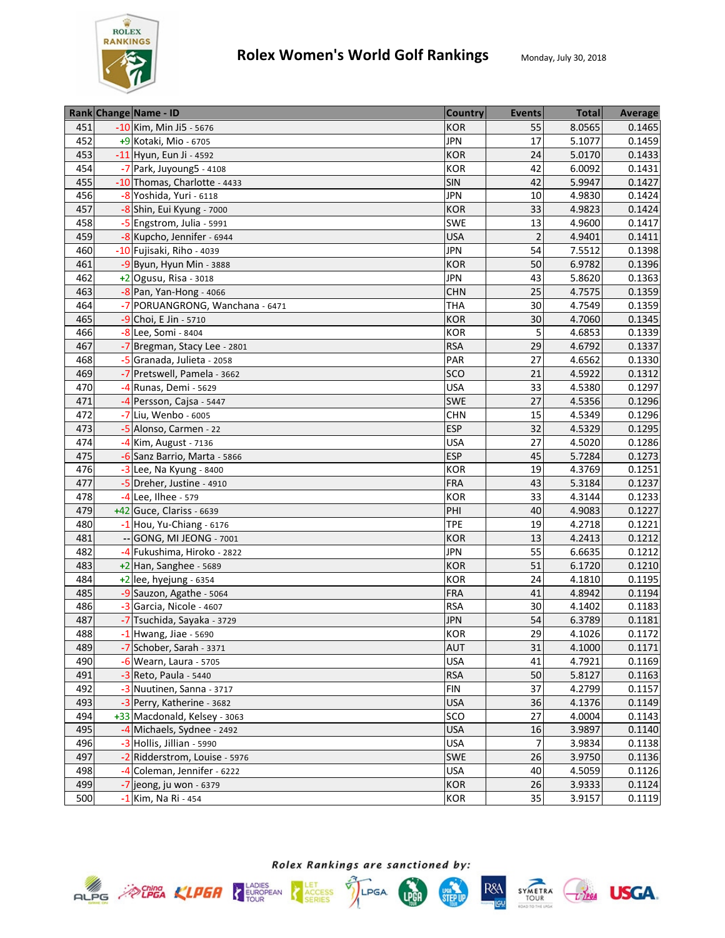

|     | Rank Change Name - ID           | <b>Country</b> | <b>Events</b>   | <b>Total</b> | Average |
|-----|---------------------------------|----------------|-----------------|--------------|---------|
| 451 | -10 Kim, Min Ji5 - 5676         | <b>KOR</b>     | 55              | 8.0565       | 0.1465  |
| 452 | +9 Kotaki, Mio - 6705           | <b>JPN</b>     | 17              | 5.1077       | 0.1459  |
| 453 | -11 Hyun, Eun Ji - 4592         | <b>KOR</b>     | 24              | 5.0170       | 0.1433  |
| 454 | -7 Park, Juyoung5 - 4108        | KOR            | 42              | 6.0092       | 0.1431  |
| 455 | -10 Thomas, Charlotte - 4433    | <b>SIN</b>     | 42              | 5.9947       | 0.1427  |
| 456 | -8 Yoshida, Yuri - 6118         | <b>JPN</b>     | 10              | 4.9830       | 0.1424  |
| 457 | -8 Shin, Eui Kyung - 7000       | <b>KOR</b>     | 33              | 4.9823       | 0.1424  |
| 458 | -5 Engstrom, Julia - 5991       | SWE            | 13              | 4.9600       | 0.1417  |
| 459 | -8 Kupcho, Jennifer - 6944      | <b>USA</b>     | $\overline{2}$  | 4.9401       | 0.1411  |
| 460 | -10 Fujisaki, Riho - 4039       | <b>JPN</b>     | 54              | 7.5512       | 0.1398  |
| 461 | $-9$ Byun, Hyun Min - 3888      | <b>KOR</b>     | 50              | 6.9782       | 0.1396  |
| 462 | $+2$ Ogusu, Risa - 3018         | <b>JPN</b>     | 43              | 5.8620       | 0.1363  |
| 463 | -8 Pan, Yan-Hong - 4066         | <b>CHN</b>     | 25              | 4.7575       | 0.1359  |
| 464 | -7 PORUANGRONG, Wanchana - 6471 | <b>THA</b>     | 30              | 4.7549       | 0.1359  |
| 465 | -9 Choi, E Jin - 5710           | <b>KOR</b>     | 30              | 4.7060       | 0.1345  |
| 466 | -8 Lee, Somi - 8404             | <b>KOR</b>     | 5               | 4.6853       | 0.1339  |
| 467 | -7 Bregman, Stacy Lee - 2801    | <b>RSA</b>     | 29              | 4.6792       | 0.1337  |
| 468 | -5 Granada, Julieta - 2058      | PAR            | 27              | 4.6562       | 0.1330  |
| 469 | -7 Pretswell, Pamela - 3662     | SCO            | 21              | 4.5922       | 0.1312  |
| 470 | $-4$ Runas, Demi - 5629         | <b>USA</b>     | 33              | 4.5380       | 0.1297  |
| 471 | -4 Persson, Cajsa - 5447        | <b>SWE</b>     | 27              | 4.5356       | 0.1296  |
| 472 | -7 Liu, Wenbo - 6005            | <b>CHN</b>     | 15              | 4.5349       | 0.1296  |
| 473 | -5 Alonso, Carmen - 22          | <b>ESP</b>     | 32              | 4.5329       | 0.1295  |
| 474 | -4 Kim, August - 7136           | <b>USA</b>     | 27              | 4.5020       | 0.1286  |
| 475 | -6 Sanz Barrio, Marta - 5866    | <b>ESP</b>     | 45              | 5.7284       | 0.1273  |
| 476 | -3 Lee, Na Kyung - 8400         | KOR            | 19              | 4.3769       | 0.1251  |
| 477 | -5 Dreher, Justine - 4910       | <b>FRA</b>     | 43              | 5.3184       | 0.1237  |
| 478 | -4 Lee, Ilhee - 579             | KOR            | $\overline{33}$ | 4.3144       | 0.1233  |
| 479 | $+42$ Guce, Clariss - 6639      | PHI            | 40              | 4.9083       | 0.1227  |
| 480 | $-1$ Hou, Yu-Chiang - 6176      | <b>TPE</b>     | 19              | 4.2718       | 0.1221  |
| 481 | -- GONG, MI JEONG - 7001        | <b>KOR</b>     | 13              | 4.2413       | 0.1212  |
| 482 | -4 Fukushima, Hiroko - 2822     | <b>JPN</b>     | 55              | 6.6635       | 0.1212  |
| 483 | $+2$ Han, Sanghee - 5689        | <b>KOR</b>     | 51              | 6.1720       | 0.1210  |
| 484 | $+2$ lee, hyejung - 6354        | <b>KOR</b>     | 24              | 4.1810       | 0.1195  |
| 485 | -9 Sauzon, Agathe - 5064        | <b>FRA</b>     | 41              | 4.8942       | 0.1194  |
| 486 | -3 Garcia, Nicole - 4607        | <b>RSA</b>     | 30              | 4.1402       | 0.1183  |
| 487 | -7 Tsuchida, Sayaka - 3729      | <b>JPN</b>     | 54              | 6.3789       | 0.1181  |
| 488 | $-1$ Hwang, Jiae - 5690         | <b>KOR</b>     | 29              | 4.1026       | 0.1172  |
| 489 | -7 Schober, Sarah - 3371        | <b>AUT</b>     | 31              | 4.1000       | 0.1171  |
| 490 | $-6$ Wearn, Laura - 5705        | <b>USA</b>     | 41              | 4.7921       | 0.1169  |
| 491 | $-3$ Reto, Paula - 5440         | <b>RSA</b>     | 50              | 5.8127       | 0.1163  |
| 492 | -3 Nuutinen, Sanna - 3717       | <b>FIN</b>     | 37              | 4.2799       | 0.1157  |
| 493 | -3 Perry, Katherine - 3682      | <b>USA</b>     | 36              | 4.1376       | 0.1149  |
| 494 | +33 Macdonald, Kelsey - 3063    | SCO            | 27              | 4.0004       | 0.1143  |
| 495 | -4 Michaels, Sydnee - 2492      | <b>USA</b>     | 16              | 3.9897       | 0.1140  |
| 496 | -3 Hollis, Jillian - 5990       | <b>USA</b>     | 7               | 3.9834       | 0.1138  |
| 497 | -2 Ridderstrom, Louise - 5976   | <b>SWE</b>     | 26              | 3.9750       | 0.1136  |
| 498 | -4 Coleman, Jennifer - 6222     | <b>USA</b>     | 40              | 4.5059       | 0.1126  |
| 499 | $-7$ jeong, ju won - 6379       | <b>KOR</b>     | 26              | 3.9333       | 0.1124  |
| 500 | -1 Kim, Na Ri - 454             | <b>KOR</b>     | 35              | 3.9157       | 0.1119  |







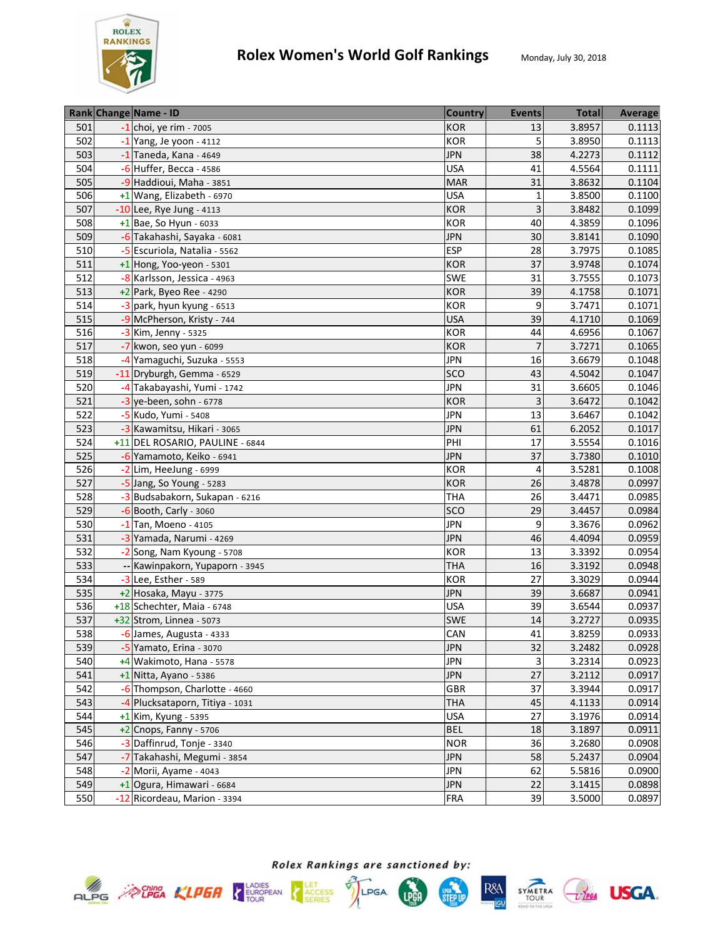

|     | Rank Change Name - ID           | <b>Country</b> | <b>Events</b> | <b>Total</b> | Average |
|-----|---------------------------------|----------------|---------------|--------------|---------|
| 501 | $-1$ choi, ye rim - 7005        | <b>KOR</b>     | 13            | 3.8957       | 0.1113  |
| 502 | $-1$ Yang, Je yoon - 4112       | <b>KOR</b>     | 5             | 3.8950       | 0.1113  |
| 503 | $-1$ Taneda, Kana - 4649        | <b>JPN</b>     | 38            | 4.2273       | 0.1112  |
| 504 | $-6$ Huffer, Becca - 4586       | <b>USA</b>     | 41            | 4.5564       | 0.1111  |
| 505 | -9 Haddioui, Maha - 3851        | <b>MAR</b>     | 31            | 3.8632       | 0.1104  |
| 506 | +1 Wang, Elizabeth - 6970       | <b>USA</b>     | $\mathbf{1}$  | 3.8500       | 0.1100  |
| 507 | $-10$ Lee, Rye Jung - 4113      | <b>KOR</b>     | 3             | 3.8482       | 0.1099  |
| 508 | $+1$ Bae, So Hyun - 6033        | <b>KOR</b>     | 40            | 4.3859       | 0.1096  |
| 509 | -6 Takahashi, Sayaka - 6081     | <b>JPN</b>     | 30            | 3.8141       | 0.1090  |
| 510 | -5 Escuriola, Natalia - 5562    | <b>ESP</b>     | 28            | 3.7975       | 0.1085  |
| 511 | $+1$ Hong, Yoo-yeon - 5301      | <b>KOR</b>     | 37            | 3.9748       | 0.1074  |
| 512 | -8 Karlsson, Jessica - 4963     | <b>SWE</b>     | 31            | 3.7555       | 0.1073  |
| 513 | +2 Park, Byeo Ree - 4290        | <b>KOR</b>     | 39            | 4.1758       | 0.1071  |
| 514 | -3 park, hyun kyung - 6513      | KOR            | 9             | 3.7471       | 0.1071  |
| 515 | -9 McPherson, Kristy - 744      | <b>USA</b>     | 39            | 4.1710       | 0.1069  |
| 516 | -3 Kim, Jenny - 5325            | <b>KOR</b>     | 44            | 4.6956       | 0.1067  |
| 517 | -7 kwon, seo yun - 6099         | <b>KOR</b>     |               | 3.7271       | 0.1065  |
| 518 | -4 Yamaguchi, Suzuka - 5553     | <b>JPN</b>     | 16            | 3.6679       | 0.1048  |
| 519 | -11 Dryburgh, Gemma - 6529      | <b>SCO</b>     | 43            | 4.5042       | 0.1047  |
| 520 | -4 Takabayashi, Yumi - 1742     | <b>JPN</b>     | 31            | 3.6605       | 0.1046  |
| 521 | $-3$ ye-been, sohn - 6778       | <b>KOR</b>     | 3             | 3.6472       | 0.1042  |
| 522 | -5 Kudo, Yumi - 5408            | <b>JPN</b>     | 13            | 3.6467       | 0.1042  |
| 523 | -3 Kawamitsu, Hikari - 3065     | <b>JPN</b>     | 61            | 6.2052       | 0.1017  |
| 524 | +11 DEL ROSARIO, PAULINE - 6844 | PHI            | 17            | 3.5554       | 0.1016  |
| 525 | -6 Yamamoto, Keiko - 6941       | <b>JPN</b>     | 37            | 3.7380       | 0.1010  |
| 526 | -2 Lim, HeeJung - 6999          | KOR            | 4             | 3.5281       | 0.1008  |
| 527 | -5 Jang, So Young - 5283        | <b>KOR</b>     | 26            | 3.4878       | 0.0997  |
| 528 | -3 Budsabakorn, Sukapan - 6216  | <b>THA</b>     | 26            | 3.4471       | 0.0985  |
| 529 | $-6$ Booth, Carly - 3060        | SCO            | 29            | 3.4457       | 0.0984  |
| 530 | $-1$ Tan, Moeno - 4105          | <b>JPN</b>     | 9             | 3.3676       | 0.0962  |
| 531 | -3 Yamada, Narumi - 4269        | <b>JPN</b>     | 46            | 4.4094       | 0.0959  |
| 532 | -2 Song, Nam Kyoung - 5708      | <b>KOR</b>     | 13            | 3.3392       | 0.0954  |
| 533 | -- Kawinpakorn, Yupaporn - 3945 | <b>THA</b>     | 16            | 3.3192       | 0.0948  |
| 534 | -3 Lee, Esther - 589            | <b>KOR</b>     | 27            | 3.3029       | 0.0944  |
| 535 | +2 Hosaka, Mayu - 3775          | <b>JPN</b>     | 39            | 3.6687       | 0.0941  |
| 536 | +18 Schechter, Maia - 6748      | <b>USA</b>     | 39            | 3.6544       | 0.0937  |
| 537 | +32 Strom, Linnea - 5073        | <b>SWE</b>     | 14            | 3.2727       | 0.0935  |
| 538 | -6 James, Augusta - 4333        | CAN            | 41            | 3.8259       | 0.0933  |
| 539 | -5 Yamato, Erina - 3070         | <b>JPN</b>     | 32            | 3.2482       | 0.0928  |
| 540 | +4 Wakimoto, Hana - 5578        | <b>JPN</b>     | 3             | 3.2314       | 0.0923  |
| 541 | +1 Nitta, Ayano - 5386          | <b>JPN</b>     | 27            | 3.2112       | 0.0917  |
| 542 | -6 Thompson, Charlotte - 4660   | <b>GBR</b>     | 37            | 3.3944       | 0.0917  |
| 543 | -4 Plucksataporn, Titiya - 1031 | <b>THA</b>     | 45            | 4.1133       | 0.0914  |
| 544 | $+1$ Kim, Kyung - 5395          | <b>USA</b>     | 27            | 3.1976       | 0.0914  |
| 545 | +2 Cnops, Fanny - 5706          | <b>BEL</b>     | 18            | 3.1897       | 0.0911  |
| 546 | -3 Daffinrud, Tonje - 3340      | <b>NOR</b>     | 36            | 3.2680       | 0.0908  |
| 547 | -7 Takahashi, Megumi - 3854     | <b>JPN</b>     | 58            | 5.2437       | 0.0904  |
| 548 | -2 Morii, Ayame - 4043          | <b>JPN</b>     | 62            | 5.5816       | 0.0900  |
| 549 | $+1$ Ogura, Himawari - 6684     | <b>JPN</b>     | 22            | 3.1415       | 0.0898  |
| 550 | -12 Ricordeau, Marion - 3394    | <b>FRA</b>     | 39            | 3.5000       | 0.0897  |









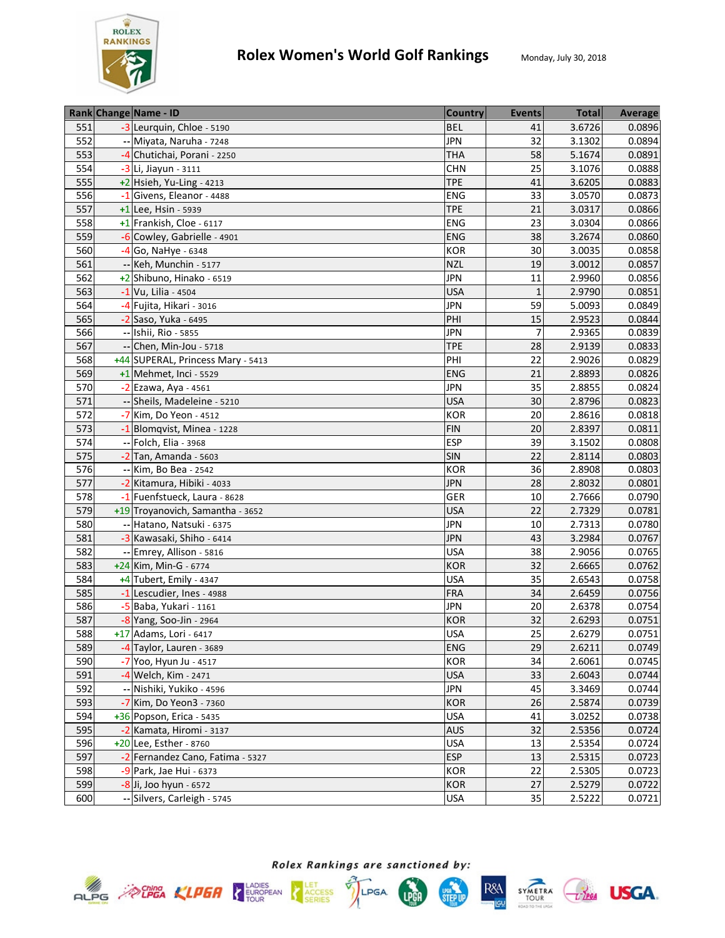

|            | Rank Change Name - ID             | <b>Country</b>    | <b>Events</b> | <b>Total</b> | Average |
|------------|-----------------------------------|-------------------|---------------|--------------|---------|
| 551        | -3 Leurquin, Chloe - 5190         | <b>BEL</b>        | 41            | 3.6726       | 0.0896  |
| 552        | Miyata, Naruha - 7248             | <b>JPN</b>        | 32            | 3.1302       | 0.0894  |
| 553        | -4 Chutichai, Porani - 2250       | <b>THA</b>        | 58            | 5.1674       | 0.0891  |
| 554        | -3 Li, Jiayun - 3111              | <b>CHN</b>        | 25            | 3.1076       | 0.0888  |
| 555        | $+2$ Hsieh, Yu-Ling - 4213        | <b>TPE</b>        | 41            | 3.6205       | 0.0883  |
| 556        | -1 Givens, Eleanor - 4488         | ENG               | 33            | 3.0570       | 0.0873  |
| 557        | +1 Lee, Hsin - 5939               | <b>TPE</b>        | 21            | 3.0317       | 0.0866  |
| 558        | +1 Frankish, Cloe - 6117          | ENG               | 23            | 3.0304       | 0.0866  |
| 559        | -6 Cowley, Gabrielle - 4901       | ENG               | 38            | 3.2674       | 0.0860  |
| 560        | $-4$ Go, NaHye - 6348             | KOR               | 30            | 3.0035       | 0.0858  |
| 561        | -- Keh, Munchin - 5177            | <b>NZL</b>        | 19            | 3.0012       | 0.0857  |
| 562        | +2 Shibuno, Hinako - 6519         | <b>JPN</b>        | 11            | 2.9960       | 0.0856  |
| 563        | -1 Vu, Lilia - 4504               | <b>USA</b>        | $\mathbf{1}$  | 2.9790       | 0.0851  |
| 564        | -4 Fujita, Hikari - 3016          | <b>JPN</b>        | 59            | 5.0093       | 0.0849  |
| 565        | -2 Saso, Yuka - 6495              | PHI               | 15            | 2.9523       | 0.0844  |
| 566        | -- Ishii, Rio - 5855              | <b>JPN</b>        | 7             | 2.9365       | 0.0839  |
| 567        | -- Chen, Min-Jou - 5718           | <b>TPE</b>        | 28            | 2.9139       | 0.0833  |
| 568        | +44 SUPERAL, Princess Mary - 5413 | PHI               | 22            | 2.9026       | 0.0829  |
| 569        | +1 Mehmet, Inci - 5529            | <b>ENG</b>        | 21            | 2.8893       | 0.0826  |
| 570        | -2 Ezawa, Aya - 4561              | <b>JPN</b>        | 35            | 2.8855       | 0.0824  |
| 571        | -- Sheils, Madeleine - 5210       | <b>USA</b>        | 30            | 2.8796       | 0.0823  |
| 572        | -7 Kim, Do Yeon - 4512            | KOR               | 20            | 2.8616       | 0.0818  |
| 573        | -1 Blomqvist, Minea - 1228        | <b>FIN</b>        | 20            | 2.8397       | 0.0811  |
| 574        | -- Folch, Elia - 3968             | <b>ESP</b>        | 39            | 3.1502       | 0.0808  |
| 575        | $-2$ Tan, Amanda - 5603           | <b>SIN</b>        | 22            | 2.8114       | 0.0803  |
| 576        | Kim, Bo Bea - 2542                | KOR               | 36            | 2.8908       | 0.0803  |
| 577        | -2 Kitamura, Hibiki - 4033        | <b>JPN</b>        | 28            | 2.8032       | 0.0801  |
| 578        | -1 Fuenfstueck, Laura - 8628      | GER               | 10            | 2.7666       | 0.0790  |
| 579        | +19 Troyanovich, Samantha - 3652  | <b>USA</b>        | 22            | 2.7329       | 0.0781  |
| 580        | -- Hatano, Natsuki - 6375         | <b>JPN</b>        | 10            | 2.7313       | 0.0780  |
| 581        | -3 Kawasaki, Shiho - 6414         | <b>JPN</b>        | 43            | 3.2984       | 0.0767  |
| 582        | -- Emrey, Allison - 5816          | <b>USA</b>        | 38            | 2.9056       | 0.0765  |
| 583        | +24 Kim, Min-G - 6774             | <b>KOR</b>        | 32            | 2.6665       | 0.0762  |
| 584        | +4 Tubert, Emily - 4347           | <b>USA</b>        | 35            | 2.6543       | 0.0758  |
| 585        | -1 Lescudier, Ines - 4988         | <b>FRA</b>        | 34            | 2.6459       | 0.0756  |
| 586        | -5 Baba, Yukari - 1161            | <b>JPN</b>        | 20            | 2.6378       | 0.0754  |
| 587        | -8 Yang, Soo-Jin - 2964           | <b>KOR</b>        | 32            | 2.6293       | 0.0751  |
| 588        | +17 Adams, Lori - 6417            | <b>USA</b>        | 25            | 2.6279       | 0.0751  |
|            |                                   |                   |               | 2.6211       |         |
| 589<br>590 | -4 Taylor, Lauren - 3689          | ENG               | 29<br>34      | 2.6061       | 0.0749  |
| 591        | -7 Yoo, Hyun Ju - 4517            | KOR<br><b>USA</b> | 33            |              | 0.0745  |
|            | -4 Welch, Kim - 2471              |                   | 45            | 2.6043       | 0.0744  |
| 592        | -- Nishiki, Yukiko - 4596         | <b>JPN</b>        |               | 3.3469       | 0.0744  |
| 593        | -7 Kim, Do Yeon3 - 7360           | KOR               | 26            | 2.5874       | 0.0739  |
| 594        | +36 Popson, Erica - 5435          | <b>USA</b>        | 41            | 3.0252       | 0.0738  |
| 595        | -2 Kamata, Hiromi - 3137          | <b>AUS</b>        | 32            | 2.5356       | 0.0724  |
| 596        | +20 Lee, Esther - 8760            | <b>USA</b>        | 13            | 2.5354       | 0.0724  |
| 597        | -2 Fernandez Cano, Fatima - 5327  | <b>ESP</b>        | 13            | 2.5315       | 0.0723  |
| 598        | -9 Park, Jae Hui - 6373           | <b>KOR</b>        | 22            | 2.5305       | 0.0723  |
| 599        | $-8$ Ji, Joo hyun - 6572          | <b>KOR</b>        | 27            | 2.5279       | 0.0722  |
| 600        | -- Silvers, Carleigh - 5745       | <b>USA</b>        | 35            | 2.5222       | 0.0721  |









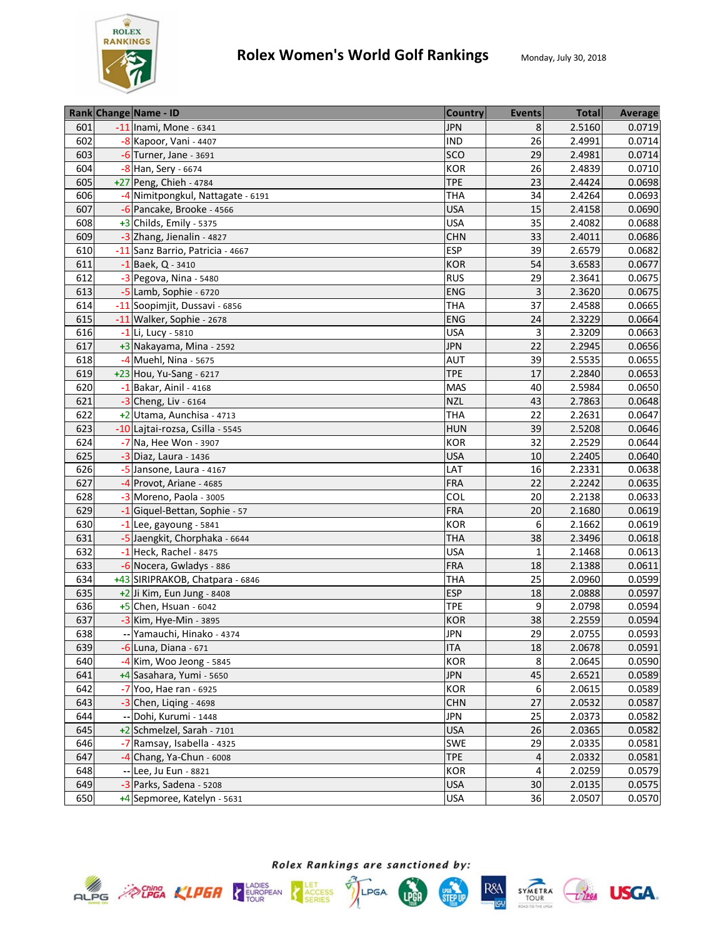

|     | Rank Change Name - ID             | <b>Country</b> | <b>Events</b> | <b>Total</b> | Average |
|-----|-----------------------------------|----------------|---------------|--------------|---------|
| 601 | -11 Inami, Mone - 6341            | <b>JPN</b>     | 8             | 2.5160       | 0.0719  |
| 602 | -8 Kapoor, Vani - 4407            | <b>IND</b>     | 26            | 2.4991       | 0.0714  |
| 603 | $-6$ Turner, Jane - 3691          | sco            | 29            | 2.4981       | 0.0714  |
| 604 | -8 Han, Sery - 6674               | <b>KOR</b>     | 26            | 2.4839       | 0.0710  |
| 605 | +27 Peng, Chieh - 4784            | <b>TPE</b>     | 23            | 2.4424       | 0.0698  |
| 606 | -4 Nimitpongkul, Nattagate - 6191 | <b>THA</b>     | 34            | 2.4264       | 0.0693  |
| 607 | -6 Pancake, Brooke - 4566         | <b>USA</b>     | 15            | 2.4158       | 0.0690  |
| 608 | +3 Childs, Emily - 5375           | <b>USA</b>     | 35            | 2.4082       | 0.0688  |
| 609 | -3 Zhang, Jienalin - 4827         | <b>CHN</b>     | 33            | 2.4011       | 0.0686  |
| 610 | -11 Sanz Barrio, Patricia - 4667  | <b>ESP</b>     | 39            | 2.6579       | 0.0682  |
| 611 | -1 Baek, Q - 3410                 | <b>KOR</b>     | 54            | 3.6583       | 0.0677  |
| 612 | -3 Pegova, Nina - 5480            | <b>RUS</b>     | 29            | 2.3641       | 0.0675  |
| 613 | $-5$ Lamb, Sophie - 6720          | ENG            | 3             | 2.3620       | 0.0675  |
| 614 | -11 Soopimjit, Dussavi - 6856     | <b>THA</b>     | 37            | 2.4588       | 0.0665  |
| 615 | -11 Walker, Sophie - 2678         | <b>ENG</b>     | 24            | 2.3229       | 0.0664  |
| 616 | -1 Li, Lucy - 5810                | <b>USA</b>     | 3             | 2.3209       | 0.0663  |
| 617 | +3 Nakayama, Mina - 2592          | <b>JPN</b>     | 22            | 2.2945       | 0.0656  |
| 618 | -4 Muehl, Nina - 5675             | <b>AUT</b>     | 39            | 2.5535       | 0.0655  |
| 619 | +23 Hou, Yu-Sang - 6217           | <b>TPE</b>     | 17            | 2.2840       | 0.0653  |
| 620 | $-1$ Bakar, Ainil - 4168          | <b>MAS</b>     | 40            | 2.5984       | 0.0650  |
| 621 | $-3$ Cheng, Liv - 6164            | <b>NZL</b>     | 43            | 2.7863       | 0.0648  |
| 622 | +2 Utama, Aunchisa - 4713         | <b>THA</b>     | 22            | 2.2631       | 0.0647  |
| 623 | -10 Lajtai-rozsa, Csilla - 5545   | <b>HUN</b>     | 39            | 2.5208       | 0.0646  |
| 624 | -7 Na, Hee Won - 3907             | <b>KOR</b>     | 32            | 2.2529       | 0.0644  |
| 625 | $-3$ Diaz, Laura - 1436           | <b>USA</b>     | 10            | 2.2405       | 0.0640  |
| 626 | -5 Jansone, Laura - 4167          | LAT            | 16            | 2.2331       | 0.0638  |
| 627 | -4 Provot, Ariane - 4685          | <b>FRA</b>     | 22            | 2.2242       | 0.0635  |
| 628 | -3 Moreno, Paola - 3005           | COL            | 20            | 2.2138       | 0.0633  |
| 629 | -1 Giquel-Bettan, Sophie - 57     | <b>FRA</b>     | 20            | 2.1680       | 0.0619  |
| 630 | $-1$ Lee, gayoung - 5841          | KOR            | 6             | 2.1662       | 0.0619  |
| 631 | -5 Jaengkit, Chorphaka - 6644     | <b>THA</b>     | 38            | 2.3496       | 0.0618  |
| 632 | -1 Heck, Rachel - 8475            | <b>USA</b>     | 1             | 2.1468       | 0.0613  |
| 633 | -6 Nocera, Gwladys - 886          | <b>FRA</b>     | 18            | 2.1388       | 0.0611  |
| 634 | +43 SIRIPRAKOB, Chatpara - 6846   | <b>THA</b>     | 25            | 2.0960       | 0.0599  |
| 635 | +2 Ji Kim, Eun Jung - 8408        | <b>ESP</b>     | 18            | 2.0888       | 0.0597  |
| 636 | $+5$ Chen, Hsuan - 6042           | <b>TPE</b>     | 9             | 2.0798       | 0.0594  |
| 637 | -3 Kim, Hye-Min - 3895            | <b>KOR</b>     | 38            | 2.2559       | 0.0594  |
| 638 | -- Yamauchi, Hinako - 4374        | <b>JPN</b>     | 29            | 2.0755       | 0.0593  |
| 639 | -6 Luna, Diana - 671              | <b>ITA</b>     | 18            | 2.0678       | 0.0591  |
| 640 | -4 Kim, Woo Jeong - 5845          | KOR            | $\,8\,$       | 2.0645       | 0.0590  |
| 641 | +4 Sasahara, Yumi - 5650          | <b>JPN</b>     | 45            | 2.6521       | 0.0589  |
| 642 | -7 Yoo, Hae ran - 6925            | KOR            | 6             | 2.0615       | 0.0589  |
| 643 | $-3$ Chen, Liging - 4698          | <b>CHN</b>     | 27            | 2.0532       | 0.0587  |
| 644 | -- Dohi, Kurumi - 1448            | <b>JPN</b>     | 25            | 2.0373       | 0.0582  |
| 645 | +2 Schmelzel, Sarah - 7101        | <b>USA</b>     | 26            | 2.0365       | 0.0582  |
| 646 | -7 Ramsay, Isabella - 4325        | <b>SWE</b>     | 29            | 2.0335       | 0.0581  |
| 647 | $-4$ Chang, Ya-Chun - 6008        | <b>TPE</b>     | 4             | 2.0332       | 0.0581  |
| 648 | -- Lee, Ju Eun - 8821             | <b>KOR</b>     | 4             | 2.0259       | 0.0579  |
| 649 | -3 Parks, Sadena - 5208           | <b>USA</b>     | 30            | 2.0135       | 0.0575  |
| 650 | +4 Sepmoree, Katelyn - 5631       | <b>USA</b>     | 36            | 2.0507       | 0.0570  |







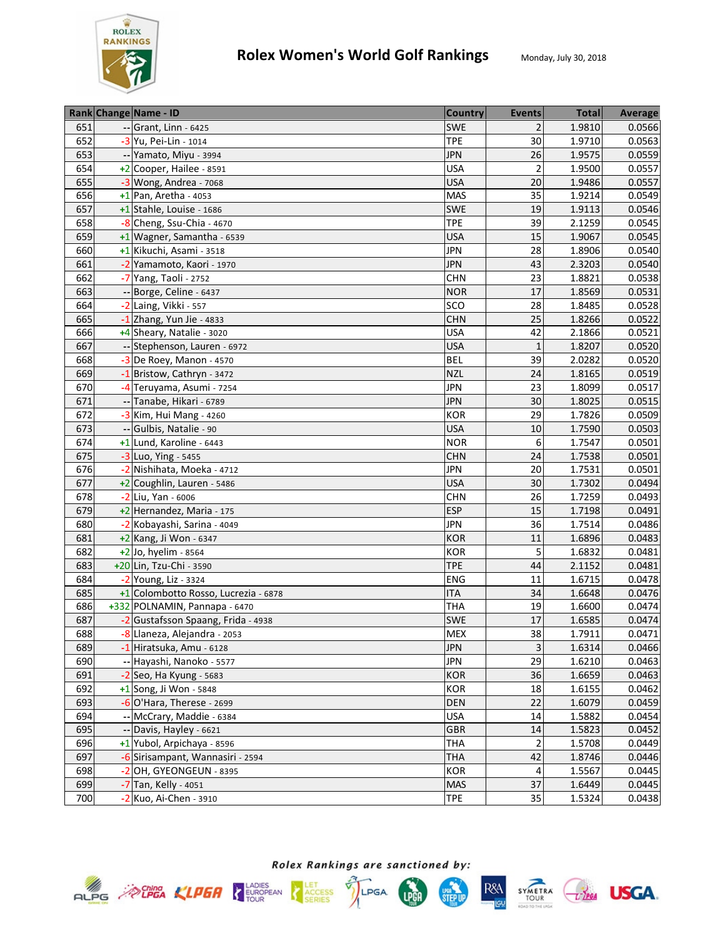

|     | Rank Change Name - ID                | <b>Country</b> | <b>Events</b>           | <b>Total</b> | Average |
|-----|--------------------------------------|----------------|-------------------------|--------------|---------|
| 651 | -- Grant, Linn - 6425                | <b>SWE</b>     | $\overline{2}$          | 1.9810       | 0.0566  |
| 652 | -3 Yu, Pei-Lin - 1014                | <b>TPE</b>     | 30                      | 1.9710       | 0.0563  |
| 653 | -- Yamato, Miyu - 3994               | <b>JPN</b>     | 26                      | 1.9575       | 0.0559  |
| 654 | +2 Cooper, Hailee - 8591             | <b>USA</b>     | $\overline{2}$          | 1.9500       | 0.0557  |
| 655 | $-3$ Wong, Andrea - 7068             | <b>USA</b>     | 20                      | 1.9486       | 0.0557  |
| 656 | $+1$ Pan, Aretha - 4053              | <b>MAS</b>     | 35                      | 1.9214       | 0.0549  |
| 657 | +1 Stahle, Louise - 1686             | <b>SWE</b>     | 19                      | 1.9113       | 0.0546  |
| 658 | -8 Cheng, Ssu-Chia - 4670            | <b>TPE</b>     | 39                      | 2.1259       | 0.0545  |
| 659 | +1 Wagner, Samantha - 6539           | <b>USA</b>     | 15                      | 1.9067       | 0.0545  |
| 660 | +1 Kikuchi, Asami - 3518             | <b>JPN</b>     | 28                      | 1.8906       | 0.0540  |
| 661 | -2 Yamamoto, Kaori - 1970            | <b>JPN</b>     | 43                      | 2.3203       | 0.0540  |
| 662 | -7 Yang, Taoli - 2752                | <b>CHN</b>     | 23                      | 1.8821       | 0.0538  |
| 663 | -- Borge, Celine - 6437              | <b>NOR</b>     | 17                      | 1.8569       | 0.0531  |
| 664 | -2 Laing, Vikki - 557                | SCO            | 28                      | 1.8485       | 0.0528  |
| 665 | $-1$ Zhang, Yun Jie - 4833           | <b>CHN</b>     | 25                      | 1.8266       | 0.0522  |
| 666 | +4 Sheary, Natalie - 3020            | <b>USA</b>     | 42                      | 2.1866       | 0.0521  |
| 667 | -- Stephenson, Lauren - 6972         | <b>USA</b>     | $\mathbf{1}$            | 1.8207       | 0.0520  |
| 668 | -3 De Roey, Manon - 4570             | <b>BEL</b>     | 39                      | 2.0282       | 0.0520  |
| 669 | -1 Bristow, Cathryn - 3472           | <b>NZL</b>     | 24                      | 1.8165       | 0.0519  |
| 670 | -4 Teruyama, Asumi - 7254            | <b>JPN</b>     | 23                      | 1.8099       | 0.0517  |
| 671 | -- Tanabe, Hikari - 6789             | <b>JPN</b>     | 30                      | 1.8025       | 0.0515  |
| 672 | -3 Kim, Hui Mang - 4260              | <b>KOR</b>     | 29                      | 1.7826       | 0.0509  |
| 673 | -- Gulbis, Natalie - 90              | <b>USA</b>     | 10                      | 1.7590       | 0.0503  |
| 674 | +1 Lund, Karoline - 6443             | <b>NOR</b>     | 6                       | 1.7547       | 0.0501  |
| 675 | -3 Luo, Ying - 5455                  | <b>CHN</b>     | 24                      | 1.7538       | 0.0501  |
| 676 | -2 Nishihata, Moeka - 4712           | <b>JPN</b>     | 20                      | 1.7531       | 0.0501  |
| 677 | +2 Coughlin, Lauren - 5486           | <b>USA</b>     | 30                      | 1.7302       | 0.0494  |
| 678 | -2 Liu, Yan - 6006                   | <b>CHN</b>     | 26                      | 1.7259       | 0.0493  |
| 679 | +2 Hernandez, Maria - 175            | <b>ESP</b>     | 15                      | 1.7198       | 0.0491  |
| 680 | -2 Kobayashi, Sarina - 4049          | <b>JPN</b>     | 36                      | 1.7514       | 0.0486  |
| 681 | +2 Kang, Ji Won - 6347               | <b>KOR</b>     | 11                      | 1.6896       | 0.0483  |
| 682 | +2 Jo, hyelim - 8564                 | <b>KOR</b>     | 5                       | 1.6832       | 0.0481  |
| 683 | +20 Lin, Tzu-Chi - 3590              | <b>TPE</b>     | 44                      | 2.1152       | 0.0481  |
| 684 | -2 Young, Liz - 3324                 | <b>ENG</b>     | 11                      | 1.6715       | 0.0478  |
| 685 | +1 Colombotto Rosso, Lucrezia - 6878 | <b>ITA</b>     | 34                      | 1.6648       | 0.0476  |
| 686 | +332 POLNAMIN, Pannapa - 6470        | THA            | 19                      | 1.6600       | 0.0474  |
| 687 | -2 Gustafsson Spaang, Frida - 4938   | <b>SWE</b>     | 17                      | 1.6585       | 0.0474  |
| 688 | -8 Llaneza, Alejandra - 2053         | <b>MEX</b>     | 38                      | 1.7911       | 0.0471  |
| 689 | -1 Hiratsuka, Amu - 6128             | <b>JPN</b>     | $\overline{\mathbf{3}}$ | 1.6314       | 0.0466  |
| 690 | -- Hayashi, Nanoko - 5577            | <b>JPN</b>     | 29                      | 1.6210       | 0.0463  |
| 691 | $-2$ Seo, Ha Kyung - 5683            | <b>KOR</b>     | 36                      | 1.6659       | 0.0463  |
| 692 | $+1$ Song, Ji Won - 5848             | KOR            | 18                      | 1.6155       | 0.0462  |
| 693 | $-6$ O'Hara, Therese - 2699          | <b>DEN</b>     | 22                      | 1.6079       | 0.0459  |
| 694 | -- McCrary, Maddie - 6384            | <b>USA</b>     | 14                      | 1.5882       | 0.0454  |
| 695 | -- Davis, Hayley - 6621              | <b>GBR</b>     | 14                      | 1.5823       | 0.0452  |
| 696 | +1 Yubol, Arpichaya - 8596           | <b>THA</b>     | $\overline{2}$          | 1.5708       | 0.0449  |
| 697 | -6 Sirisampant, Wannasiri - 2594     | <b>THA</b>     | 42                      | 1.8746       | 0.0446  |
| 698 | -2 OH, GYEONGEUN - 8395              | <b>KOR</b>     | 4                       | 1.5567       | 0.0445  |
| 699 | -7 Tan, Kelly - 4051                 | <b>MAS</b>     | 37                      | 1.6449       | 0.0445  |
| 700 | $-2$ Kuo, Ai-Chen - 3910             | <b>TPE</b>     | 35                      | 1.5324       | 0.0438  |







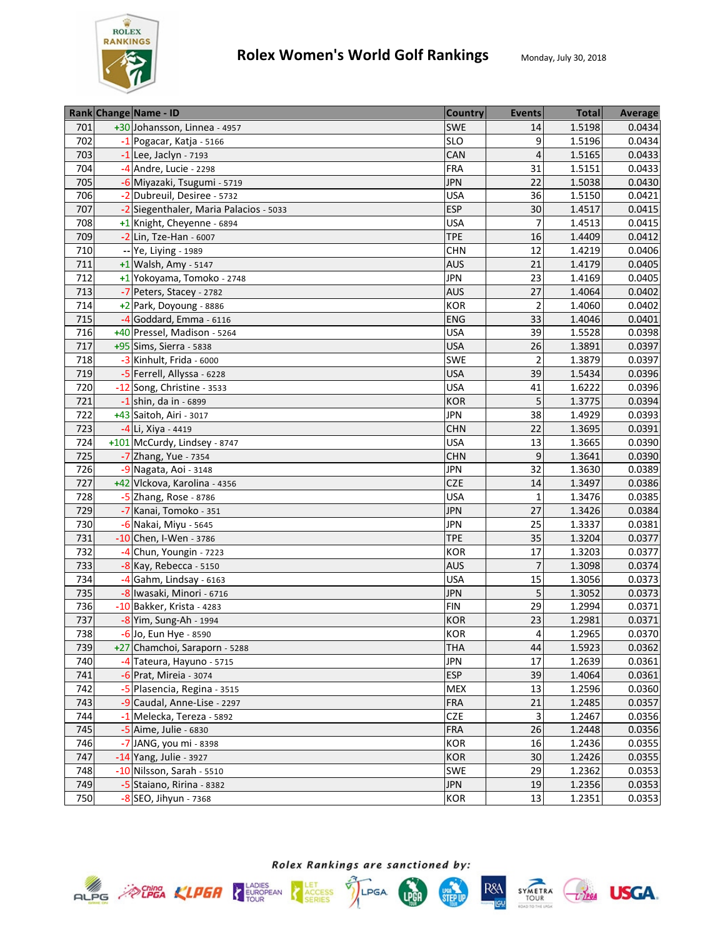

|     | Rank Change Name - ID                  | <b>Country</b> | <b>Events</b>  | <b>Total</b> | Average |
|-----|----------------------------------------|----------------|----------------|--------------|---------|
| 701 | +30 Johansson, Linnea - 4957           | <b>SWE</b>     | 14             | 1.5198       | 0.0434  |
| 702 | $-1$ Pogacar, Katja - 5166             | <b>SLO</b>     | 9              | 1.5196       | 0.0434  |
| 703 | $-1$ Lee, Jaclyn - 7193                | CAN            | $\overline{4}$ | 1.5165       | 0.0433  |
| 704 | $-4$ Andre, Lucie - 2298               | <b>FRA</b>     | 31             | 1.5151       | 0.0433  |
| 705 | -6 Miyazaki, Tsugumi - 5719            | <b>JPN</b>     | 22             | 1.5038       | 0.0430  |
| 706 | -2 Dubreuil, Desiree - 5732            | <b>USA</b>     | 36             | 1.5150       | 0.0421  |
| 707 | -2 Siegenthaler, Maria Palacios - 5033 | <b>ESP</b>     | 30             | 1.4517       | 0.0415  |
| 708 | +1 Knight, Cheyenne - 6894             | <b>USA</b>     | $\overline{7}$ | 1.4513       | 0.0415  |
| 709 | -2 Lin, Tze-Han - 6007                 | <b>TPE</b>     | 16             | 1.4409       | 0.0412  |
| 710 | -- Ye, Liying - 1989                   | <b>CHN</b>     | 12             | 1.4219       | 0.0406  |
| 711 | $+1$ Walsh, Amy - 5147                 | <b>AUS</b>     | 21             | 1.4179       | 0.0405  |
| 712 | +1 Yokoyama, Tomoko - 2748             | <b>JPN</b>     | 23             | 1.4169       | 0.0405  |
| 713 | -7 Peters, Stacey - 2782               | <b>AUS</b>     | 27             | 1.4064       | 0.0402  |
| 714 | +2 Park, Doyoung - 8886                | KOR            | $\overline{2}$ | 1.4060       | 0.0402  |
| 715 | -4 Goddard, Emma - 6116                | ENG            | 33             | 1.4046       | 0.0401  |
| 716 | +40 Pressel, Madison - 5264            | <b>USA</b>     | 39             | 1.5528       | 0.0398  |
| 717 | +95 Sims, Sierra - 5838                | <b>USA</b>     | 26             | 1.3891       | 0.0397  |
| 718 | $-3$ Kinhult, Frida - 6000             | <b>SWE</b>     | $\overline{2}$ | 1.3879       | 0.0397  |
| 719 | -5 Ferrell, Allyssa - 6228             | <b>USA</b>     | 39             | 1.5434       | 0.0396  |
| 720 | -12 Song, Christine - 3533             | <b>USA</b>     | 41             | 1.6222       | 0.0396  |
| 721 | -1 shin, da in - 6899                  | <b>KOR</b>     | 5              | 1.3775       | 0.0394  |
| 722 | +43 Saitoh, Airi - 3017                | <b>JPN</b>     | 38             | 1.4929       | 0.0393  |
| 723 | -4 Li, Xiya - 4419                     | <b>CHN</b>     | 22             | 1.3695       | 0.0391  |
| 724 | +101 McCurdy, Lindsey - 8747           | <b>USA</b>     | 13             | 1.3665       | 0.0390  |
| 725 | -7 Zhang, Yue - 7354                   | <b>CHN</b>     | 9              | 1.3641       | 0.0390  |
| 726 | -9 Nagata, Aoi - 3148                  | <b>JPN</b>     | 32             | 1.3630       | 0.0389  |
| 727 | +42 Vlckova, Karolina - 4356           | <b>CZE</b>     | 14             | 1.3497       | 0.0386  |
| 728 | $-5$ Zhang, Rose - 8786                | <b>USA</b>     | $\mathbf{1}$   | 1.3476       | 0.0385  |
| 729 | -7 Kanai, Tomoko - 351                 | <b>JPN</b>     | 27             | 1.3426       | 0.0384  |
| 730 | -6 Nakai, Miyu - 5645                  | <b>JPN</b>     | 25             | 1.3337       | 0.0381  |
| 731 | -10 Chen, I-Wen - 3786                 | <b>TPE</b>     | 35             | 1.3204       | 0.0377  |
| 732 | -4 Chun, Youngin - 7223                | <b>KOR</b>     | 17             | 1.3203       | 0.0377  |
| 733 | $-8$ Kay, Rebecca - 5150               | <b>AUS</b>     | $\overline{7}$ | 1.3098       | 0.0374  |
| 734 | -4 Gahm, Lindsay - 6163                | <b>USA</b>     | 15             | 1.3056       | 0.0373  |
| 735 | -8 Iwasaki, Minori - 6716              | <b>JPN</b>     | 5              | 1.3052       | 0.0373  |
| 736 | -10 Bakker, Krista - 4283              | <b>FIN</b>     | 29             | 1.2994       | 0.0371  |
| 737 | -8 Yim, Sung-Ah - 1994                 | <b>KOR</b>     | 23             | 1.2981       | 0.0371  |
| 738 | $-6$ Jo, Eun Hye - 8590                | <b>KOR</b>     | 4              | 1.2965       | 0.0370  |
| 739 | +27 Chamchoi, Saraporn - 5288          | <b>THA</b>     | 44             | 1.5923       | 0.0362  |
| 740 | -4 Tateura, Hayuno - 5715              | <b>JPN</b>     | 17             | 1.2639       | 0.0361  |
| 741 | -6 Prat, Mireia - 3074                 | <b>ESP</b>     | 39             | 1.4064       | 0.0361  |
| 742 | -5 Plasencia, Regina - 3515            | <b>MEX</b>     | 13             | 1.2596       | 0.0360  |
| 743 | -9 Caudal, Anne-Lise - 2297            | <b>FRA</b>     | 21             | 1.2485       | 0.0357  |
| 744 | -1 Melecka, Tereza - 5892              | <b>CZE</b>     | 3              | 1.2467       | 0.0356  |
| 745 | $-5$ Aime, Julie - 6830                | <b>FRA</b>     | 26             | 1.2448       | 0.0356  |
| 746 | -7 JANG, you mi - 8398                 | KOR            | 16             | 1.2436       | 0.0355  |
| 747 | -14 Yang, Julie - 3927                 | <b>KOR</b>     | $30\,$         | 1.2426       | 0.0355  |
| 748 | -10 Nilsson, Sarah - 5510              | <b>SWE</b>     | 29             | 1.2362       | 0.0353  |
| 749 | -5 Staiano, Ririna - 8382              | <b>JPN</b>     | 19             | 1.2356       | 0.0353  |
| 750 |                                        | <b>KOR</b>     | 13             | 1.2351       | 0.0353  |
|     | $-8$ SEO, Jihyun - 7368                |                |                |              |         |







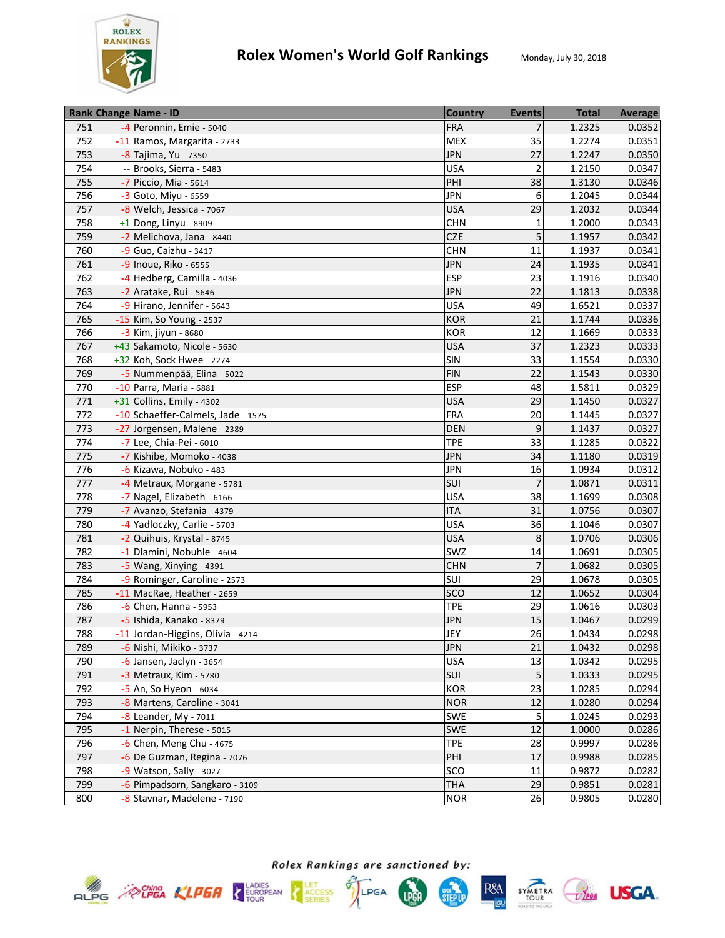

|     | Rank Change Name - ID              | <b>Country</b> | <b>Events</b>  | <b>Total</b> | Average |
|-----|------------------------------------|----------------|----------------|--------------|---------|
| 751 | -4 Peronnin, Emie - 5040           | <b>FRA</b>     | $\overline{7}$ | 1.2325       | 0.0352  |
| 752 | -11 Ramos, Margarita - 2733        | <b>MEX</b>     | 35             | 1.2274       | 0.0351  |
| 753 | -8 Tajima, Yu - 7350               | <b>JPN</b>     | 27             | 1.2247       | 0.0350  |
| 754 | -- Brooks, Sierra - 5483           | <b>USA</b>     | $\overline{2}$ | 1.2150       | 0.0347  |
| 755 | -7 Piccio, Mia - 5614              | PHI            | 38             | 1.3130       | 0.0346  |
| 756 | -3 Goto, Miyu - 6559               | <b>JPN</b>     | 6              | 1.2045       | 0.0344  |
| 757 | -8 Welch, Jessica - 7067           | <b>USA</b>     | 29             | 1.2032       | 0.0344  |
| 758 | $+1$ Dong, Linyu - 8909            | <b>CHN</b>     | $\mathbf{1}$   | 1.2000       | 0.0343  |
| 759 | -2 Melichova, Jana - 8440          | <b>CZE</b>     | 5              | 1.1957       | 0.0342  |
| 760 | -9 Guo, Caizhu - 3417              | <b>CHN</b>     | 11             | 1.1937       | 0.0341  |
| 761 | -9 Inoue, Riko - 6555              | <b>JPN</b>     | 24             | 1.1935       | 0.0341  |
| 762 | -4 Hedberg, Camilla - 4036         | <b>ESP</b>     | 23             | 1.1916       | 0.0340  |
| 763 | -2 Aratake, Rui - 5646             | <b>JPN</b>     | 22             | 1.1813       | 0.0338  |
| 764 | -9 Hirano, Jennifer - 5643         | <b>USA</b>     | 49             | 1.6521       | 0.0337  |
| 765 | -15 Kim, So Young - 2537           | <b>KOR</b>     | 21             | 1.1744       | 0.0336  |
| 766 | -3 Kim, jiyun - 8680               | <b>KOR</b>     | 12             | 1.1669       | 0.0333  |
| 767 | +43 Sakamoto, Nicole - 5630        | <b>USA</b>     | 37             | 1.2323       | 0.0333  |
| 768 | +32 Koh, Sock Hwee - 2274          | SIN            | 33             | 1.1554       | 0.0330  |
| 769 | -5 Nummenpää, Elina - 5022         | <b>FIN</b>     | 22             | 1.1543       | 0.0330  |
| 770 | -10 Parra, Maria - 6881            | <b>ESP</b>     | 48             | 1.5811       | 0.0329  |
| 771 | +31 Collins, Emily - 4302          | <b>USA</b>     | 29             | 1.1450       | 0.0327  |
| 772 | -10 Schaeffer-Calmels, Jade - 1575 | <b>FRA</b>     | 20             | 1.1445       | 0.0327  |
| 773 | -27 Jorgensen, Malene - 2389       | <b>DEN</b>     | 9              | 1.1437       | 0.0327  |
| 774 | -7 Lee, Chia-Pei - 6010            | <b>TPE</b>     | 33             | 1.1285       | 0.0322  |
| 775 | -7 Kishibe, Momoko - 4038          | <b>JPN</b>     | 34             | 1.1180       | 0.0319  |
| 776 | -6 Kizawa, Nobuko - 483            | <b>JPN</b>     | 16             | 1.0934       | 0.0312  |
| 777 | -4 Metraux, Morgane - 5781         | SUI            | $\overline{7}$ | 1.0871       | 0.0311  |
| 778 | -7 Nagel, Elizabeth - 6166         | <b>USA</b>     | 38             | 1.1699       | 0.0308  |
| 779 | -7 Avanzo, Stefania - 4379         | <b>ITA</b>     | 31             | 1.0756       | 0.0307  |
| 780 | -4 Yadloczky, Carlie - 5703        | <b>USA</b>     | 36             | 1.1046       | 0.0307  |
| 781 | -2 Quihuis, Krystal - 8745         | <b>USA</b>     | 8              | 1.0706       | 0.0306  |
| 782 | -1 Dlamini, Nobuhle - 4604         | SWZ            | 14             | 1.0691       | 0.0305  |
| 783 | -5 Wang, Xinying - 4391            | <b>CHN</b>     | $\overline{7}$ | 1.0682       | 0.0305  |
| 784 | -9 Rominger, Caroline - 2573       | SUI            | 29             | 1.0678       | 0.0305  |
| 785 | -11 MacRae, Heather - 2659         | SCO            | 12             | 1.0652       | 0.0304  |
| 786 | $-6$ Chen, Hanna - 5953            | <b>TPE</b>     | 29             | 1.0616       | 0.0303  |
| 787 | -5 Ishida, Kanako - 8379           | <b>JPN</b>     | 15             | 1.0467       | 0.0299  |
| 788 | -11 Jordan-Higgins, Olivia - 4214  | JEY            | 26             | 1.0434       | 0.0298  |
| 789 | -6 Nishi, Mikiko - 3737            | <b>JPN</b>     | 21             | 1.0432       | 0.0298  |
| 790 | -6 Jansen, Jaclyn - 3654           | <b>USA</b>     | 13             | 1.0342       | 0.0295  |
| 791 | -3 Metraux, Kim - 5780             | SUI            | 5              | 1.0333       | 0.0295  |
| 792 | $-5$ An, So Hyeon - 6034           | KOR            | 23             | 1.0285       | 0.0294  |
| 793 | -8 Martens, Caroline - 3041        | <b>NOR</b>     | 12             | 1.0280       | 0.0294  |
| 794 | $-8$ Leander, My - 7011            | <b>SWE</b>     | 5              | 1.0245       | 0.0293  |
| 795 | -1 Nerpin, Therese - 5015          | <b>SWE</b>     | 12             | 1.0000       | 0.0286  |
| 796 | $-6$ Chen, Meng Chu - 4675         | <b>TPE</b>     | 28             | 0.9997       | 0.0286  |
| 797 | -6 De Guzman, Regina - 7076        | PHI            | 17             | 0.9988       | 0.0285  |
| 798 | -9 Watson, Sally - 3027            | SCO            | 11             | 0.9872       | 0.0282  |
| 799 | -6 Pimpadsorn, Sangkaro - 3109     | <b>THA</b>     | 29             | 0.9851       | 0.0281  |
| 800 | -8 Stavnar, Madelene - 7190        | <b>NOR</b>     | 26             | 0.9805       | 0.0280  |







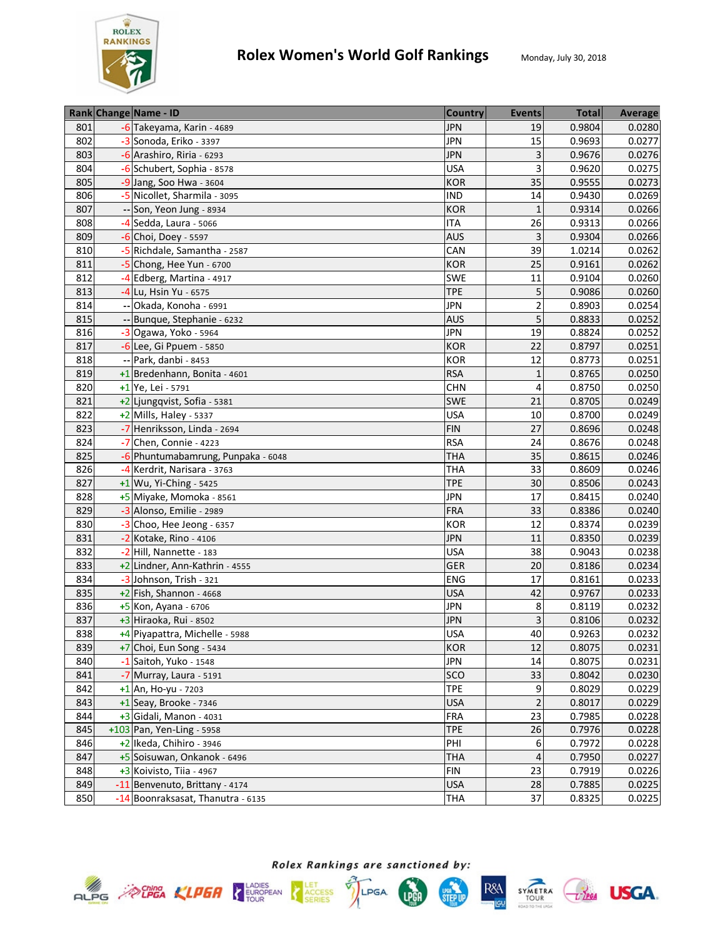

|     | Rank Change Name - ID              | <b>Country</b> | <b>Events</b>   | <b>Total</b> | Average |
|-----|------------------------------------|----------------|-----------------|--------------|---------|
| 801 | -6 Takeyama, Karin - 4689          | <b>JPN</b>     | 19              | 0.9804       | 0.0280  |
| 802 | -3 Sonoda, Eriko - 3397            | <b>JPN</b>     | 15              | 0.9693       | 0.0277  |
| 803 | -6 Arashiro, Riria - 6293          | <b>JPN</b>     | 3               | 0.9676       | 0.0276  |
| 804 | -6 Schubert, Sophia - 8578         | <b>USA</b>     | 3               | 0.9620       | 0.0275  |
| 805 | -9 Jang, Soo Hwa - 3604            | <b>KOR</b>     | 35              | 0.9555       | 0.0273  |
| 806 | -5 Nicollet, Sharmila - 3095       | <b>IND</b>     | 14              | 0.9430       | 0.0269  |
| 807 | -- Son, Yeon Jung - 8934           | <b>KOR</b>     | $\mathbf{1}$    | 0.9314       | 0.0266  |
| 808 | -4 Sedda, Laura - 5066             | <b>ITA</b>     | 26              | 0.9313       | 0.0266  |
| 809 | $-6$ Choi, Doey - 5597             | <b>AUS</b>     | 3               | 0.9304       | 0.0266  |
| 810 | -5 Richdale, Samantha - 2587       | CAN            | 39              | 1.0214       | 0.0262  |
| 811 | -5 Chong, Hee Yun - 6700           | <b>KOR</b>     | 25              | 0.9161       | 0.0262  |
| 812 | -4 Edberg, Martina - 4917          | <b>SWE</b>     | 11              | 0.9104       | 0.0260  |
| 813 | -4 Lu, Hsin Yu - 6575              | <b>TPE</b>     | 5               | 0.9086       | 0.0260  |
| 814 | Okada, Konoha - 6991               | <b>JPN</b>     | $\overline{2}$  | 0.8903       | 0.0254  |
| 815 | -- Bunque, Stephanie - 6232        | <b>AUS</b>     | 5               | 0.8833       | 0.0252  |
| 816 | -3 Ogawa, Yoko - 5964              | <b>JPN</b>     | 19              | 0.8824       | 0.0252  |
| 817 | -6 Lee, Gi Ppuem - 5850            | <b>KOR</b>     | 22              | 0.8797       | 0.0251  |
| 818 | -- Park, danbi - 8453              | <b>KOR</b>     | 12              | 0.8773       | 0.0251  |
| 819 | +1 Bredenhann, Bonita - 4601       | <b>RSA</b>     | $\mathbf{1}$    | 0.8765       | 0.0250  |
| 820 | +1 Ye, Lei - 5791                  | <b>CHN</b>     | 4               | 0.8750       | 0.0250  |
| 821 | +2 Ljungqvist, Sofia - 5381        | <b>SWE</b>     | 21              | 0.8705       | 0.0249  |
| 822 | $+2$ Mills, Haley - 5337           | <b>USA</b>     | 10              | 0.8700       | 0.0249  |
| 823 | -7 Henriksson, Linda - 2694        | <b>FIN</b>     | 27              | 0.8696       | 0.0248  |
| 824 | -7 Chen, Connie - 4223             | <b>RSA</b>     | 24              | 0.8676       | 0.0248  |
| 825 | -6 Phuntumabamrung, Punpaka - 6048 | THA            | 35              | 0.8615       | 0.0246  |
| 826 | -4 Kerdrit, Narisara - 3763        | THA            | 33              | 0.8609       | 0.0246  |
| 827 | $+1$ Wu, Yi-Ching - 5425           | <b>TPE</b>     | 30              | 0.8506       | 0.0243  |
| 828 | +5 Miyake, Momoka - 8561           | <b>JPN</b>     | $\overline{17}$ | 0.8415       | 0.0240  |
| 829 | -3 Alonso, Emilie - 2989           | FRA            | 33              | 0.8386       | 0.0240  |
| 830 | -3 Choo, Hee Jeong - 6357          | <b>KOR</b>     | 12              | 0.8374       | 0.0239  |
| 831 | -2 Kotake, Rino - 4106             | <b>JPN</b>     | 11              | 0.8350       | 0.0239  |
| 832 | -2 Hill, Nannette - 183            | <b>USA</b>     | 38              | 0.9043       | 0.0238  |
| 833 | +2 Lindner, Ann-Kathrin - 4555     | <b>GER</b>     | 20              | 0.8186       | 0.0234  |
| 834 | -3 Johnson, Trish - 321            | <b>ENG</b>     | 17              | 0.8161       | 0.0233  |
| 835 | $+2$ Fish, Shannon - 4668          | <b>USA</b>     | 42              | 0.9767       | 0.0233  |
| 836 | $+5$ Kon, Ayana - 6706             | <b>JPN</b>     | 8               | 0.8119       | 0.0232  |
| 837 | +3 Hiraoka, Rui - 8502             | <b>JPN</b>     | 3               | 0.8106       | 0.0232  |
| 838 | +4 Piyapattra, Michelle - 5988     | <b>USA</b>     | 40              | 0.9263       | 0.0232  |
| 839 | +7 Choi, Eun Song - 5434           | <b>KOR</b>     | 12              | 0.8075       | 0.0231  |
| 840 | $-1$ Saitoh, Yuko - 1548           | <b>JPN</b>     | 14              | 0.8075       | 0.0231  |
| 841 | -7 Murray, Laura - 5191            | sco            | 33              | 0.8042       | 0.0230  |
| 842 | $+1$ An, Ho-yu - 7203              | <b>TPE</b>     | 9               | 0.8029       | 0.0229  |
| 843 | $+1$ Seay, Brooke - 7346           | <b>USA</b>     | $\overline{2}$  | 0.8017       | 0.0229  |
| 844 | +3 Gidali, Manon - 4031            | <b>FRA</b>     | 23              | 0.7985       | 0.0228  |
| 845 | +103 Pan, Yen-Ling - 5958          | <b>TPE</b>     | 26              | 0.7976       | 0.0228  |
| 846 | +2 Ikeda, Chihiro - 3946           | PHI            | 6               | 0.7972       | 0.0228  |
| 847 | +5 Soisuwan, Onkanok - 6496        | <b>THA</b>     | $\sqrt{4}$      | 0.7950       | 0.0227  |
| 848 | $+3$ Koivisto, Tiia - 4967         | <b>FIN</b>     | 23              | 0.7919       | 0.0226  |
| 849 | -11 Benvenuto, Brittany - 4174     | <b>USA</b>     | 28              | 0.7885       | 0.0225  |
| 850 | -14 Boonraksasat, Thanutra - 6135  | <b>THA</b>     | 37              | 0.8325       | 0.0225  |







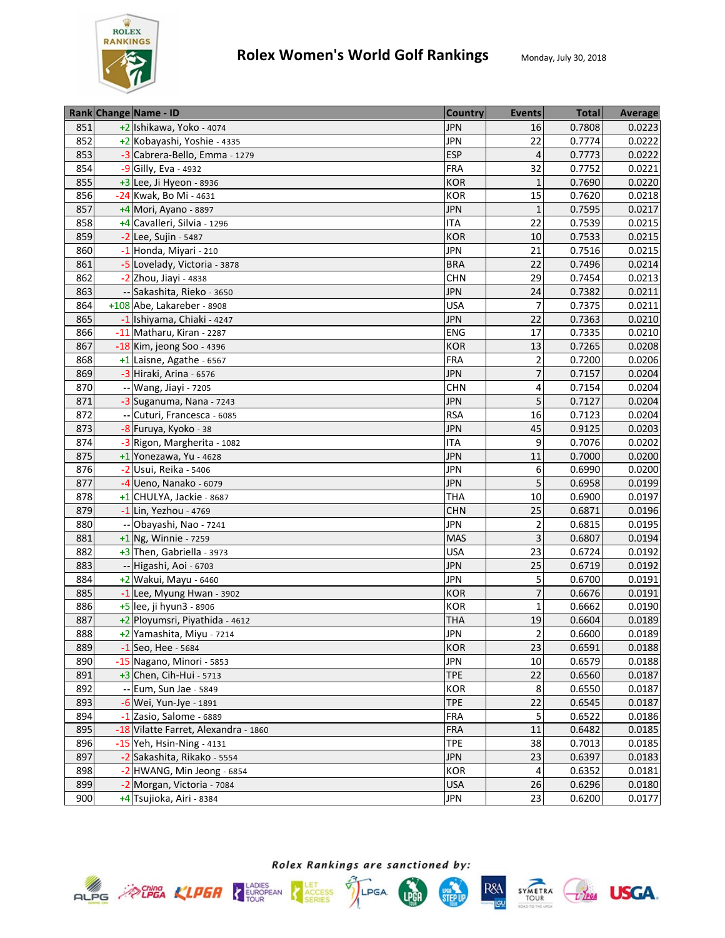

|     | Rank Change Name - ID                | <b>Country</b> | <b>Events</b>           | <b>Total</b> | Average |
|-----|--------------------------------------|----------------|-------------------------|--------------|---------|
| 851 | +2 Ishikawa, Yoko - 4074             | <b>JPN</b>     | 16                      | 0.7808       | 0.0223  |
| 852 | +2 Kobayashi, Yoshie - 4335          | <b>JPN</b>     | 22                      | 0.7774       | 0.0222  |
| 853 | -3 Cabrera-Bello, Emma - 1279        | <b>ESP</b>     | $\sqrt{4}$              | 0.7773       | 0.0222  |
| 854 | -9 Gilly, Eva - 4932                 | <b>FRA</b>     | 32                      | 0.7752       | 0.0221  |
| 855 | $+3$ Lee, Ji Hyeon - 8936            | <b>KOR</b>     | $\mathbf{1}$            | 0.7690       | 0.0220  |
| 856 | -24 Kwak, Bo Mi - 4631               | <b>KOR</b>     | 15                      | 0.7620       | 0.0218  |
| 857 | $+4$ Mori, Ayano - 8897              | <b>JPN</b>     | $\mathbf{1}$            | 0.7595       | 0.0217  |
| 858 | +4 Cavalleri, Silvia - 1296          | <b>ITA</b>     | 22                      | 0.7539       | 0.0215  |
| 859 | -2 Lee, Sujin - 5487                 | <b>KOR</b>     | 10                      | 0.7533       | 0.0215  |
| 860 | -1 Honda, Miyari - 210               | <b>JPN</b>     | 21                      | 0.7516       | 0.0215  |
| 861 | -5 Lovelady, Victoria - 3878         | <b>BRA</b>     | 22                      | 0.7496       | 0.0214  |
| 862 | -2 Zhou, Jiayi - 4838                | <b>CHN</b>     | 29                      | 0.7454       | 0.0213  |
| 863 | -- Sakashita, Rieko - 3650           | <b>JPN</b>     | 24                      | 0.7382       | 0.0211  |
| 864 | +108 Abe, Lakareber - 8908           | <b>USA</b>     | 7                       | 0.7375       | 0.0211  |
| 865 | -1 Ishiyama, Chiaki - 4247           | <b>JPN</b>     | 22                      | 0.7363       | 0.0210  |
| 866 | -11 Matharu, Kiran - 2287            | ENG            | 17                      | 0.7335       | 0.0210  |
| 867 | -18 Kim, jeong Soo - 4396            | <b>KOR</b>     | 13                      | 0.7265       | 0.0208  |
| 868 | +1 Laisne, Agathe - 6567             | <b>FRA</b>     | $\overline{2}$          | 0.7200       | 0.0206  |
| 869 | -3 Hiraki, Arina - 6576              | <b>JPN</b>     | $\overline{7}$          | 0.7157       | 0.0204  |
| 870 | -- Wang, Jiayi - 7205                | <b>CHN</b>     | 4                       | 0.7154       | 0.0204  |
| 871 | -3 Suganuma, Nana - 7243             | <b>JPN</b>     | 5                       | 0.7127       | 0.0204  |
| 872 | -- Cuturi, Francesca - 6085          | <b>RSA</b>     | 16                      | 0.7123       | 0.0204  |
| 873 | -8 Furuya, Kyoko - 38                | <b>JPN</b>     | 45                      | 0.9125       | 0.0203  |
| 874 | -3 Rigon, Margherita - 1082          | <b>ITA</b>     | 9                       | 0.7076       | 0.0202  |
| 875 | +1 Yonezawa, Yu - 4628               | <b>JPN</b>     | 11                      | 0.7000       | 0.0200  |
| 876 | -2 Usui, Reika - 5406                | <b>JPN</b>     | 6                       | 0.6990       | 0.0200  |
| 877 | -4 Ueno, Nanako - 6079               | <b>JPN</b>     | 5                       | 0.6958       | 0.0199  |
| 878 | +1 CHULYA, Jackie - 8687             | <b>THA</b>     | 10                      | 0.6900       | 0.0197  |
| 879 | -1 Lin, Yezhou - 4769                | <b>CHN</b>     | 25                      | 0.6871       | 0.0196  |
| 880 | -- Obayashi, Nao - 7241              | <b>JPN</b>     | $\overline{\mathbf{c}}$ | 0.6815       | 0.0195  |
| 881 | +1 Ng, Winnie - 7259                 | <b>MAS</b>     | 3                       | 0.6807       | 0.0194  |
| 882 | +3 Then, Gabriella - 3973            | <b>USA</b>     | 23                      | 0.6724       | 0.0192  |
| 883 | -- Higashi, Aoi - 6703               | <b>JPN</b>     | 25                      | 0.6719       | 0.0192  |
| 884 | +2 Wakui, Mayu - 6460                | <b>JPN</b>     | 5                       | 0.6700       | 0.0191  |
| 885 | -1 Lee, Myung Hwan - 3902            | <b>KOR</b>     | 7                       | 0.6676       | 0.0191  |
| 886 | +5 lee, ji hyun3 - 8906              | KOR            | 1                       | 0.6662       | 0.0190  |
| 887 | +2 Ployumsri, Piyathida - 4612       | <b>THA</b>     | 19                      | 0.6604       | 0.0189  |
| 888 | +2 Yamashita, Miyu - 7214            | <b>JPN</b>     | $\overline{2}$          | 0.6600       | 0.0189  |
| 889 | $-1$ Seo, Hee - 5684                 | <b>KOR</b>     | 23                      | 0.6591       | 0.0188  |
| 890 | -15 Nagano, Minori - 5853            | <b>JPN</b>     | 10                      | 0.6579       | 0.0188  |
| 891 | $+3$ Chen, Cih-Hui - 5713            | <b>TPE</b>     | 22                      | 0.6560       | 0.0187  |
| 892 | -- Eum, Sun Jae - 5849               | KOR            | 8                       | 0.6550       | 0.0187  |
| 893 | -6 Wei, Yun-Jye - 1891               | <b>TPE</b>     | 22                      | 0.6545       | 0.0187  |
| 894 | -1 Zasio, Salome - 6889              | <b>FRA</b>     | 5                       | 0.6522       | 0.0186  |
| 895 | -18 Vilatte Farret, Alexandra - 1860 | <b>FRA</b>     | 11                      | 0.6482       | 0.0185  |
| 896 | -15 Yeh, Hsin-Ning - 4131            | <b>TPE</b>     | 38                      | 0.7013       | 0.0185  |
| 897 | -2 Sakashita, Rikako - 5554          | <b>JPN</b>     | 23                      | 0.6397       | 0.0183  |
| 898 | -2 HWANG, Min Jeong - 6854           | <b>KOR</b>     | 4                       | 0.6352       | 0.0181  |
| 899 | -2 Morgan, Victoria - 7084           | <b>USA</b>     | 26                      | 0.6296       | 0.0180  |
| 900 |                                      | <b>JPN</b>     | 23                      | 0.6200       | 0.0177  |
|     | +4 Tsujioka, Airi - 8384             |                |                         |              |         |







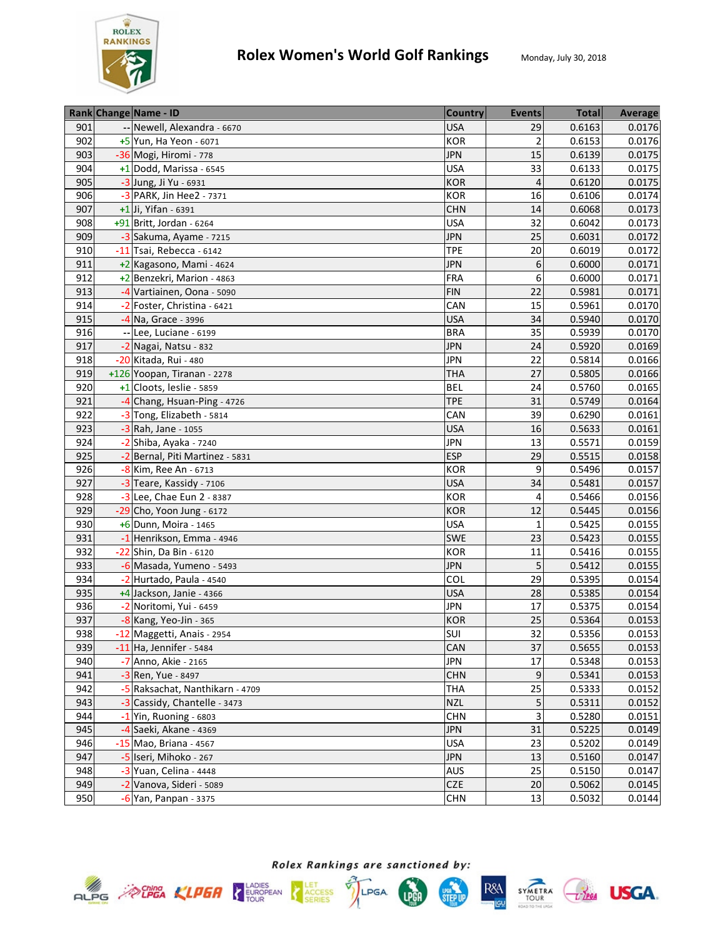

|     | Rank Change Name - ID           | <b>Country</b> | <b>Events</b>  | <b>Total</b> | Average |
|-----|---------------------------------|----------------|----------------|--------------|---------|
| 901 | -- Newell, Alexandra - 6670     | <b>USA</b>     | 29             | 0.6163       | 0.0176  |
| 902 | +5 Yun, Ha Yeon - 6071          | KOR            | $\overline{2}$ | 0.6153       | 0.0176  |
| 903 | -36 Mogi, Hiromi - 778          | <b>JPN</b>     | 15             | 0.6139       | 0.0175  |
| 904 | $+1$ Dodd, Marissa - 6545       | <b>USA</b>     | 33             | 0.6133       | 0.0175  |
| 905 | -3 Jung, Ji Yu - 6931           | KOR            | $\overline{4}$ | 0.6120       | 0.0175  |
| 906 | -3 PARK, Jin Hee2 - 7371        | <b>KOR</b>     | 16             | 0.6106       | 0.0174  |
| 907 | +1 Ji, Yifan - 6391             | <b>CHN</b>     | 14             | 0.6068       | 0.0173  |
| 908 | +91 Britt, Jordan - 6264        | <b>USA</b>     | 32             | 0.6042       | 0.0173  |
| 909 | -3 Sakuma, Ayame - 7215         | <b>JPN</b>     | 25             | 0.6031       | 0.0172  |
| 910 | -11 Tsai, Rebecca - 6142        | <b>TPE</b>     | 20             | 0.6019       | 0.0172  |
| 911 | +2 Kagasono, Mami - 4624        | <b>JPN</b>     | 6              | 0.6000       | 0.0171  |
| 912 | +2 Benzekri, Marion - 4863      | FRA            | 6              | 0.6000       | 0.0171  |
| 913 | -4 Vartiainen, Oona - 5090      | <b>FIN</b>     | 22             | 0.5981       | 0.0171  |
| 914 | -2 Foster, Christina - 6421     | CAN            | 15             | 0.5961       | 0.0170  |
| 915 | $-4$ Na, Grace - 3996           | <b>USA</b>     | 34             | 0.5940       | 0.0170  |
| 916 | -- Lee, Luciane - 6199          | <b>BRA</b>     | 35             | 0.5939       | 0.0170  |
| 917 | -2 Nagai, Natsu - 832           | <b>JPN</b>     | 24             | 0.5920       | 0.0169  |
| 918 | -20 Kitada, Rui - 480           | <b>JPN</b>     | 22             | 0.5814       | 0.0166  |
| 919 | +126 Yoopan, Tiranan - 2278     | <b>THA</b>     | 27             | 0.5805       | 0.0166  |
| 920 | +1 Cloots, leslie - 5859        | <b>BEL</b>     | 24             | 0.5760       | 0.0165  |
| 921 | -4 Chang, Hsuan-Ping - 4726     | <b>TPE</b>     | 31             | 0.5749       | 0.0164  |
| 922 | -3 Tong, Elizabeth - 5814       | CAN            | 39             | 0.6290       | 0.0161  |
| 923 | -3 Rah, Jane - 1055             | <b>USA</b>     | 16             | 0.5633       | 0.0161  |
| 924 | -2 Shiba, Ayaka - 7240          | <b>JPN</b>     | 13             | 0.5571       | 0.0159  |
| 925 | -2 Bernal, Piti Martinez - 5831 | <b>ESP</b>     | 29             | 0.5515       | 0.0158  |
| 926 | -8 Kim, Ree An - 6713           | KOR            | 9              | 0.5496       | 0.0157  |
| 927 | -3 Teare, Kassidy - 7106        | <b>USA</b>     | 34             | 0.5481       | 0.0157  |
| 928 | -3 Lee, Chae Eun 2 - 8387       | <b>KOR</b>     | 4              | 0.5466       | 0.0156  |
| 929 | $-29$ Cho, Yoon Jung - 6172     | <b>KOR</b>     | 12             | 0.5445       | 0.0156  |
| 930 | +6 Dunn, Moira - 1465           | <b>USA</b>     | $\mathbf{1}$   | 0.5425       | 0.0155  |
| 931 | -1 Henrikson, Emma - 4946       | <b>SWE</b>     | 23             | 0.5423       | 0.0155  |
| 932 | -22 Shin, Da Bin - 6120         | KOR            | 11             | 0.5416       | 0.0155  |
| 933 | -6 Masada, Yumeno - 5493        | <b>JPN</b>     | 5              | 0.5412       | 0.0155  |
| 934 | -2 Hurtado, Paula - 4540        | COL            | 29             | 0.5395       | 0.0154  |
| 935 | +4 Jackson, Janie - 4366        | <b>USA</b>     | 28             | 0.5385       | 0.0154  |
| 936 | -2 Noritomi, Yui - 6459         | <b>JPN</b>     | 17             | 0.5375       | 0.0154  |
| 937 | -8 Kang, Yeo-Jin - 365          | KOR            | 25             | 0.5364       | 0.0153  |
| 938 | -12 Maggetti, Anais - 2954      | SUI            | 32             | 0.5356       | 0.0153  |
| 939 | $-11$ Ha, Jennifer - 5484       | CAN            | 37             | 0.5655       | 0.0153  |
| 940 | -7 Anno, Akie - 2165            | <b>JPN</b>     | 17             | 0.5348       | 0.0153  |
| 941 | -3 Ren, Yue - 8497              | <b>CHN</b>     | 9              | 0.5341       | 0.0153  |
| 942 | -5 Raksachat, Nanthikarn - 4709 | THA            | 25             | 0.5333       | 0.0152  |
| 943 | -3 Cassidy, Chantelle - 3473    | <b>NZL</b>     | 5              | 0.5311       | 0.0152  |
| 944 | $-1$ Yin, Ruoning - 6803        | <b>CHN</b>     | 3              | 0.5280       | 0.0151  |
| 945 | $-4$ Saeki, Akane - 4369        | <b>JPN</b>     | 31             | 0.5225       | 0.0149  |
| 946 | $-15$ Mao, Briana - 4567        | <b>USA</b>     | 23             | 0.5202       | 0.0149  |
| 947 | -5 Iseri, Mihoko - 267          | <b>JPN</b>     | 13             | 0.5160       | 0.0147  |
| 948 | $-3$ Yuan, Celina - 4448        | <b>AUS</b>     | 25             | 0.5150       | 0.0147  |
| 949 | -2 Vanova, Sideri - 5089        | <b>CZE</b>     | 20             | 0.5062       | 0.0145  |
| 950 | $-6$ Yan, Panpan - 3375         | <b>CHN</b>     | 13             | 0.5032       | 0.0144  |









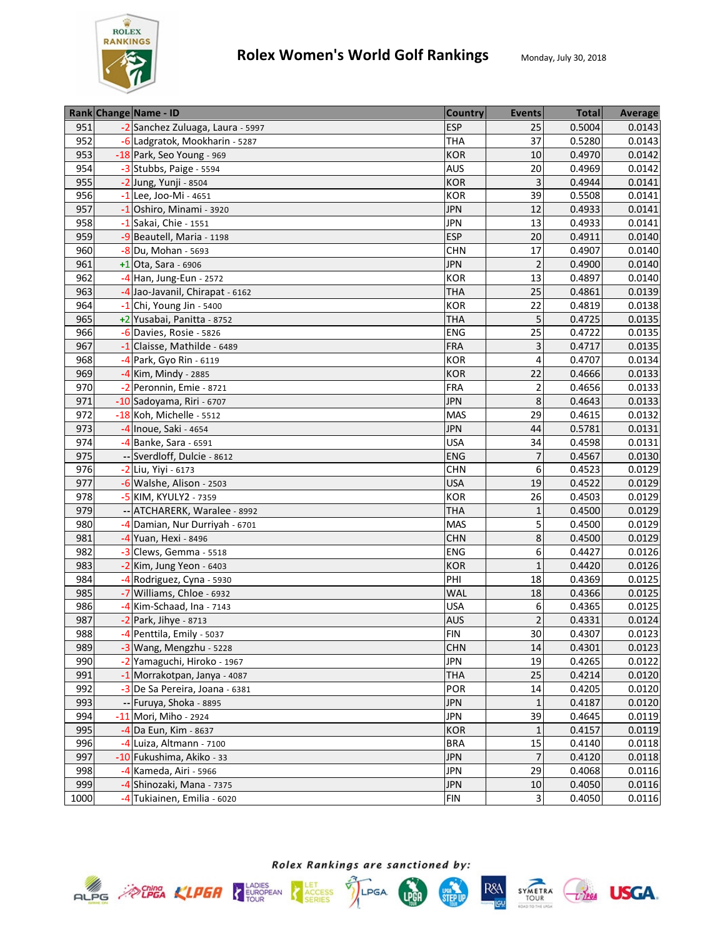

|      | Rank Change Name - ID            | <b>Country</b> | <b>Events</b>  | <b>Total</b> | <b>Average</b> |
|------|----------------------------------|----------------|----------------|--------------|----------------|
| 951  | -2 Sanchez Zuluaga, Laura - 5997 | <b>ESP</b>     | 25             | 0.5004       | 0.0143         |
| 952  | -6 Ladgratok, Mookharin - 5287   | <b>THA</b>     | 37             | 0.5280       | 0.0143         |
| 953  | -18 Park, Seo Young - 969        | <b>KOR</b>     | 10             | 0.4970       | 0.0142         |
| 954  | -3 Stubbs, Paige - 5594          | <b>AUS</b>     | 20             | 0.4969       | 0.0142         |
| 955  | -2 Jung, Yunji - 8504            | <b>KOR</b>     | 3              | 0.4944       | 0.0141         |
| 956  | $-1$ Lee, Joo-Mi - 4651          | <b>KOR</b>     | 39             | 0.5508       | 0.0141         |
| 957  | $-1$ Oshiro, Minami - 3920       | <b>JPN</b>     | 12             | 0.4933       | 0.0141         |
| 958  | $-1$ Sakai, Chie - 1551          | <b>JPN</b>     | 13             | 0.4933       | 0.0141         |
| 959  | -9 Beautell, Maria - 1198        | <b>ESP</b>     | 20             | 0.4911       | 0.0140         |
| 960  | -8 Du, Mohan - 5693              | <b>CHN</b>     | 17             | 0.4907       | 0.0140         |
| 961  | $+1$ Ota, Sara - 6906            | <b>JPN</b>     | $\overline{2}$ | 0.4900       | 0.0140         |
| 962  | -4 Han, Jung-Eun - 2572          | <b>KOR</b>     | 13             | 0.4897       | 0.0140         |
| 963  | -4 Jao-Javanil, Chirapat - 6162  | <b>THA</b>     | 25             | 0.4861       | 0.0139         |
| 964  | $-1$ Chi, Young Jin - 5400       | <b>KOR</b>     | 22             | 0.4819       | 0.0138         |
| 965  | +2 Yusabai, Panitta - 8752       | <b>THA</b>     | 5              | 0.4725       | 0.0135         |
| 966  | -6 Davies, Rosie - 5826          | ENG            | 25             | 0.4722       | 0.0135         |
| 967  | -1 Claisse, Mathilde - 6489      | <b>FRA</b>     | 3              | 0.4717       | 0.0135         |
| 968  | -4 Park, Gyo Rin - 6119          | <b>KOR</b>     | 4              | 0.4707       | 0.0134         |
| 969  | -4 Kim, Mindy - 2885             | <b>KOR</b>     | 22             | 0.4666       | 0.0133         |
| 970  | -2 Peronnin, Emie - 8721         | <b>FRA</b>     | 2              | 0.4656       | 0.0133         |
| 971  | -10 Sadoyama, Riri - 6707        | <b>JPN</b>     | 8              | 0.4643       | 0.0133         |
| 972  | -18 Koh, Michelle - 5512         | <b>MAS</b>     | 29             | 0.4615       | 0.0132         |
| 973  | -4 Inoue, Saki - 4654            | <b>JPN</b>     | 44             | 0.5781       | 0.0131         |
| 974  | -4 Banke, Sara - 6591            | <b>USA</b>     | 34             | 0.4598       | 0.0131         |
| 975  | -- Sverdloff, Dulcie - 8612      | ENG            | $\overline{7}$ | 0.4567       | 0.0130         |
| 976  | -2 Liu, Yiyi - 6173              | <b>CHN</b>     | 6              | 0.4523       | 0.0129         |
| 977  | -6 Walshe, Alison - 2503         | <b>USA</b>     | 19             | 0.4522       | 0.0129         |
| 978  | -5 KIM, KYULY2 - 7359            | <b>KOR</b>     | 26             | 0.4503       | 0.0129         |
| 979  | -- ATCHARERK, Waralee - 8992     | <b>THA</b>     | $\mathbf{1}$   | 0.4500       | 0.0129         |
| 980  | -4 Damian, Nur Durriyah - 6701   | <b>MAS</b>     | 5              | 0.4500       | 0.0129         |
| 981  | -4 Yuan, Hexi - 8496             | <b>CHN</b>     | 8              | 0.4500       | 0.0129         |
| 982  | $-3$ Clews, Gemma - 5518         | ENG            | 6              | 0.4427       | 0.0126         |
| 983  | -2 Kim, Jung Yeon - 6403         | <b>KOR</b>     | $\mathbf{1}$   | 0.4420       | 0.0126         |
| 984  | -4 Rodriguez, Cyna - 5930        | PHI            | 18             | 0.4369       | 0.0125         |
| 985  | -7 Williams, Chloe - 6932        | <b>WAL</b>     | 18             | 0.4366       | 0.0125         |
| 986  | -4 Kim-Schaad, Ina - 7143        | <b>USA</b>     | 6              | 0.4365       | 0.0125         |
| 987  | $-2$ Park, Jihye - 8713          | <b>AUS</b>     | $\overline{2}$ | 0.4331       | 0.0124         |
| 988  | -4 Penttila, Emily - 5037        | <b>FIN</b>     | 30             | 0.4307       | 0.0123         |
| 989  | -3 Wang, Mengzhu - 5228          | <b>CHN</b>     | 14             | 0.4301       | 0.0123         |
| 990  | -2 Yamaguchi, Hiroko - 1967      | <b>JPN</b>     | 19             | 0.4265       | 0.0122         |
| 991  | -1 Morrakotpan, Janya - 4087     | <b>THA</b>     | 25             | 0.4214       | 0.0120         |
| 992  | -3 De Sa Pereira, Joana - 6381   | POR            | 14             | 0.4205       | 0.0120         |
| 993  | -- Furuya, Shoka - 8895          | <b>JPN</b>     | $\mathbf{1}$   | 0.4187       | 0.0120         |
| 994  | -11 Mori, Miho - 2924            | <b>JPN</b>     | 39             | 0.4645       | 0.0119         |
| 995  | -4 Da Eun, Kim - 8637            | <b>KOR</b>     | $\mathbf{1}$   | 0.4157       | 0.0119         |
| 996  | -4 Luiza, Altmann - 7100         | <b>BRA</b>     | 15             | 0.4140       | 0.0118         |
| 997  | -10 Fukushima, Akiko - 33        | <b>JPN</b>     | 7              | 0.4120       | 0.0118         |
| 998  | -4 Kameda, Airi - 5966           | <b>JPN</b>     | 29             | 0.4068       | 0.0116         |
| 999  | -4 Shinozaki, Mana - 7375        | <b>JPN</b>     | $10\,$         | 0.4050       | 0.0116         |
| 1000 | -4 Tukiainen, Emilia - 6020      | <b>FIN</b>     | 3              | 0.4050       | 0.0116         |







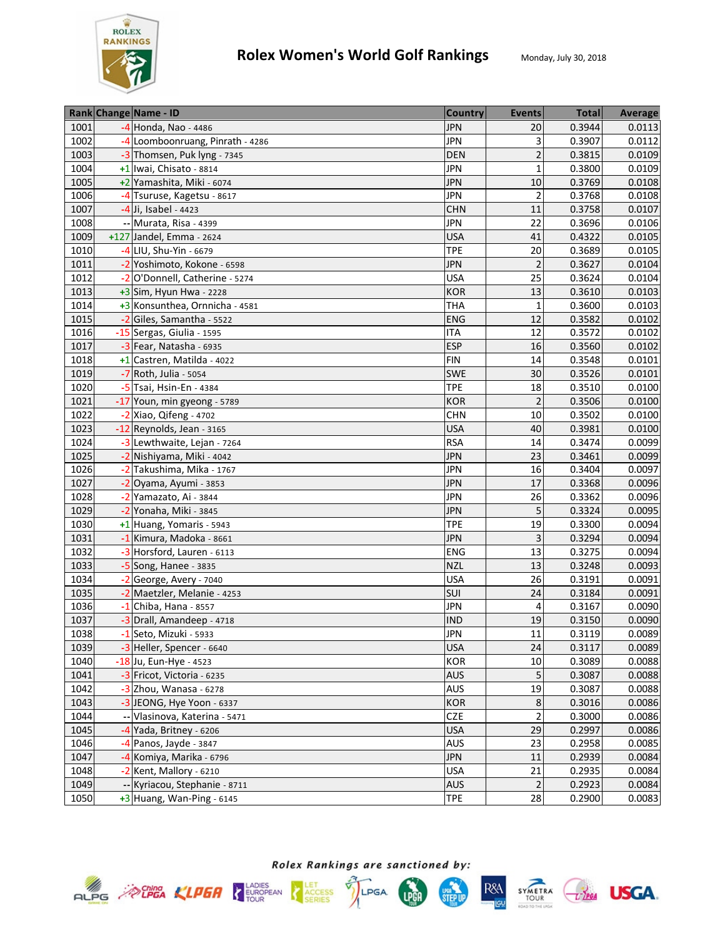

| 1001<br>-4 Honda, Nao - 4486<br><b>JPN</b><br>0.3944<br>20<br>0.0113<br>3<br>1002<br><b>JPN</b><br>0.3907<br>0.0112<br>-4 Loomboonruang, Pinrath - 4286<br>1003<br>$\overline{c}$<br><b>DEN</b><br>0.3815<br>0.0109<br>-3 Thomsen, Puk lyng - 7345<br><b>JPN</b><br>$\mathbf{1}$<br>0.3800<br>1004<br>0.0109<br>+1 Iwai, Chisato - 8814<br>10<br>0.3769<br>1005<br><b>JPN</b><br>0.0108<br>+2 Yamashita, Miki - 6074<br><b>JPN</b><br>1006<br>$\overline{2}$<br>0.3768<br>0.0108<br>-4 Tsuruse, Kagetsu - 8617<br>0.3758<br>1007<br><b>CHN</b><br>11<br>0.0107<br>-4 Ji, Isabel - 4423<br><b>JPN</b><br>0.3696<br>0.0106<br>1008<br>-- Murata, Risa - 4399<br>22<br>1009<br>0.4322<br>0.0105<br>+127 Jandel, Emma - 2624<br><b>USA</b><br>41<br>20<br>1010<br>-4 LIU, Shu-Yin - 6679<br><b>TPE</b><br>0.3689<br>0.0105<br><b>JPN</b><br>1011<br>-2 Yoshimoto, Kokone - 6598<br>$\overline{2}$<br>0.3627<br>0.0104<br>25<br>1012<br>-2 O'Donnell, Catherine - 5274<br><b>USA</b><br>0.3624<br>0.0104<br><b>KOR</b><br>13<br>0.3610<br>1013<br>$+3$ Sim, Hyun Hwa - 2228<br>0.0103<br>0.3600<br>1014<br>+3 Konsunthea, Ornnicha - 4581<br><b>THA</b><br>0.0103<br>$\mathbf{1}$<br>12<br>0.3582<br>1015<br>-2 Giles, Samantha - 5522<br><b>ENG</b><br>0.0102<br>12<br>0.3572<br>1016<br><b>ITA</b><br>0.0102<br>-15 Sergas, Giulia - 1595<br>1017<br><b>ESP</b><br>0.3560<br>16<br>0.0102<br>$-3$ Fear, Natasha - 6935<br>1018<br>14<br>0.3548<br>0.0101<br>+1 Castren, Matilda - 4022<br><b>FIN</b><br>1019<br><b>SWE</b><br>30<br>0.3526<br>0.0101<br>-7 Roth, Julia - 5054<br>0.3510<br>1020<br><b>TPE</b><br>18<br>0.0100<br>-5 Tsai, Hsin-En - 4384<br>1021<br>$\overline{2}$<br>0.3506<br>0.0100<br>-17 Youn, min gyeong - 5789<br><b>KOR</b><br>1022<br>0.3502<br>$-2$ Xiao, Qifeng - 4702<br><b>CHN</b><br>10<br>0.0100 |
|------------------------------------------------------------------------------------------------------------------------------------------------------------------------------------------------------------------------------------------------------------------------------------------------------------------------------------------------------------------------------------------------------------------------------------------------------------------------------------------------------------------------------------------------------------------------------------------------------------------------------------------------------------------------------------------------------------------------------------------------------------------------------------------------------------------------------------------------------------------------------------------------------------------------------------------------------------------------------------------------------------------------------------------------------------------------------------------------------------------------------------------------------------------------------------------------------------------------------------------------------------------------------------------------------------------------------------------------------------------------------------------------------------------------------------------------------------------------------------------------------------------------------------------------------------------------------------------------------------------------------------------------------------------------------------------------------------------------------------------------------------------------------------------------------------------------------|
|                                                                                                                                                                                                                                                                                                                                                                                                                                                                                                                                                                                                                                                                                                                                                                                                                                                                                                                                                                                                                                                                                                                                                                                                                                                                                                                                                                                                                                                                                                                                                                                                                                                                                                                                                                                                                              |
|                                                                                                                                                                                                                                                                                                                                                                                                                                                                                                                                                                                                                                                                                                                                                                                                                                                                                                                                                                                                                                                                                                                                                                                                                                                                                                                                                                                                                                                                                                                                                                                                                                                                                                                                                                                                                              |
|                                                                                                                                                                                                                                                                                                                                                                                                                                                                                                                                                                                                                                                                                                                                                                                                                                                                                                                                                                                                                                                                                                                                                                                                                                                                                                                                                                                                                                                                                                                                                                                                                                                                                                                                                                                                                              |
|                                                                                                                                                                                                                                                                                                                                                                                                                                                                                                                                                                                                                                                                                                                                                                                                                                                                                                                                                                                                                                                                                                                                                                                                                                                                                                                                                                                                                                                                                                                                                                                                                                                                                                                                                                                                                              |
|                                                                                                                                                                                                                                                                                                                                                                                                                                                                                                                                                                                                                                                                                                                                                                                                                                                                                                                                                                                                                                                                                                                                                                                                                                                                                                                                                                                                                                                                                                                                                                                                                                                                                                                                                                                                                              |
|                                                                                                                                                                                                                                                                                                                                                                                                                                                                                                                                                                                                                                                                                                                                                                                                                                                                                                                                                                                                                                                                                                                                                                                                                                                                                                                                                                                                                                                                                                                                                                                                                                                                                                                                                                                                                              |
|                                                                                                                                                                                                                                                                                                                                                                                                                                                                                                                                                                                                                                                                                                                                                                                                                                                                                                                                                                                                                                                                                                                                                                                                                                                                                                                                                                                                                                                                                                                                                                                                                                                                                                                                                                                                                              |
|                                                                                                                                                                                                                                                                                                                                                                                                                                                                                                                                                                                                                                                                                                                                                                                                                                                                                                                                                                                                                                                                                                                                                                                                                                                                                                                                                                                                                                                                                                                                                                                                                                                                                                                                                                                                                              |
|                                                                                                                                                                                                                                                                                                                                                                                                                                                                                                                                                                                                                                                                                                                                                                                                                                                                                                                                                                                                                                                                                                                                                                                                                                                                                                                                                                                                                                                                                                                                                                                                                                                                                                                                                                                                                              |
|                                                                                                                                                                                                                                                                                                                                                                                                                                                                                                                                                                                                                                                                                                                                                                                                                                                                                                                                                                                                                                                                                                                                                                                                                                                                                                                                                                                                                                                                                                                                                                                                                                                                                                                                                                                                                              |
|                                                                                                                                                                                                                                                                                                                                                                                                                                                                                                                                                                                                                                                                                                                                                                                                                                                                                                                                                                                                                                                                                                                                                                                                                                                                                                                                                                                                                                                                                                                                                                                                                                                                                                                                                                                                                              |
|                                                                                                                                                                                                                                                                                                                                                                                                                                                                                                                                                                                                                                                                                                                                                                                                                                                                                                                                                                                                                                                                                                                                                                                                                                                                                                                                                                                                                                                                                                                                                                                                                                                                                                                                                                                                                              |
|                                                                                                                                                                                                                                                                                                                                                                                                                                                                                                                                                                                                                                                                                                                                                                                                                                                                                                                                                                                                                                                                                                                                                                                                                                                                                                                                                                                                                                                                                                                                                                                                                                                                                                                                                                                                                              |
|                                                                                                                                                                                                                                                                                                                                                                                                                                                                                                                                                                                                                                                                                                                                                                                                                                                                                                                                                                                                                                                                                                                                                                                                                                                                                                                                                                                                                                                                                                                                                                                                                                                                                                                                                                                                                              |
|                                                                                                                                                                                                                                                                                                                                                                                                                                                                                                                                                                                                                                                                                                                                                                                                                                                                                                                                                                                                                                                                                                                                                                                                                                                                                                                                                                                                                                                                                                                                                                                                                                                                                                                                                                                                                              |
|                                                                                                                                                                                                                                                                                                                                                                                                                                                                                                                                                                                                                                                                                                                                                                                                                                                                                                                                                                                                                                                                                                                                                                                                                                                                                                                                                                                                                                                                                                                                                                                                                                                                                                                                                                                                                              |
|                                                                                                                                                                                                                                                                                                                                                                                                                                                                                                                                                                                                                                                                                                                                                                                                                                                                                                                                                                                                                                                                                                                                                                                                                                                                                                                                                                                                                                                                                                                                                                                                                                                                                                                                                                                                                              |
|                                                                                                                                                                                                                                                                                                                                                                                                                                                                                                                                                                                                                                                                                                                                                                                                                                                                                                                                                                                                                                                                                                                                                                                                                                                                                                                                                                                                                                                                                                                                                                                                                                                                                                                                                                                                                              |
|                                                                                                                                                                                                                                                                                                                                                                                                                                                                                                                                                                                                                                                                                                                                                                                                                                                                                                                                                                                                                                                                                                                                                                                                                                                                                                                                                                                                                                                                                                                                                                                                                                                                                                                                                                                                                              |
|                                                                                                                                                                                                                                                                                                                                                                                                                                                                                                                                                                                                                                                                                                                                                                                                                                                                                                                                                                                                                                                                                                                                                                                                                                                                                                                                                                                                                                                                                                                                                                                                                                                                                                                                                                                                                              |
|                                                                                                                                                                                                                                                                                                                                                                                                                                                                                                                                                                                                                                                                                                                                                                                                                                                                                                                                                                                                                                                                                                                                                                                                                                                                                                                                                                                                                                                                                                                                                                                                                                                                                                                                                                                                                              |
|                                                                                                                                                                                                                                                                                                                                                                                                                                                                                                                                                                                                                                                                                                                                                                                                                                                                                                                                                                                                                                                                                                                                                                                                                                                                                                                                                                                                                                                                                                                                                                                                                                                                                                                                                                                                                              |
| 1023<br>-12 Reynolds, Jean - 3165<br><b>USA</b><br>40<br>0.3981<br>0.0100                                                                                                                                                                                                                                                                                                                                                                                                                                                                                                                                                                                                                                                                                                                                                                                                                                                                                                                                                                                                                                                                                                                                                                                                                                                                                                                                                                                                                                                                                                                                                                                                                                                                                                                                                    |
| 1024<br>14<br>-3 Lewthwaite, Lejan - 7264<br><b>RSA</b><br>0.3474<br>0.0099                                                                                                                                                                                                                                                                                                                                                                                                                                                                                                                                                                                                                                                                                                                                                                                                                                                                                                                                                                                                                                                                                                                                                                                                                                                                                                                                                                                                                                                                                                                                                                                                                                                                                                                                                  |
| <b>JPN</b><br>23<br>1025<br>-2 Nishiyama, Miki - 4042<br>0.3461<br>0.0099                                                                                                                                                                                                                                                                                                                                                                                                                                                                                                                                                                                                                                                                                                                                                                                                                                                                                                                                                                                                                                                                                                                                                                                                                                                                                                                                                                                                                                                                                                                                                                                                                                                                                                                                                    |
| 1026<br>-2 Takushima, Mika - 1767<br><b>JPN</b><br>16<br>0.3404<br>0.0097                                                                                                                                                                                                                                                                                                                                                                                                                                                                                                                                                                                                                                                                                                                                                                                                                                                                                                                                                                                                                                                                                                                                                                                                                                                                                                                                                                                                                                                                                                                                                                                                                                                                                                                                                    |
| 17<br>1027<br><b>JPN</b><br>-2 Oyama, Ayumi - 3853<br>0.3368<br>0.0096                                                                                                                                                                                                                                                                                                                                                                                                                                                                                                                                                                                                                                                                                                                                                                                                                                                                                                                                                                                                                                                                                                                                                                                                                                                                                                                                                                                                                                                                                                                                                                                                                                                                                                                                                       |
| 26<br>0.3362<br>1028<br><b>JPN</b><br>0.0096<br>-2 Yamazato, Ai - 3844                                                                                                                                                                                                                                                                                                                                                                                                                                                                                                                                                                                                                                                                                                                                                                                                                                                                                                                                                                                                                                                                                                                                                                                                                                                                                                                                                                                                                                                                                                                                                                                                                                                                                                                                                       |
| 5<br>1029<br>-2 Yonaha, Miki - 3845<br><b>JPN</b><br>0.3324<br>0.0095                                                                                                                                                                                                                                                                                                                                                                                                                                                                                                                                                                                                                                                                                                                                                                                                                                                                                                                                                                                                                                                                                                                                                                                                                                                                                                                                                                                                                                                                                                                                                                                                                                                                                                                                                        |
| 19<br>1030<br><b>TPE</b><br>0.3300<br>+1 Huang, Yomaris - 5943<br>0.0094                                                                                                                                                                                                                                                                                                                                                                                                                                                                                                                                                                                                                                                                                                                                                                                                                                                                                                                                                                                                                                                                                                                                                                                                                                                                                                                                                                                                                                                                                                                                                                                                                                                                                                                                                     |
| 3<br>1031<br><b>JPN</b><br>0.3294<br>0.0094<br>-1 Kimura, Madoka - 8661                                                                                                                                                                                                                                                                                                                                                                                                                                                                                                                                                                                                                                                                                                                                                                                                                                                                                                                                                                                                                                                                                                                                                                                                                                                                                                                                                                                                                                                                                                                                                                                                                                                                                                                                                      |
| 1032<br>13<br>0.3275<br>0.0094<br>-3 Horsford, Lauren - 6113<br><b>ENG</b>                                                                                                                                                                                                                                                                                                                                                                                                                                                                                                                                                                                                                                                                                                                                                                                                                                                                                                                                                                                                                                                                                                                                                                                                                                                                                                                                                                                                                                                                                                                                                                                                                                                                                                                                                   |
| 1033<br>$-5$ Song, Hanee - 3835<br><b>NZL</b><br>13<br>0.3248<br>0.0093                                                                                                                                                                                                                                                                                                                                                                                                                                                                                                                                                                                                                                                                                                                                                                                                                                                                                                                                                                                                                                                                                                                                                                                                                                                                                                                                                                                                                                                                                                                                                                                                                                                                                                                                                      |
| 1034<br><b>USA</b><br>0.3191<br>0.0091<br>-2 George, Avery - 7040<br>26                                                                                                                                                                                                                                                                                                                                                                                                                                                                                                                                                                                                                                                                                                                                                                                                                                                                                                                                                                                                                                                                                                                                                                                                                                                                                                                                                                                                                                                                                                                                                                                                                                                                                                                                                      |
| 1035<br>SUI<br>-2 Maetzler, Melanie - 4253<br>24<br>0.3184<br>0.0091                                                                                                                                                                                                                                                                                                                                                                                                                                                                                                                                                                                                                                                                                                                                                                                                                                                                                                                                                                                                                                                                                                                                                                                                                                                                                                                                                                                                                                                                                                                                                                                                                                                                                                                                                         |
| $-1$ Chiba, Hana - 8557<br>0.3167<br>1036<br>JPN<br>0.0090<br>4                                                                                                                                                                                                                                                                                                                                                                                                                                                                                                                                                                                                                                                                                                                                                                                                                                                                                                                                                                                                                                                                                                                                                                                                                                                                                                                                                                                                                                                                                                                                                                                                                                                                                                                                                              |
| 19<br>1037<br>-3 Drall, Amandeep - 4718<br><b>IND</b><br>0.3150<br>0.0090                                                                                                                                                                                                                                                                                                                                                                                                                                                                                                                                                                                                                                                                                                                                                                                                                                                                                                                                                                                                                                                                                                                                                                                                                                                                                                                                                                                                                                                                                                                                                                                                                                                                                                                                                    |
| 11<br>1038<br><b>JPN</b><br>-1 Seto, Mizuki - 5933<br>0.3119<br>0.0089                                                                                                                                                                                                                                                                                                                                                                                                                                                                                                                                                                                                                                                                                                                                                                                                                                                                                                                                                                                                                                                                                                                                                                                                                                                                                                                                                                                                                                                                                                                                                                                                                                                                                                                                                       |
| <b>USA</b><br>1039<br>-3 Heller, Spencer - 6640<br>24<br>0.3117<br>0.0089                                                                                                                                                                                                                                                                                                                                                                                                                                                                                                                                                                                                                                                                                                                                                                                                                                                                                                                                                                                                                                                                                                                                                                                                                                                                                                                                                                                                                                                                                                                                                                                                                                                                                                                                                    |
| 1040<br>KOR<br>10<br>0.3089<br>0.0088<br>-18 Ju, Eun-Hye - 4523                                                                                                                                                                                                                                                                                                                                                                                                                                                                                                                                                                                                                                                                                                                                                                                                                                                                                                                                                                                                                                                                                                                                                                                                                                                                                                                                                                                                                                                                                                                                                                                                                                                                                                                                                              |
| 5<br>1041<br><b>AUS</b><br>0.3087<br>0.0088<br>-3 Fricot, Victoria - 6235                                                                                                                                                                                                                                                                                                                                                                                                                                                                                                                                                                                                                                                                                                                                                                                                                                                                                                                                                                                                                                                                                                                                                                                                                                                                                                                                                                                                                                                                                                                                                                                                                                                                                                                                                    |
| 19<br>1042<br><b>AUS</b><br>0.3087<br>$-3$ Zhou, Wanasa - 6278<br>0.0088                                                                                                                                                                                                                                                                                                                                                                                                                                                                                                                                                                                                                                                                                                                                                                                                                                                                                                                                                                                                                                                                                                                                                                                                                                                                                                                                                                                                                                                                                                                                                                                                                                                                                                                                                     |
| $\bf 8$<br>1043<br><b>KOR</b><br>0.3016<br>-3 JEONG, Hye Yoon - 6337<br>0.0086                                                                                                                                                                                                                                                                                                                                                                                                                                                                                                                                                                                                                                                                                                                                                                                                                                                                                                                                                                                                                                                                                                                                                                                                                                                                                                                                                                                                                                                                                                                                                                                                                                                                                                                                               |
| <b>CZE</b><br>$\overline{2}$<br>1044<br>-- Vlasinova, Katerina - 5471<br>0.3000<br>0.0086                                                                                                                                                                                                                                                                                                                                                                                                                                                                                                                                                                                                                                                                                                                                                                                                                                                                                                                                                                                                                                                                                                                                                                                                                                                                                                                                                                                                                                                                                                                                                                                                                                                                                                                                    |
| 29<br>1045<br>0.2997<br>-4 Yada, Britney - 6206<br><b>USA</b><br>0.0086                                                                                                                                                                                                                                                                                                                                                                                                                                                                                                                                                                                                                                                                                                                                                                                                                                                                                                                                                                                                                                                                                                                                                                                                                                                                                                                                                                                                                                                                                                                                                                                                                                                                                                                                                      |
| <b>AUS</b><br>23<br>0.0085<br>1046<br>$-4$ Panos, Jayde - 3847<br>0.2958                                                                                                                                                                                                                                                                                                                                                                                                                                                                                                                                                                                                                                                                                                                                                                                                                                                                                                                                                                                                                                                                                                                                                                                                                                                                                                                                                                                                                                                                                                                                                                                                                                                                                                                                                     |
| 1047<br>-4 Komiya, Marika - 6796<br><b>JPN</b><br>11<br>0.2939<br>0.0084                                                                                                                                                                                                                                                                                                                                                                                                                                                                                                                                                                                                                                                                                                                                                                                                                                                                                                                                                                                                                                                                                                                                                                                                                                                                                                                                                                                                                                                                                                                                                                                                                                                                                                                                                     |
| 1048<br><b>USA</b><br>21<br>0.2935<br>0.0084<br>-2 Kent, Mallory - 6210                                                                                                                                                                                                                                                                                                                                                                                                                                                                                                                                                                                                                                                                                                                                                                                                                                                                                                                                                                                                                                                                                                                                                                                                                                                                                                                                                                                                                                                                                                                                                                                                                                                                                                                                                      |
| 1049<br>-- Kyriacou, Stephanie - 8711<br><b>AUS</b><br>$\overline{c}$<br>0.2923<br>0.0084                                                                                                                                                                                                                                                                                                                                                                                                                                                                                                                                                                                                                                                                                                                                                                                                                                                                                                                                                                                                                                                                                                                                                                                                                                                                                                                                                                                                                                                                                                                                                                                                                                                                                                                                    |
| 1050<br><b>TPE</b><br>28<br>$+3$ Huang, Wan-Ping - 6145<br>0.2900<br>0.0083                                                                                                                                                                                                                                                                                                                                                                                                                                                                                                                                                                                                                                                                                                                                                                                                                                                                                                                                                                                                                                                                                                                                                                                                                                                                                                                                                                                                                                                                                                                                                                                                                                                                                                                                                  |







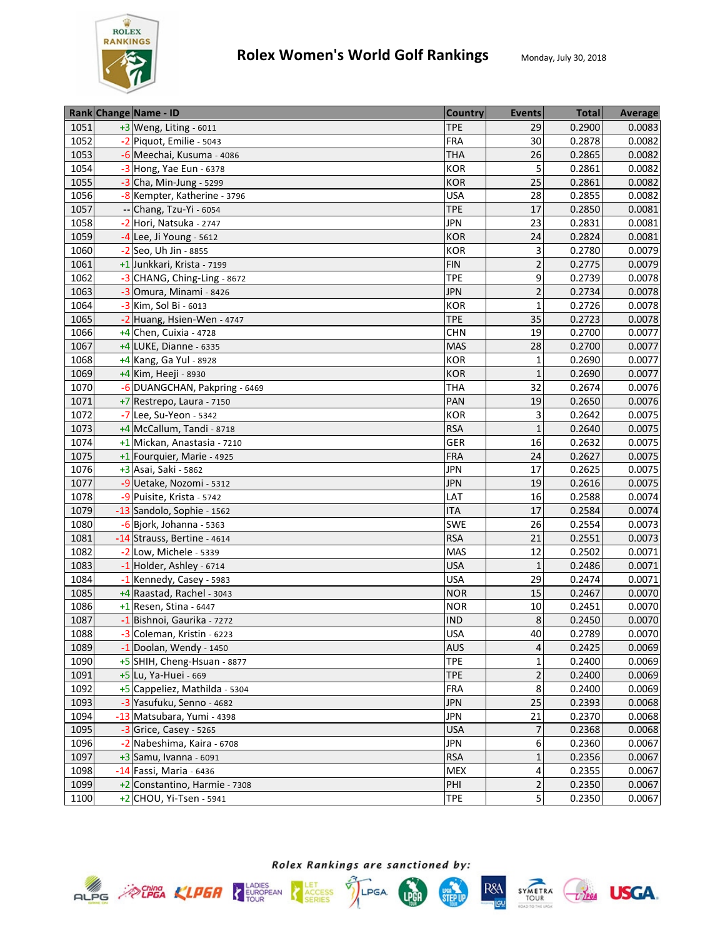

|      | Rank Change Name - ID         | <b>Country</b> | <b>Events</b>  | <b>Total</b> | Average |
|------|-------------------------------|----------------|----------------|--------------|---------|
| 1051 | +3 Weng, Liting - 6011        | <b>TPE</b>     | 29             | 0.2900       | 0.0083  |
| 1052 | -2 Piquot, Emilie - 5043      | <b>FRA</b>     | 30             | 0.2878       | 0.0082  |
| 1053 | -6 Meechai, Kusuma - 4086     | <b>THA</b>     | 26             | 0.2865       | 0.0082  |
| 1054 | -3 Hong, Yae Eun - 6378       | <b>KOR</b>     | 5              | 0.2861       | 0.0082  |
| 1055 | $-3$ Cha, Min-Jung - 5299     | <b>KOR</b>     | 25             | 0.2861       | 0.0082  |
| 1056 | -8 Kempter, Katherine - 3796  | <b>USA</b>     | 28             | 0.2855       | 0.0082  |
| 1057 | -- Chang, Tzu-Yi - 6054       | <b>TPE</b>     | 17             | 0.2850       | 0.0081  |
| 1058 | -2 Hori, Natsuka - 2747       | JPN            | 23             | 0.2831       | 0.0081  |
| 1059 | $-4$ Lee, Ji Young - 5612     | <b>KOR</b>     | 24             | 0.2824       | 0.0081  |
| 1060 | -2 Seo, Uh Jin - 8855         | <b>KOR</b>     | 3              | 0.2780       | 0.0079  |
| 1061 | +1 Junkkari, Krista - 7199    | <b>FIN</b>     | $\overline{2}$ | 0.2775       | 0.0079  |
| 1062 | -3 CHANG, Ching-Ling - 8672   | <b>TPE</b>     | 9              | 0.2739       | 0.0078  |
| 1063 | -3 Omura, Minami - 8426       | <b>JPN</b>     | $\overline{2}$ | 0.2734       | 0.0078  |
| 1064 | -3 Kim, Sol Bi - 6013         | <b>KOR</b>     | 1              | 0.2726       | 0.0078  |
| 1065 | -2 Huang, Hsien-Wen - 4747    | <b>TPE</b>     | 35             | 0.2723       | 0.0078  |
| 1066 | $+4$ Chen, Cuixia - 4728      | <b>CHN</b>     | 19             | 0.2700       | 0.0077  |
| 1067 | +4 LUKE, Dianne - 6335        | <b>MAS</b>     | 28             | 0.2700       | 0.0077  |
| 1068 | +4 Kang, Ga Yul - 8928        | <b>KOR</b>     | $\mathbf{1}$   | 0.2690       | 0.0077  |
| 1069 | +4 Kim, Heeji - 8930          | <b>KOR</b>     | 1              | 0.2690       | 0.0077  |
| 1070 | -6 DUANGCHAN, Pakpring - 6469 | <b>THA</b>     | 32             | 0.2674       | 0.0076  |
| 1071 | +7 Restrepo, Laura - 7150     | PAN            | 19             | 0.2650       | 0.0076  |
| 1072 | -7 Lee, Su-Yeon - 5342        | <b>KOR</b>     | 3              | 0.2642       | 0.0075  |
| 1073 | +4 McCallum, Tandi - 8718     | <b>RSA</b>     | $\mathbf{1}$   | 0.2640       | 0.0075  |
| 1074 | +1 Mickan, Anastasia - 7210   | GER            | 16             | 0.2632       | 0.0075  |
| 1075 | +1 Fourquier, Marie - 4925    | <b>FRA</b>     | 24             | 0.2627       | 0.0075  |
| 1076 | +3 Asai, Saki - 5862          | <b>JPN</b>     | 17             | 0.2625       | 0.0075  |
| 1077 | -9 Uetake, Nozomi - 5312      | <b>JPN</b>     | 19             | 0.2616       | 0.0075  |
| 1078 | -9 Puisite, Krista - 5742     | LAT            | 16             | 0.2588       | 0.0074  |
| 1079 | -13 Sandolo, Sophie - 1562    | <b>ITA</b>     | 17             | 0.2584       | 0.0074  |
| 1080 | $-6$ Bjork, Johanna - 5363    | <b>SWE</b>     | 26             | 0.2554       | 0.0073  |
| 1081 | -14 Strauss, Bertine - 4614   | <b>RSA</b>     | 21             | 0.2551       | 0.0073  |
| 1082 | -2 Low, Michele - 5339        | <b>MAS</b>     | 12             | 0.2502       | 0.0071  |
| 1083 | -1 Holder, Ashley - 6714      | <b>USA</b>     | $\mathbf{1}$   | 0.2486       | 0.0071  |
| 1084 | -1 Kennedy, Casey - 5983      | <b>USA</b>     | 29             | 0.2474       | 0.0071  |
| 1085 | +4 Raastad, Rachel - 3043     | <b>NOR</b>     | 15             | 0.2467       | 0.0070  |
| 1086 | $+1$ Resen, Stina - 6447      | <b>NOR</b>     | 10             | 0.2451       | 0.0070  |
| 1087 | -1 Bishnoi, Gaurika - 7272    | <b>IND</b>     | 8              | 0.2450       | 0.0070  |
| 1088 | -3 Coleman, Kristin - 6223    | <b>USA</b>     | 40             | 0.2789       | 0.0070  |
| 1089 | -1 Doolan, Wendy - 1450       | <b>AUS</b>     | $\sqrt{4}$     | 0.2425       | 0.0069  |
| 1090 | +5 SHIH, Cheng-Hsuan - 8877   | <b>TPE</b>     | 1              | 0.2400       | 0.0069  |
| 1091 | +5 Lu, Ya-Huei - 669          | <b>TPE</b>     | $\overline{2}$ | 0.2400       | 0.0069  |
| 1092 | +5 Cappeliez, Mathilda - 5304 | <b>FRA</b>     | 8              | 0.2400       | 0.0069  |
| 1093 | -3 Yasufuku, Senno - 4682     | <b>JPN</b>     | 25             | 0.2393       | 0.0068  |
| 1094 | -13 Matsubara, Yumi - 4398    | <b>JPN</b>     | 21             | 0.2370       | 0.0068  |
| 1095 | -3 Grice, Casey - 5265        | <b>USA</b>     | 7              | 0.2368       | 0.0068  |
| 1096 | -2 Nabeshima, Kaira - 6708    | <b>JPN</b>     | 6              | 0.2360       | 0.0067  |
| 1097 | $+3$ Samu, Ivanna - 6091      | <b>RSA</b>     | $\mathbf{1}$   | 0.2356       | 0.0067  |
| 1098 | -14 Fassi, Maria - 6436       | <b>MEX</b>     | 4              | 0.2355       | 0.0067  |
| 1099 | +2 Constantino, Harmie - 7308 | PHI            | $\overline{2}$ | 0.2350       | 0.0067  |
| 1100 | $+2$ CHOU, Yi-Tsen - 5941     | <b>TPE</b>     | 5              | 0.2350       | 0.0067  |







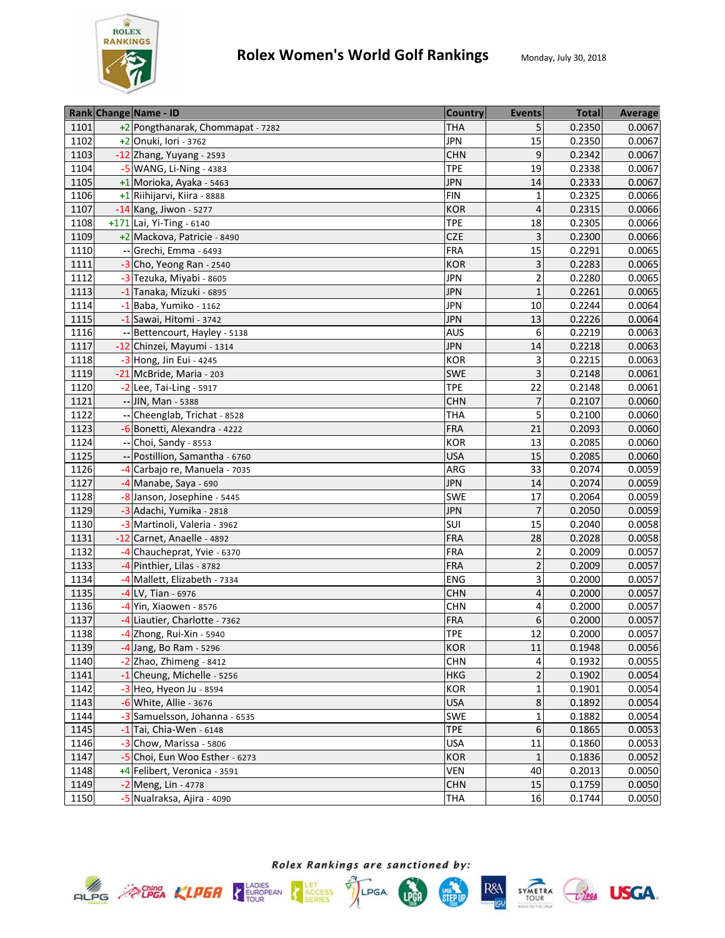

| 1101<br>5<br>0.2350<br>+2 Pongthanarak, Chommapat - 7282<br><b>THA</b><br>15<br>0.2350<br>1102<br>+2 Onuki, Iori - 3762<br><b>JPN</b><br>9<br>1103<br><b>CHN</b><br>0.2342<br>-12 Zhang, Yuyang - 2593 | 0.0067<br>0.0067<br>0.0067 |
|--------------------------------------------------------------------------------------------------------------------------------------------------------------------------------------------------------|----------------------------|
|                                                                                                                                                                                                        |                            |
|                                                                                                                                                                                                        |                            |
|                                                                                                                                                                                                        |                            |
| 19<br>0.2338<br>1104<br>-5 WANG, Li-Ning - 4383<br><b>TPE</b>                                                                                                                                          | 0.0067                     |
| 1105<br>+1 Morioka, Ayaka - 5463<br><b>JPN</b><br>14<br>0.2333                                                                                                                                         | 0.0067                     |
| +1 Riihijarvi, Kiira - 8888<br><b>FIN</b><br>0.2325<br>1106<br>$\mathbf{1}$                                                                                                                            | 0.0066                     |
| 0.2315<br>1107<br><b>KOR</b><br>-14 Kang, Jiwon - 5277<br>$\overline{4}$                                                                                                                               | 0.0066                     |
| 1108<br><b>TPE</b><br>0.2305<br>$+171$ Lai, Yi-Ting - 6140<br>18                                                                                                                                       | 0.0066                     |
| <b>CZE</b><br>3<br>1109<br>0.2300<br>+2 Mackova, Patricie - 8490                                                                                                                                       | 0.0066                     |
| 15<br>1110<br>Grechi, Emma - 6493<br><b>FRA</b><br>0.2291                                                                                                                                              | 0.0065                     |
| 3<br>1111<br>$-3$ Cho, Yeong Ran - 2540<br><b>KOR</b><br>0.2283                                                                                                                                        | 0.0065                     |
| $\overline{2}$<br>1112<br>-3 Tezuka, Miyabi - 8605<br><b>JPN</b><br>0.2280                                                                                                                             | 0.0065                     |
| 1113<br>-1 Tanaka, Mizuki - 6895<br><b>JPN</b><br>$\mathbf{1}$<br>0.2261                                                                                                                               | 0.0065                     |
| <b>JPN</b><br>0.2244<br>1114<br>-1 Baba, Yumiko - 1162<br>10                                                                                                                                           | 0.0064                     |
| 1115<br><b>JPN</b><br>13<br>0.2226<br>-1 Sawai, Hitomi - 3742                                                                                                                                          | 0.0064                     |
| 6<br>0.2219<br>1116<br><b>AUS</b><br>-- Bettencourt, Hayley - 5138                                                                                                                                     | 0.0063                     |
| 1117<br><b>JPN</b><br>0.2218<br>14<br>-12 Chinzei, Mayumi - 1314                                                                                                                                       | 0.0063                     |
| 1118<br><b>KOR</b><br>3<br>0.2215<br>$-3$ Hong, Jin Eui - 4245                                                                                                                                         | 0.0063                     |
| 3<br>1119<br>0.2148<br>-21 McBride, Maria - 203<br><b>SWE</b>                                                                                                                                          | 0.0061                     |
| 1120<br>-2 Lee, Tai-Ling - 5917<br><b>TPE</b><br>22<br>0.2148                                                                                                                                          | 0.0061                     |
| 1121<br><b>CHN</b><br>0.2107<br>-- JIN, Man - 5388<br>7                                                                                                                                                | 0.0060                     |
| -- Cheenglab, Trichat - 8528<br>5<br>1122<br>THA<br>0.2100                                                                                                                                             | 0.0060                     |
| 21<br>1123<br>-6 Bonetti, Alexandra - 4222<br><b>FRA</b><br>0.2093                                                                                                                                     | 0.0060                     |
| 1124<br>13<br>-- Choi, Sandy - 8553<br>KOR<br>0.2085                                                                                                                                                   | 0.0060                     |
| Postillion, Samantha - 6760<br>15<br>1125<br><b>USA</b><br>0.2085                                                                                                                                      | 0.0060                     |
| 33<br>1126<br>-4 Carbajo re, Manuela - 7035<br>ARG<br>0.2074                                                                                                                                           | 0.0059                     |
| 14<br>1127<br><b>JPN</b><br>0.2074<br>-4 Manabe, Saya - 690                                                                                                                                            | 0.0059                     |
| <b>SWE</b><br>17<br>1128<br>0.2064<br>-8 Janson, Josephine - 5445                                                                                                                                      | 0.0059                     |
| $\overline{7}$<br>1129<br><b>JPN</b><br>0.2050<br>-3 Adachi, Yumika - 2818                                                                                                                             | 0.0059                     |
| 15<br>1130<br>SUI<br>0.2040<br>-3 Martinoli, Valeria - 3962                                                                                                                                            | 0.0058                     |
| 1131<br><b>FRA</b><br>28<br>0.2028<br>-12 Carnet, Anaelle - 4892                                                                                                                                       | 0.0058                     |
| 1132<br><b>FRA</b><br>$\overline{2}$<br>0.2009<br>-4 Chaucheprat, Yvie - 6370                                                                                                                          | 0.0057                     |
| $\overline{2}$<br>1133<br>-4 Pinthier, Lilas - 8782<br><b>FRA</b><br>0.2009                                                                                                                            | 0.0057                     |
| 1134<br>-4 Mallett, Elizabeth - 7334<br>3<br>0.2000<br><b>ENG</b>                                                                                                                                      | 0.0057                     |
| 1135<br>0.2000<br>-4 LV, Tian - 6976<br><b>CHN</b><br>4                                                                                                                                                | 0.0057                     |
| 1136<br>-4 Yin, Xiaowen - 8576<br>0.2000<br><b>CHN</b><br>4                                                                                                                                            | 0.0057                     |
| $\boldsymbol{6}$<br>1137<br>-4 Liautier, Charlotte - 7362<br><b>FRA</b><br>0.2000                                                                                                                      | 0.0057                     |
| 12<br>1138<br>-4 Zhong, Rui-Xin - 5940<br><b>TPE</b><br>0.2000                                                                                                                                         | 0.0057                     |
| <b>KOR</b><br>1139<br>$-4$ Jang, Bo Ram - 5296<br>11<br>0.1948                                                                                                                                         | 0.0056                     |
| 1140<br>$-2$ Zhao, Zhimeng - 8412<br><b>CHN</b><br>0.1932<br>4                                                                                                                                         | 0.0055                     |
| $\overline{2}$<br>1141<br><b>HKG</b><br>0.1902<br>-1 Cheung, Michelle - 5256                                                                                                                           | 0.0054                     |
| KOR<br>0.1901<br>1142<br>$-3$ Heo, Hyeon Ju - 8594<br>1                                                                                                                                                | 0.0054                     |
| $\bf 8$<br>1143<br><b>USA</b><br>0.1892<br>-6 White, Allie - 3676                                                                                                                                      | 0.0054                     |
| <b>SWE</b><br>1144<br>-3 Samuelsson, Johanna - 6535<br>1<br>0.1882                                                                                                                                     | 0.0054                     |
| $\,$ 6 $\,$<br>1145<br><b>TPE</b><br>0.1865<br>$-1$ Tai, Chia-Wen - 6148                                                                                                                               | 0.0053                     |
| 11<br>0.1860<br>1146<br>-3 Chow, Marissa - 5806<br><b>USA</b>                                                                                                                                          | 0.0053                     |
| 1147<br>-5 Choi, Eun Woo Esther - 6273<br><b>KOR</b><br>$1\,$<br>0.1836                                                                                                                                | 0.0052                     |
| <b>VEN</b><br>1148<br>+4 Felibert, Veronica - 3591<br>40<br>0.2013                                                                                                                                     | 0.0050                     |
| 1149<br>15<br>0.1759<br>$-2$ Meng, Lin - 4778<br><b>CHN</b>                                                                                                                                            | 0.0050                     |
| 1150<br>-5 Nualraksa, Ajira - 4090<br>16<br>0.1744<br><b>THA</b>                                                                                                                                       | 0.0050                     |







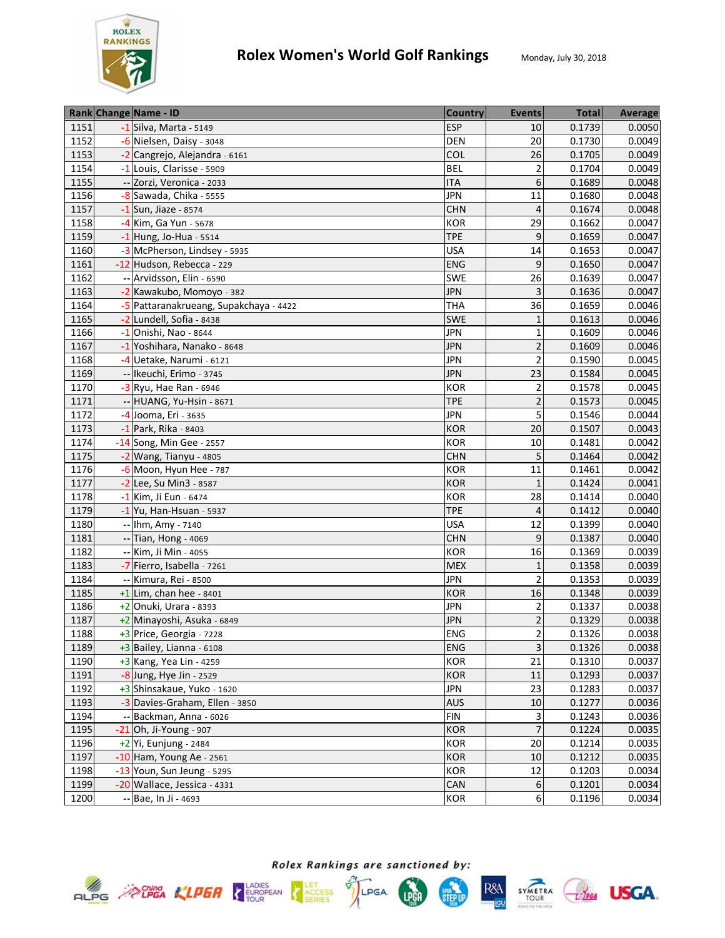

|      | Rank Change Name - ID                  | <b>Country</b> | <b>Events</b>           | <b>Total</b> | Average |
|------|----------------------------------------|----------------|-------------------------|--------------|---------|
| 1151 | -1 Silva, Marta - 5149                 | <b>ESP</b>     | 10                      | 0.1739       | 0.0050  |
| 1152 | -6 Nielsen, Daisy - 3048               | <b>DEN</b>     | 20                      | 0.1730       | 0.0049  |
| 1153 | -2 Cangrejo, Alejandra - 6161          | <b>COL</b>     | 26                      | 0.1705       | 0.0049  |
| 1154 | -1 Louis, Clarisse - 5909              | <b>BEL</b>     | $\overline{2}$          | 0.1704       | 0.0049  |
| 1155 | -- Zorzi, Veronica - 2033              | <b>ITA</b>     | 6                       | 0.1689       | 0.0048  |
| 1156 | -8 Sawada, Chika - 5555                | <b>JPN</b>     | 11                      | 0.1680       | 0.0048  |
| 1157 | $-1$ Sun, Jiaze - 8574                 | <b>CHN</b>     | 4                       | 0.1674       | 0.0048  |
| 1158 | -4 Kim, Ga Yun - 5678                  | KOR            | 29                      | 0.1662       | 0.0047  |
| 1159 | $-1$ Hung, Jo-Hua - 5514               | <b>TPE</b>     | 9                       | 0.1659       | 0.0047  |
| 1160 | -3 McPherson, Lindsey - 5935           | <b>USA</b>     | 14                      | 0.1653       | 0.0047  |
| 1161 | -12 Hudson, Rebecca - 229              | <b>ENG</b>     | 9                       | 0.1650       | 0.0047  |
| 1162 | -- Arvidsson, Elin - 6590              | <b>SWE</b>     | 26                      | 0.1639       | 0.0047  |
| 1163 | -2 Kawakubo, Momoyo - 382              | <b>JPN</b>     | 3                       | 0.1636       | 0.0047  |
| 1164 | -5 Pattaranakrueang, Supakchaya - 4422 | THA            | 36                      | 0.1659       | 0.0046  |
| 1165 | -2 Lundell, Sofia - 8438               | <b>SWE</b>     | 1                       | 0.1613       | 0.0046  |
| 1166 | -1 Onishi, Nao - 8644                  | <b>JPN</b>     | $\mathbf{1}$            | 0.1609       | 0.0046  |
| 1167 | -1 Yoshihara, Nanako - 8648            | <b>JPN</b>     | $\overline{2}$          | 0.1609       | 0.0046  |
| 1168 | -4 Uetake, Narumi - 6121               | <b>JPN</b>     | $\overline{2}$          | 0.1590       | 0.0045  |
| 1169 | -- Ikeuchi, Erimo - 3745               | <b>JPN</b>     | 23                      | 0.1584       | 0.0045  |
| 1170 | $-3$ Ryu, Hae Ran - 6946               | <b>KOR</b>     | $\overline{2}$          | 0.1578       | 0.0045  |
| 1171 | -- HUANG, Yu-Hsin - 8671               | <b>TPE</b>     | $\overline{2}$          | 0.1573       | 0.0045  |
| 1172 | -4 Jooma, Eri - 3635                   | <b>JPN</b>     | 5                       | 0.1546       | 0.0044  |
| 1173 | $-1$ Park, Rika - 8403                 | <b>KOR</b>     | 20                      | 0.1507       | 0.0043  |
| 1174 | -14 Song, Min Gee - 2557               | <b>KOR</b>     | 10                      | 0.1481       | 0.0042  |
| 1175 | -2 Wang, Tianyu - 4805                 | <b>CHN</b>     | 5                       | 0.1464       | 0.0042  |
| 1176 | $-6$ Moon, Hyun Hee - 787              | KOR            | 11                      | 0.1461       | 0.0042  |
| 1177 | $-2$ Lee, Su Min3 - 8587               | <b>KOR</b>     | $\mathbf{1}$            | 0.1424       | 0.0041  |
| 1178 | -1 Kim, Ji Eun - 6474                  | <b>KOR</b>     | 28                      | 0.1414       | 0.0040  |
| 1179 | $-1$ Yu, Han-Hsuan - 5937              | <b>TPE</b>     | $\overline{4}$          | 0.1412       | 0.0040  |
| 1180 | -- Ihm, Amy - 7140                     | <b>USA</b>     | 12                      | 0.1399       | 0.0040  |
| 1181 | -- Tian, Hong - 4069                   | <b>CHN</b>     | 9                       | 0.1387       | 0.0040  |
| 1182 | -- Kim, Ji Min - 4055                  | <b>KOR</b>     | 16                      | 0.1369       | 0.0039  |
| 1183 | -7 Fierro, Isabella - 7261             | <b>MEX</b>     | $\mathbf{1}$            | 0.1358       | 0.0039  |
| 1184 | -- Kimura, Rei - 8500                  | <b>JPN</b>     | $\overline{2}$          | 0.1353       | 0.0039  |
| 1185 | $+1$ Lim, chan hee - 8401              | <b>KOR</b>     | 16                      | 0.1348       | 0.0039  |
| 1186 | $+2$ Onuki, Urara - 8393               | JPN            | $\overline{2}$          | 0.1337       | 0.0038  |
| 1187 | +2 Minayoshi, Asuka - 6849             | <b>JPN</b>     | $\overline{2}$          | 0.1329       | 0.0038  |
| 1188 | +3 Price, Georgia - 7228               | <b>ENG</b>     | $\overline{2}$          | 0.1326       | 0.0038  |
| 1189 | $+3$ Bailey, Lianna - 6108             | <b>ENG</b>     | $\overline{\mathbf{3}}$ | 0.1326       | 0.0038  |
| 1190 | +3 Kang, Yea Lin - 4259                | KOR            | 21                      | 0.1310       | 0.0037  |
| 1191 | -8 Jung, Hye Jin - 2529                | <b>KOR</b>     | 11                      | 0.1293       | 0.0037  |
| 1192 | +3 Shinsakaue, Yuko - 1620             | <b>JPN</b>     | 23                      | 0.1283       | 0.0037  |
| 1193 | -3 Davies-Graham, Ellen - 3850         | <b>AUS</b>     | $10\,$                  | 0.1277       | 0.0036  |
| 1194 | -- Backman, Anna - 6026                | <b>FIN</b>     | 3                       | 0.1243       | 0.0036  |
| 1195 | $-21$ Oh, Ji-Young - 907               | <b>KOR</b>     | $\overline{7}$          | 0.1224       | 0.0035  |
| 1196 | +2 Yi, Eunjung - 2484                  | <b>KOR</b>     | 20                      | 0.1214       | 0.0035  |
| 1197 | $-10$ Ham, Young Ae - 2561             | <b>KOR</b>     | 10                      | 0.1212       | 0.0035  |
| 1198 | -13 Youn, Sun Jeung - 5295             | <b>KOR</b>     | 12                      | 0.1203       | 0.0034  |
| 1199 | -20 Wallace, Jessica - 4331            | <b>CAN</b>     | 6                       | 0.1201       | 0.0034  |
| 1200 | $-$ Bae, In Ji - 4693                  | <b>KOR</b>     | 6                       | 0.1196       | 0.0034  |









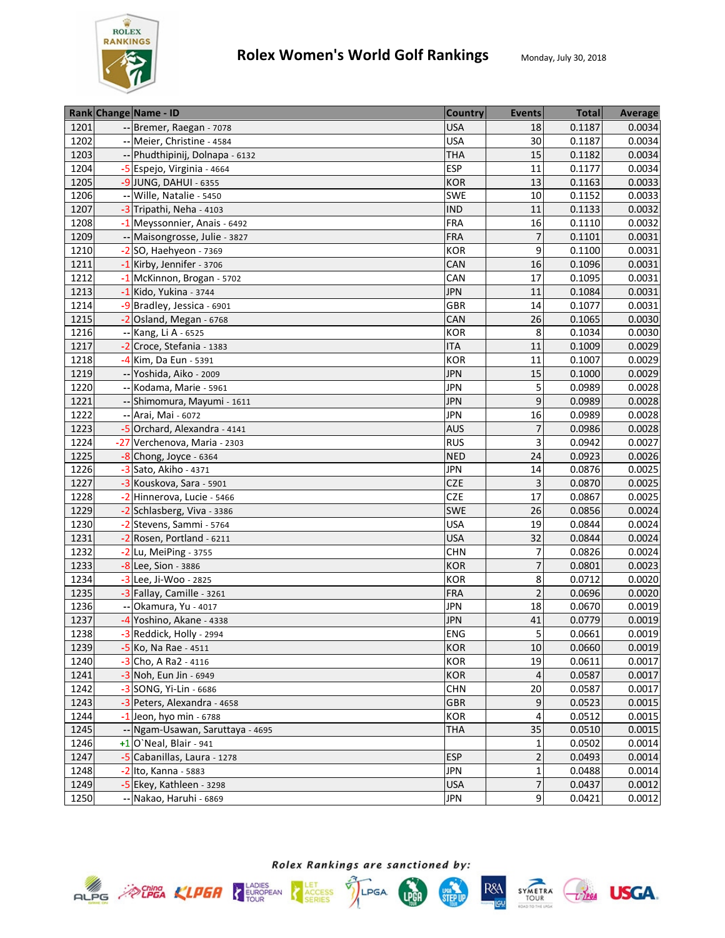

|      |                          | Rank Change Name - ID            | <b>Country</b> | <b>Events</b>  | <b>Total</b> | Average |
|------|--------------------------|----------------------------------|----------------|----------------|--------------|---------|
| 1201 |                          | -- Bremer, Raegan - 7078         | <b>USA</b>     | 18             | 0.1187       | 0.0034  |
| 1202 |                          | -- Meier, Christine - 4584       | <b>USA</b>     | 30             | 0.1187       | 0.0034  |
| 1203 |                          | -- Phudthipinij, Dolnapa - 6132  | <b>THA</b>     | 15             | 0.1182       | 0.0034  |
| 1204 |                          | -5 Espejo, Virginia - 4664       | <b>ESP</b>     | 11             | 0.1177       | 0.0034  |
| 1205 |                          | $-9$ JUNG, DAHUI - 6355          | <b>KOR</b>     | 13             | 0.1163       | 0.0033  |
| 1206 |                          | -- Wille, Natalie - 5450         | <b>SWE</b>     | 10             | 0.1152       | 0.0033  |
| 1207 |                          | -3 Tripathi, Neha - 4103         | <b>IND</b>     | 11             | 0.1133       | 0.0032  |
| 1208 |                          | -1 Meyssonnier, Anais - 6492     | <b>FRA</b>     | 16             | 0.1110       | 0.0032  |
| 1209 |                          | -- Maisongrosse, Julie - 3827    | <b>FRA</b>     | 7              | 0.1101       | 0.0031  |
| 1210 |                          | $-2$ SO, Haehyeon - 7369         | KOR            | 9              | 0.1100       | 0.0031  |
| 1211 |                          | -1 Kirby, Jennifer - 3706        | CAN            | 16             | 0.1096       | 0.0031  |
| 1212 |                          | -1 McKinnon, Brogan - 5702       | CAN            | 17             | 0.1095       | 0.0031  |
| 1213 |                          | -1 Kido, Yukina - 3744           | <b>JPN</b>     | 11             | 0.1084       | 0.0031  |
| 1214 |                          | -9 Bradley, Jessica - 6901       | <b>GBR</b>     | 14             | 0.1077       | 0.0031  |
| 1215 |                          | -2 Osland, Megan - 6768          | CAN            | 26             | 0.1065       | 0.0030  |
| 1216 |                          | -- Kang, Li A - 6525             | <b>KOR</b>     | 8              | 0.1034       | 0.0030  |
| 1217 |                          | -2 Croce, Stefania - 1383        | <b>ITA</b>     | 11             | 0.1009       | 0.0029  |
| 1218 |                          | $-4$ Kim, Da Eun - 5391          | <b>KOR</b>     | 11             | 0.1007       | 0.0029  |
| 1219 |                          | -- Yoshida, Aiko - 2009          | <b>JPN</b>     | 15             | 0.1000       | 0.0029  |
| 1220 |                          | -- Kodama, Marie - 5961          | <b>JPN</b>     | 5              | 0.0989       | 0.0028  |
| 1221 |                          | -- Shimomura, Mayumi - 1611      | <b>JPN</b>     | 9              | 0.0989       | 0.0028  |
| 1222 |                          | -- Arai, Mai - 6072              | <b>JPN</b>     | 16             | 0.0989       | 0.0028  |
| 1223 |                          | -5 Orchard, Alexandra - 4141     | <b>AUS</b>     | 7              | 0.0986       | 0.0028  |
| 1224 |                          | -27 Verchenova, Maria - 2303     | <b>RUS</b>     | 3              | 0.0942       | 0.0027  |
| 1225 |                          | $-8$ Chong, Joyce - 6364         | <b>NED</b>     | 24             | 0.0923       | 0.0026  |
| 1226 |                          | -3 Sato, Akiho - 4371            | <b>JPN</b>     | 14             | 0.0876       | 0.0025  |
| 1227 |                          | -3 Kouskova, Sara - 5901         | <b>CZE</b>     | 3              | 0.0870       | 0.0025  |
| 1228 |                          | -2 Hinnerova, Lucie - 5466       | <b>CZE</b>     | 17             | 0.0867       | 0.0025  |
| 1229 |                          | -2 Schlasberg, Viva - 3386       | <b>SWE</b>     | 26             | 0.0856       | 0.0024  |
| 1230 |                          | -2 Stevens, Sammi - 5764         | <b>USA</b>     | 19             | 0.0844       | 0.0024  |
| 1231 |                          | -2 Rosen, Portland - 6211        | <b>USA</b>     | 32             | 0.0844       | 0.0024  |
| 1232 |                          | $-2$ Lu, MeiPing - 3755          | <b>CHN</b>     | $\overline{7}$ | 0.0826       | 0.0024  |
| 1233 |                          | -8 Lee, Sion - 3886              | <b>KOR</b>     | $\overline{7}$ | 0.0801       | 0.0023  |
| 1234 |                          | -3 Lee, Ji-Woo - 2825            | <b>KOR</b>     | 8              | 0.0712       | 0.0020  |
| 1235 |                          | -3 Fallay, Camille - 3261        | <b>FRA</b>     | $\overline{2}$ | 0.0696       | 0.0020  |
| 1236 | $\overline{\phantom{a}}$ | Okamura, Yu - 4017               | <b>JPN</b>     | 18             | 0.0670       | 0.0019  |
| 1237 |                          | -4 Yoshino, Akane - 4338         | <b>JPN</b>     | 41             | 0.0779       | 0.0019  |
| 1238 |                          | -3 Reddick, Holly - 2994         | <b>ENG</b>     | 5              | 0.0661       | 0.0019  |
| 1239 |                          | $-5$ Ko, Na Rae - 4511           | <b>KOR</b>     | 10             | 0.0660       | 0.0019  |
| 1240 |                          | -3 Cho, A Ra2 - 4116             | <b>KOR</b>     | 19             | 0.0611       | 0.0017  |
| 1241 |                          | -3 Noh, Eun Jin - 6949           | <b>KOR</b>     | 4              | 0.0587       | 0.0017  |
| 1242 |                          | -3 SONG, Yi-Lin - 6686           | <b>CHN</b>     | 20             | 0.0587       | 0.0017  |
| 1243 |                          | -3 Peters, Alexandra - 4658      | <b>GBR</b>     | 9              | 0.0523       | 0.0015  |
| 1244 |                          | $-1$ Jeon, hyo min - 6788        | <b>KOR</b>     | 4              | 0.0512       | 0.0015  |
| 1245 |                          | -- Ngam-Usawan, Saruttaya - 4695 | <b>THA</b>     | 35             | 0.0510       | 0.0015  |
| 1246 |                          | $+1$ O'Neal, Blair - 941         |                | $\mathbf 1$    | 0.0502       | 0.0014  |
| 1247 |                          | -5 Cabanillas, Laura - 1278      | <b>ESP</b>     | $\overline{2}$ | 0.0493       | 0.0014  |
| 1248 |                          | -2 Ito, Kanna - 5883             | <b>JPN</b>     | 1              | 0.0488       | 0.0014  |
| 1249 |                          | -5 Ekey, Kathleen - 3298         | <b>USA</b>     | 7              | 0.0437       | 0.0012  |
| 1250 |                          | -- Nakao, Haruhi - 6869          | <b>JPN</b>     | 9              | 0.0421       | 0.0012  |